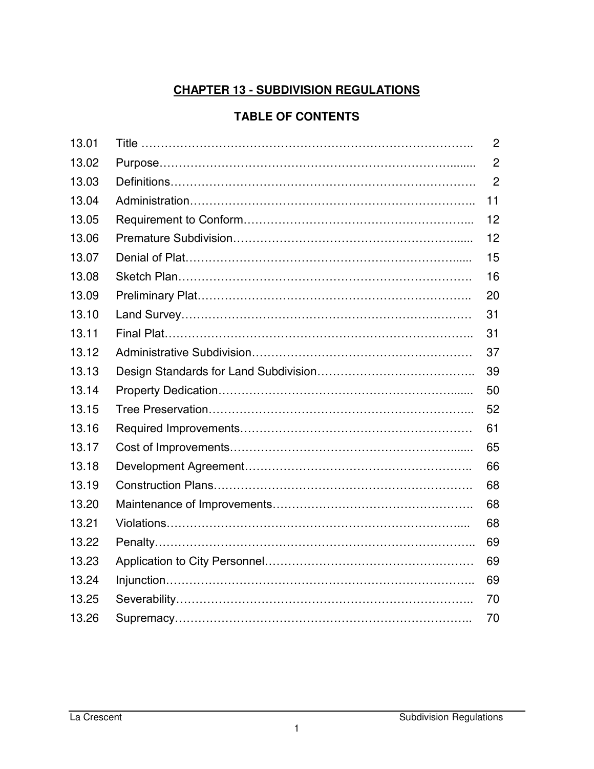# **CHAPTER 13 - SUBDIVISION REGULATIONS**

### **TABLE OF CONTENTS**

| 13.01 | $\mathbf{2}$   |
|-------|----------------|
| 13.02 | $\overline{2}$ |
| 13.03 | $\overline{2}$ |
| 13.04 | 11             |
| 13.05 | 12             |
| 13.06 | 12             |
| 13.07 | 15             |
| 13.08 | 16             |
| 13.09 | 20             |
| 13.10 | 31             |
| 13.11 | 31             |
| 13.12 | 37             |
| 13.13 | 39             |
| 13.14 | 50             |
| 13.15 | 52             |
| 13.16 | 61             |
| 13.17 | 65             |
| 13.18 | 66             |
| 13.19 | 68             |
| 13.20 | 68             |
| 13.21 | 68             |
| 13.22 | 69             |
| 13.23 | 69             |
| 13.24 | 69             |
| 13.25 | 70             |
| 13.26 | 70             |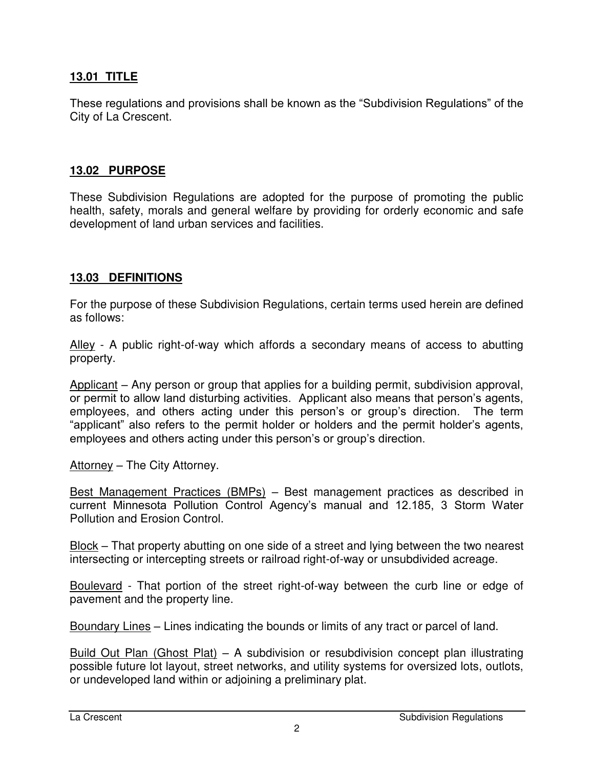#### **13.01 TITLE**

These regulations and provisions shall be known as the "Subdivision Regulations" of the City of La Crescent.

#### **13.02 PURPOSE**

These Subdivision Regulations are adopted for the purpose of promoting the public health, safety, morals and general welfare by providing for orderly economic and safe development of land urban services and facilities.

#### **13.03 DEFINITIONS**

For the purpose of these Subdivision Regulations, certain terms used herein are defined as follows:

Alley - A public right-of-way which affords a secondary means of access to abutting property.

Applicant – Any person or group that applies for a building permit, subdivision approval, or permit to allow land disturbing activities. Applicant also means that person's agents, employees, and others acting under this person's or group's direction. The term "applicant" also refers to the permit holder or holders and the permit holder's agents, employees and others acting under this person's or group's direction.

Attorney – The City Attorney.

Best Management Practices (BMPs) – Best management practices as described in current Minnesota Pollution Control Agency's manual and 12.185, 3 Storm Water Pollution and Erosion Control.

Block – That property abutting on one side of a street and lying between the two nearest intersecting or intercepting streets or railroad right-of-way or unsubdivided acreage.

Boulevard - That portion of the street right-of-way between the curb line or edge of pavement and the property line.

Boundary Lines – Lines indicating the bounds or limits of any tract or parcel of land.

Build Out Plan (Ghost Plat) – A subdivision or resubdivision concept plan illustrating possible future lot layout, street networks, and utility systems for oversized lots, outlots, or undeveloped land within or adjoining a preliminary plat.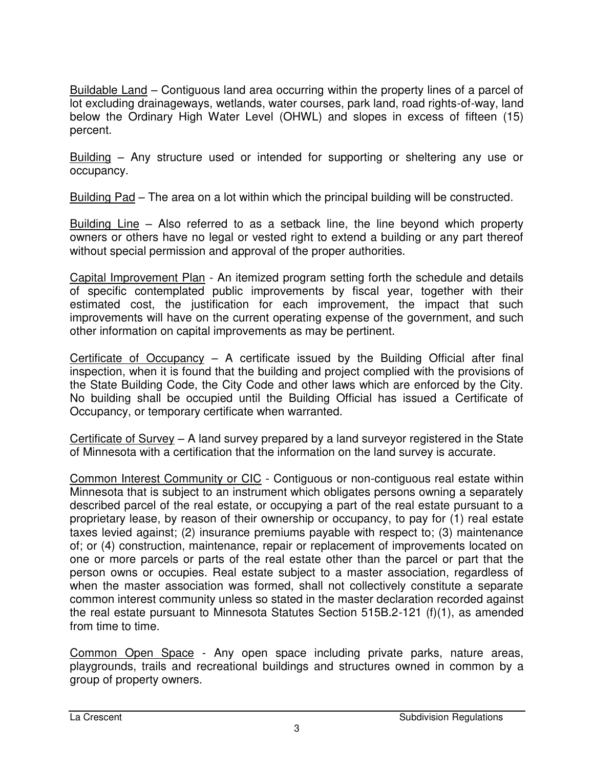Buildable Land – Contiguous land area occurring within the property lines of a parcel of lot excluding drainageways, wetlands, water courses, park land, road rights-of-way, land below the Ordinary High Water Level (OHWL) and slopes in excess of fifteen (15) percent.

Building – Any structure used or intended for supporting or sheltering any use or occupancy.

Building Pad – The area on a lot within which the principal building will be constructed.

Building Line – Also referred to as a setback line, the line beyond which property owners or others have no legal or vested right to extend a building or any part thereof without special permission and approval of the proper authorities.

Capital Improvement Plan - An itemized program setting forth the schedule and details of specific contemplated public improvements by fiscal year, together with their estimated cost, the justification for each improvement, the impact that such improvements will have on the current operating expense of the government, and such other information on capital improvements as may be pertinent.

Certificate of Occupancy – A certificate issued by the Building Official after final inspection, when it is found that the building and project complied with the provisions of the State Building Code, the City Code and other laws which are enforced by the City. No building shall be occupied until the Building Official has issued a Certificate of Occupancy, or temporary certificate when warranted.

Certificate of Survey – A land survey prepared by a land surveyor registered in the State of Minnesota with a certification that the information on the land survey is accurate.

Common Interest Community or CIC - Contiguous or non-contiguous real estate within Minnesota that is subject to an instrument which obligates persons owning a separately described parcel of the real estate, or occupying a part of the real estate pursuant to a proprietary lease, by reason of their ownership or occupancy, to pay for (1) real estate taxes levied against; (2) insurance premiums payable with respect to; (3) maintenance of; or (4) construction, maintenance, repair or replacement of improvements located on one or more parcels or parts of the real estate other than the parcel or part that the person owns or occupies. Real estate subject to a master association, regardless of when the master association was formed, shall not collectively constitute a separate common interest community unless so stated in the master declaration recorded against the real estate pursuant to Minnesota Statutes Section 515B.2-121 (f)(1), as amended from time to time.

Common Open Space - Any open space including private parks, nature areas, playgrounds, trails and recreational buildings and structures owned in common by a group of property owners.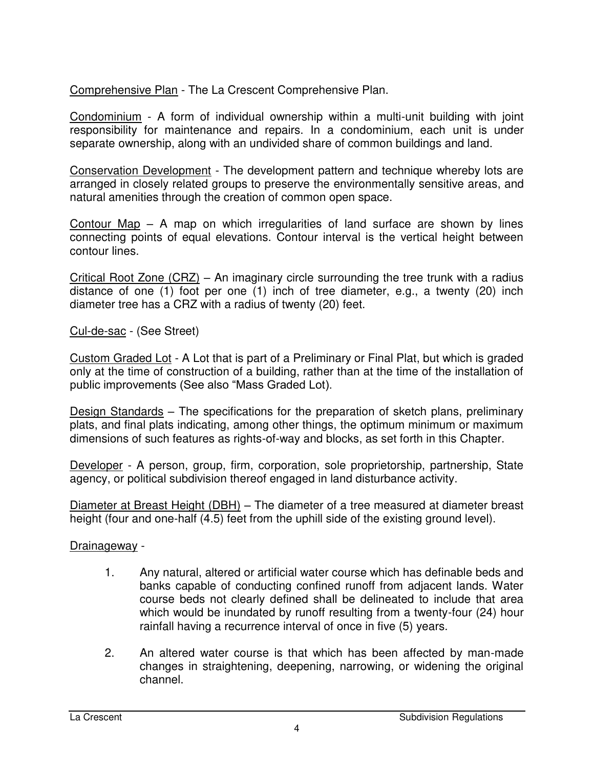Comprehensive Plan - The La Crescent Comprehensive Plan.

Condominium - A form of individual ownership within a multi-unit building with joint responsibility for maintenance and repairs. In a condominium, each unit is under separate ownership, along with an undivided share of common buildings and land.

Conservation Development - The development pattern and technique whereby lots are arranged in closely related groups to preserve the environmentally sensitive areas, and natural amenities through the creation of common open space.

Contour Map – A map on which irregularities of land surface are shown by lines connecting points of equal elevations. Contour interval is the vertical height between contour lines.

Critical Root Zone (CRZ) – An imaginary circle surrounding the tree trunk with a radius distance of one (1) foot per one (1) inch of tree diameter, e.g., a twenty (20) inch diameter tree has a CRZ with a radius of twenty (20) feet.

Cul-de-sac - (See Street)

Custom Graded Lot - A Lot that is part of a Preliminary or Final Plat, but which is graded only at the time of construction of a building, rather than at the time of the installation of public improvements (See also "Mass Graded Lot).

Design Standards – The specifications for the preparation of sketch plans, preliminary plats, and final plats indicating, among other things, the optimum minimum or maximum dimensions of such features as rights-of-way and blocks, as set forth in this Chapter.

Developer - A person, group, firm, corporation, sole proprietorship, partnership, State agency, or political subdivision thereof engaged in land disturbance activity.

Diameter at Breast Height (DBH) – The diameter of a tree measured at diameter breast height (four and one-half (4.5) feet from the uphill side of the existing ground level).

Drainageway -

- 1. Any natural, altered or artificial water course which has definable beds and banks capable of conducting confined runoff from adjacent lands. Water course beds not clearly defined shall be delineated to include that area which would be inundated by runoff resulting from a twenty-four (24) hour rainfall having a recurrence interval of once in five (5) years.
- 2. An altered water course is that which has been affected by man-made changes in straightening, deepening, narrowing, or widening the original channel.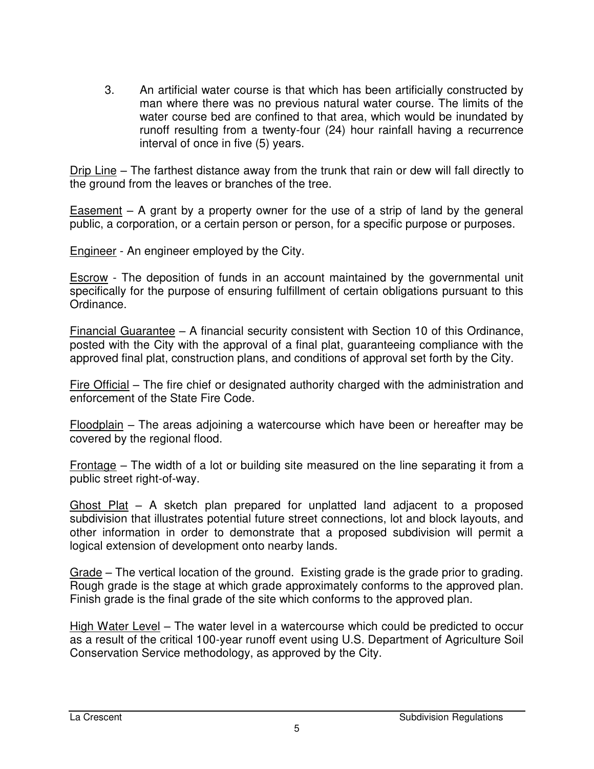3. An artificial water course is that which has been artificially constructed by man where there was no previous natural water course. The limits of the water course bed are confined to that area, which would be inundated by runoff resulting from a twenty-four (24) hour rainfall having a recurrence interval of once in five (5) years.

Drip Line – The farthest distance away from the trunk that rain or dew will fall directly to the ground from the leaves or branches of the tree.

Easement – A grant by a property owner for the use of a strip of land by the general public, a corporation, or a certain person or person, for a specific purpose or purposes.

Engineer - An engineer employed by the City.

Escrow - The deposition of funds in an account maintained by the governmental unit specifically for the purpose of ensuring fulfillment of certain obligations pursuant to this Ordinance.

Financial Guarantee – A financial security consistent with Section 10 of this Ordinance, posted with the City with the approval of a final plat, guaranteeing compliance with the approved final plat, construction plans, and conditions of approval set forth by the City.

Fire Official – The fire chief or designated authority charged with the administration and enforcement of the State Fire Code.

Floodplain – The areas adjoining a watercourse which have been or hereafter may be covered by the regional flood.

Frontage – The width of a lot or building site measured on the line separating it from a public street right-of-way.

Ghost Plat – A sketch plan prepared for unplatted land adjacent to a proposed subdivision that illustrates potential future street connections, lot and block layouts, and other information in order to demonstrate that a proposed subdivision will permit a logical extension of development onto nearby lands.

Grade – The vertical location of the ground. Existing grade is the grade prior to grading. Rough grade is the stage at which grade approximately conforms to the approved plan. Finish grade is the final grade of the site which conforms to the approved plan.

High Water Level – The water level in a watercourse which could be predicted to occur as a result of the critical 100-year runoff event using U.S. Department of Agriculture Soil Conservation Service methodology, as approved by the City.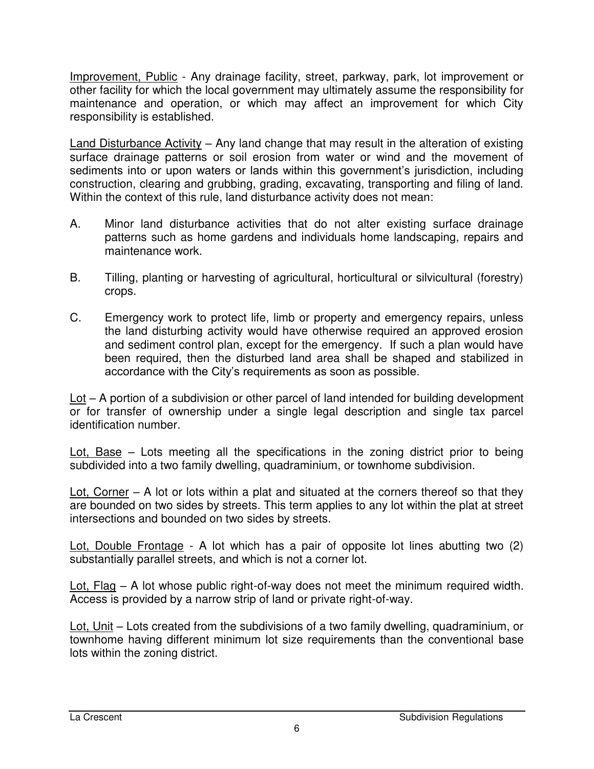Improvement, Public - Any drainage facility, street, parkway, park, lot improvement or other facility for which the local government may ultimately assume the responsibility for maintenance and operation, or which may affect an improvement for which City responsibility is established.

Land Disturbance Activity – Any land change that may result in the alteration of existing surface drainage patterns or soil erosion from water or wind and the movement of sediments into or upon waters or lands within this government's jurisdiction, including construction, clearing and grubbing, grading, excavating, transporting and filing of land. Within the context of this rule, land disturbance activity does not mean:

- A. Minor land disturbance activities that do not alter existing surface drainage patterns such as home gardens and individuals home landscaping, repairs and maintenance work.
- B. Tilling, planting or harvesting of agricultural, horticultural or silvicultural (forestry) crops.
- C. Emergency work to protect life, limb or property and emergency repairs, unless the land disturbing activity would have otherwise required an approved erosion and sediment control plan, except for the emergency. If such a plan would have been required, then the disturbed land area shall be shaped and stabilized in accordance with the City's requirements as soon as possible.

Lot – A portion of a subdivision or other parcel of land intended for building development or for transfer of ownership under a single legal description and single tax parcel identification number.

Lot, Base – Lots meeting all the specifications in the zoning district prior to being subdivided into a two family dwelling, quadraminium, or townhome subdivision.

Lot, Corner – A lot or lots within a plat and situated at the corners thereof so that they are bounded on two sides by streets. This term applies to any lot within the plat at street intersections and bounded on two sides by streets.

Lot, Double Frontage - A lot which has a pair of opposite lot lines abutting two (2) substantially parallel streets, and which is not a corner lot.

Lot, Flag – A lot whose public right-of-way does not meet the minimum required width. Access is provided by a narrow strip of land or private right-of-way.

Lot, Unit – Lots created from the subdivisions of a two family dwelling, quadraminium, or townhome having different minimum lot size requirements than the conventional base lots within the zoning district.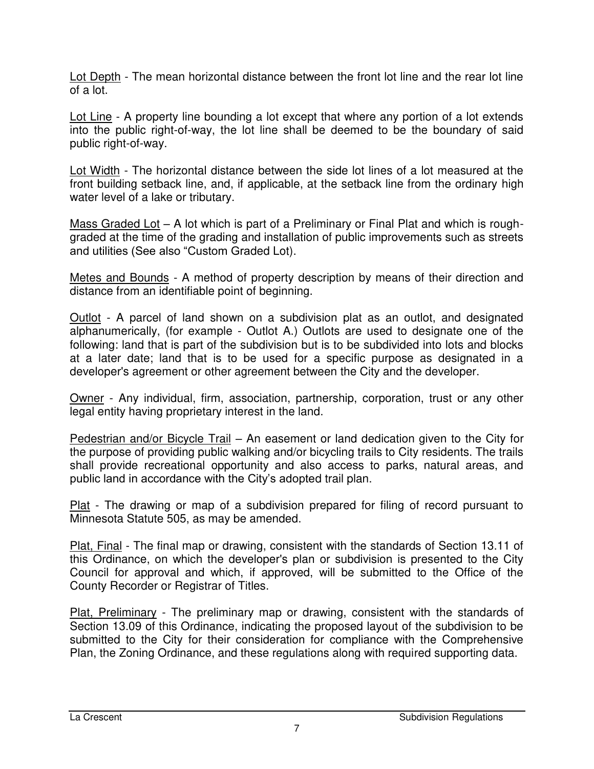Lot Depth - The mean horizontal distance between the front lot line and the rear lot line of a lot.

Lot Line - A property line bounding a lot except that where any portion of a lot extends into the public right-of-way, the lot line shall be deemed to be the boundary of said public right-of-way.

Lot Width - The horizontal distance between the side lot lines of a lot measured at the front building setback line, and, if applicable, at the setback line from the ordinary high water level of a lake or tributary.

Mass Graded Lot – A lot which is part of a Preliminary or Final Plat and which is roughgraded at the time of the grading and installation of public improvements such as streets and utilities (See also "Custom Graded Lot).

Metes and Bounds - A method of property description by means of their direction and distance from an identifiable point of beginning.

Outlot - A parcel of land shown on a subdivision plat as an outlot, and designated alphanumerically, (for example - Outlot A.) Outlots are used to designate one of the following: land that is part of the subdivision but is to be subdivided into lots and blocks at a later date; land that is to be used for a specific purpose as designated in a developer's agreement or other agreement between the City and the developer.

Owner - Any individual, firm, association, partnership, corporation, trust or any other legal entity having proprietary interest in the land.

Pedestrian and/or Bicycle Trail – An easement or land dedication given to the City for the purpose of providing public walking and/or bicycling trails to City residents. The trails shall provide recreational opportunity and also access to parks, natural areas, and public land in accordance with the City's adopted trail plan.

Plat - The drawing or map of a subdivision prepared for filing of record pursuant to Minnesota Statute 505, as may be amended.

Plat, Final - The final map or drawing, consistent with the standards of Section 13.11 of this Ordinance, on which the developer's plan or subdivision is presented to the City Council for approval and which, if approved, will be submitted to the Office of the County Recorder or Registrar of Titles.

Plat, Preliminary - The preliminary map or drawing, consistent with the standards of Section 13.09 of this Ordinance, indicating the proposed layout of the subdivision to be submitted to the City for their consideration for compliance with the Comprehensive Plan, the Zoning Ordinance, and these regulations along with required supporting data.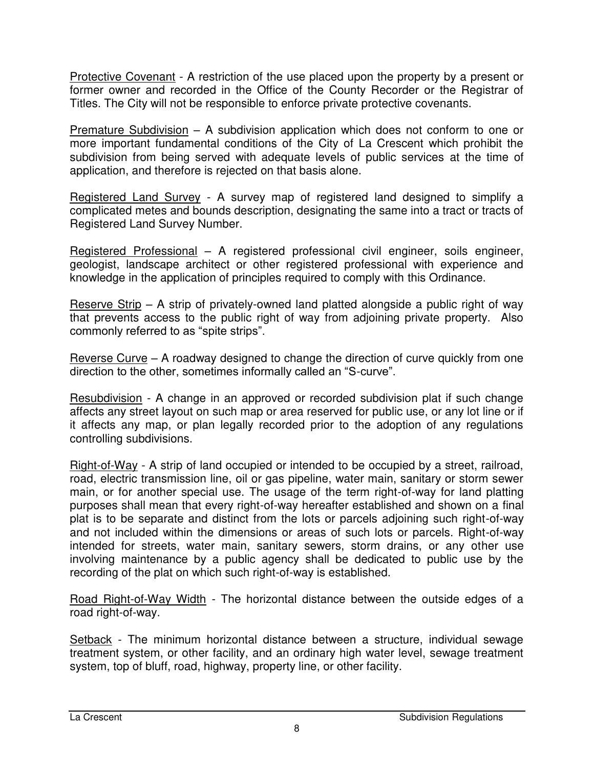Protective Covenant - A restriction of the use placed upon the property by a present or former owner and recorded in the Office of the County Recorder or the Registrar of Titles. The City will not be responsible to enforce private protective covenants.

Premature Subdivision – A subdivision application which does not conform to one or more important fundamental conditions of the City of La Crescent which prohibit the subdivision from being served with adequate levels of public services at the time of application, and therefore is rejected on that basis alone.

Registered Land Survey - A survey map of registered land designed to simplify a complicated metes and bounds description, designating the same into a tract or tracts of Registered Land Survey Number.

Registered Professional – A registered professional civil engineer, soils engineer, geologist, landscape architect or other registered professional with experience and knowledge in the application of principles required to comply with this Ordinance.

Reserve Strip – A strip of privately-owned land platted alongside a public right of way that prevents access to the public right of way from adjoining private property. Also commonly referred to as "spite strips".

Reverse Curve – A roadway designed to change the direction of curve quickly from one direction to the other, sometimes informally called an "S-curve".

Resubdivision - A change in an approved or recorded subdivision plat if such change affects any street layout on such map or area reserved for public use, or any lot line or if it affects any map, or plan legally recorded prior to the adoption of any regulations controlling subdivisions.

Right-of-Way - A strip of land occupied or intended to be occupied by a street, railroad, road, electric transmission line, oil or gas pipeline, water main, sanitary or storm sewer main, or for another special use. The usage of the term right-of-way for land platting purposes shall mean that every right-of-way hereafter established and shown on a final plat is to be separate and distinct from the lots or parcels adjoining such right-of-way and not included within the dimensions or areas of such lots or parcels. Right-of-way intended for streets, water main, sanitary sewers, storm drains, or any other use involving maintenance by a public agency shall be dedicated to public use by the recording of the plat on which such right-of-way is established.

Road Right-of-Way Width - The horizontal distance between the outside edges of a road right-of-way.

Setback - The minimum horizontal distance between a structure, individual sewage treatment system, or other facility, and an ordinary high water level, sewage treatment system, top of bluff, road, highway, property line, or other facility.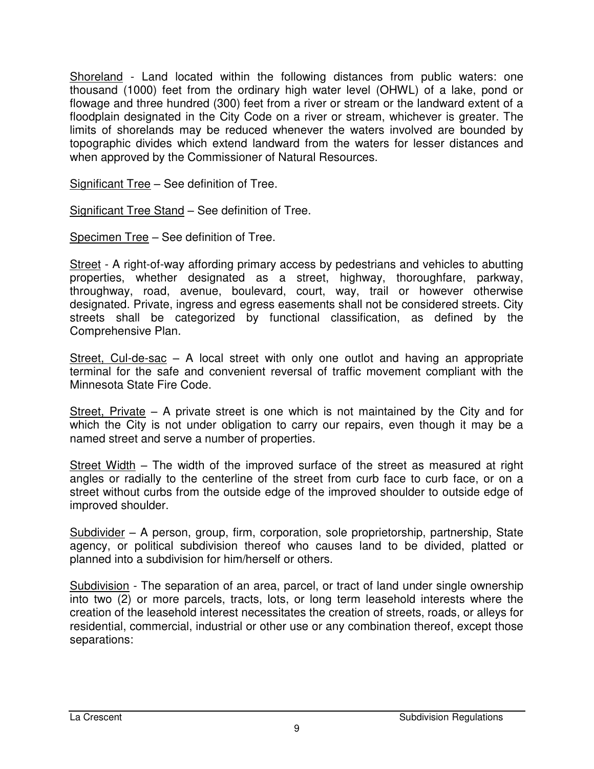Shoreland - Land located within the following distances from public waters: one thousand (1000) feet from the ordinary high water level (OHWL) of a lake, pond or flowage and three hundred (300) feet from a river or stream or the landward extent of a floodplain designated in the City Code on a river or stream, whichever is greater. The limits of shorelands may be reduced whenever the waters involved are bounded by topographic divides which extend landward from the waters for lesser distances and when approved by the Commissioner of Natural Resources.

Significant Tree – See definition of Tree.

Significant Tree Stand – See definition of Tree.

Specimen Tree – See definition of Tree.

Street - A right-of-way affording primary access by pedestrians and vehicles to abutting properties, whether designated as a street, highway, thoroughfare, parkway, throughway, road, avenue, boulevard, court, way, trail or however otherwise designated. Private, ingress and egress easements shall not be considered streets. City streets shall be categorized by functional classification, as defined by the Comprehensive Plan.

Street, Cul-de-sac – A local street with only one outlot and having an appropriate terminal for the safe and convenient reversal of traffic movement compliant with the Minnesota State Fire Code.

Street, Private – A private street is one which is not maintained by the City and for which the City is not under obligation to carry our repairs, even though it may be a named street and serve a number of properties.

Street Width – The width of the improved surface of the street as measured at right angles or radially to the centerline of the street from curb face to curb face, or on a street without curbs from the outside edge of the improved shoulder to outside edge of improved shoulder.

Subdivider – A person, group, firm, corporation, sole proprietorship, partnership, State agency, or political subdivision thereof who causes land to be divided, platted or planned into a subdivision for him/herself or others.

Subdivision - The separation of an area, parcel, or tract of land under single ownership into two (2) or more parcels, tracts, lots, or long term leasehold interests where the creation of the leasehold interest necessitates the creation of streets, roads, or alleys for residential, commercial, industrial or other use or any combination thereof, except those separations: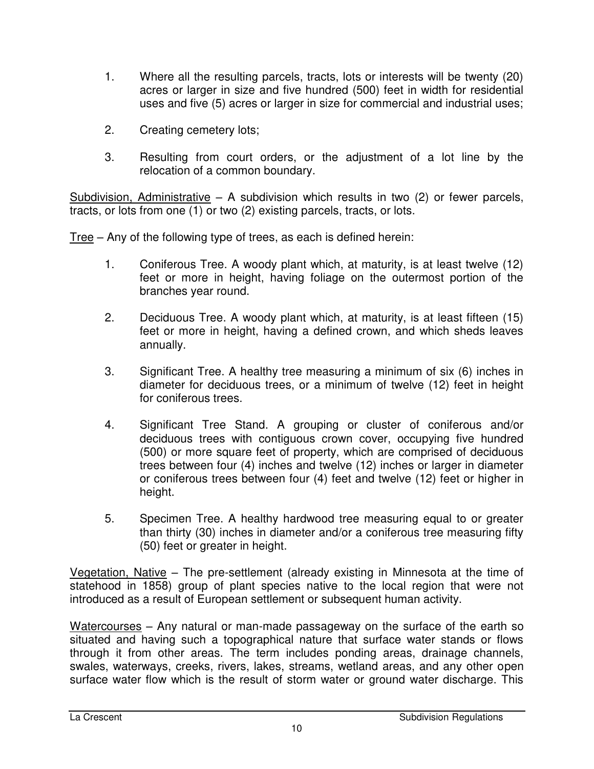- 1. Where all the resulting parcels, tracts, lots or interests will be twenty (20) acres or larger in size and five hundred (500) feet in width for residential uses and five (5) acres or larger in size for commercial and industrial uses;
- 2. Creating cemetery lots;
- 3. Resulting from court orders, or the adjustment of a lot line by the relocation of a common boundary.

Subdivision, Administrative – A subdivision which results in two (2) or fewer parcels, tracts, or lots from one (1) or two (2) existing parcels, tracts, or lots.

Tree – Any of the following type of trees, as each is defined herein:

- 1. Coniferous Tree. A woody plant which, at maturity, is at least twelve (12) feet or more in height, having foliage on the outermost portion of the branches year round.
- 2. Deciduous Tree. A woody plant which, at maturity, is at least fifteen (15) feet or more in height, having a defined crown, and which sheds leaves annually.
- 3. Significant Tree. A healthy tree measuring a minimum of six (6) inches in diameter for deciduous trees, or a minimum of twelve (12) feet in height for coniferous trees.
- 4. Significant Tree Stand. A grouping or cluster of coniferous and/or deciduous trees with contiguous crown cover, occupying five hundred (500) or more square feet of property, which are comprised of deciduous trees between four (4) inches and twelve (12) inches or larger in diameter or coniferous trees between four (4) feet and twelve (12) feet or higher in height.
- 5. Specimen Tree. A healthy hardwood tree measuring equal to or greater than thirty (30) inches in diameter and/or a coniferous tree measuring fifty (50) feet or greater in height.

Vegetation, Native – The pre-settlement (already existing in Minnesota at the time of statehood in 1858) group of plant species native to the local region that were not introduced as a result of European settlement or subsequent human activity.

Watercourses – Any natural or man-made passageway on the surface of the earth so situated and having such a topographical nature that surface water stands or flows through it from other areas. The term includes ponding areas, drainage channels, swales, waterways, creeks, rivers, lakes, streams, wetland areas, and any other open surface water flow which is the result of storm water or ground water discharge. This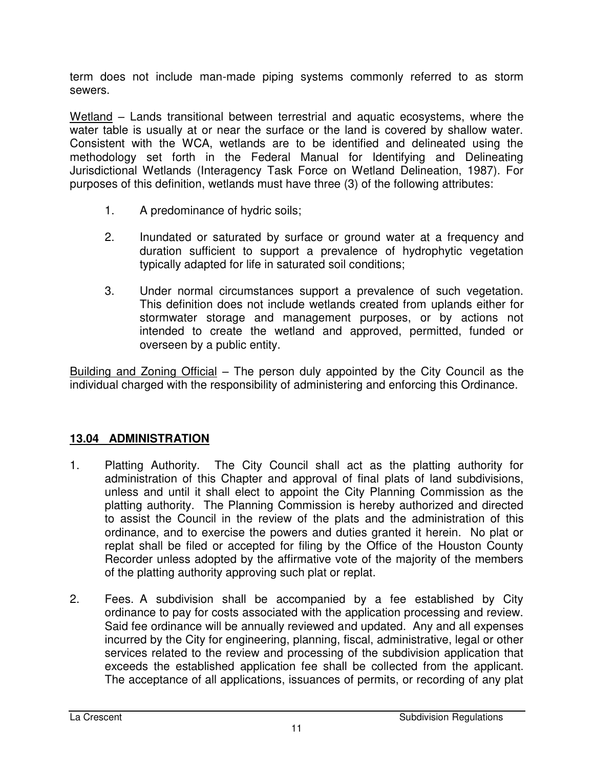term does not include man-made piping systems commonly referred to as storm sewers.

Wetland – Lands transitional between terrestrial and aquatic ecosystems, where the water table is usually at or near the surface or the land is covered by shallow water. Consistent with the WCA, wetlands are to be identified and delineated using the methodology set forth in the Federal Manual for Identifying and Delineating Jurisdictional Wetlands (Interagency Task Force on Wetland Delineation, 1987). For purposes of this definition, wetlands must have three (3) of the following attributes:

- 1. A predominance of hydric soils;
- 2. Inundated or saturated by surface or ground water at a frequency and duration sufficient to support a prevalence of hydrophytic vegetation typically adapted for life in saturated soil conditions;
- 3. Under normal circumstances support a prevalence of such vegetation. This definition does not include wetlands created from uplands either for stormwater storage and management purposes, or by actions not intended to create the wetland and approved, permitted, funded or overseen by a public entity.

Building and Zoning Official – The person duly appointed by the City Council as the individual charged with the responsibility of administering and enforcing this Ordinance.

#### **13.04 ADMINISTRATION**

- 1. Platting Authority. The City Council shall act as the platting authority for administration of this Chapter and approval of final plats of land subdivisions, unless and until it shall elect to appoint the City Planning Commission as the platting authority. The Planning Commission is hereby authorized and directed to assist the Council in the review of the plats and the administration of this ordinance, and to exercise the powers and duties granted it herein. No plat or replat shall be filed or accepted for filing by the Office of the Houston County Recorder unless adopted by the affirmative vote of the majority of the members of the platting authority approving such plat or replat.
- 2. Fees. A subdivision shall be accompanied by a fee established by City ordinance to pay for costs associated with the application processing and review. Said fee ordinance will be annually reviewed and updated. Any and all expenses incurred by the City for engineering, planning, fiscal, administrative, legal or other services related to the review and processing of the subdivision application that exceeds the established application fee shall be collected from the applicant. The acceptance of all applications, issuances of permits, or recording of any plat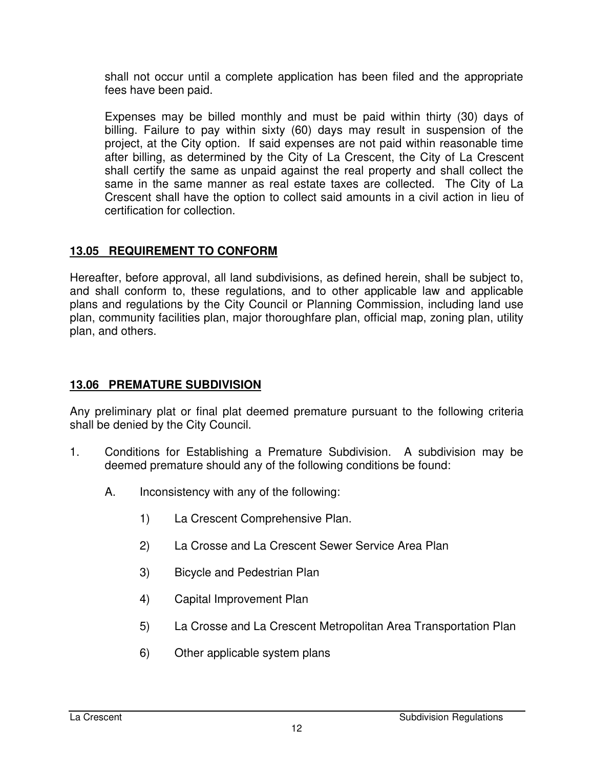shall not occur until a complete application has been filed and the appropriate fees have been paid.

 Expenses may be billed monthly and must be paid within thirty (30) days of billing. Failure to pay within sixty (60) days may result in suspension of the project, at the City option. If said expenses are not paid within reasonable time after billing, as determined by the City of La Crescent, the City of La Crescent shall certify the same as unpaid against the real property and shall collect the same in the same manner as real estate taxes are collected. The City of La Crescent shall have the option to collect said amounts in a civil action in lieu of certification for collection.

### **13.05 REQUIREMENT TO CONFORM**

Hereafter, before approval, all land subdivisions, as defined herein, shall be subject to, and shall conform to, these regulations, and to other applicable law and applicable plans and regulations by the City Council or Planning Commission, including land use plan, community facilities plan, major thoroughfare plan, official map, zoning plan, utility plan, and others.

### **13.06 PREMATURE SUBDIVISION**

Any preliminary plat or final plat deemed premature pursuant to the following criteria shall be denied by the City Council.

- 1. Conditions for Establishing a Premature Subdivision. A subdivision may be deemed premature should any of the following conditions be found:
	- A. Inconsistency with any of the following:
		- 1) La Crescent Comprehensive Plan.
		- 2) La Crosse and La Crescent Sewer Service Area Plan
		- 3) Bicycle and Pedestrian Plan
		- 4) Capital Improvement Plan
		- 5) La Crosse and La Crescent Metropolitan Area Transportation Plan
		- 6) Other applicable system plans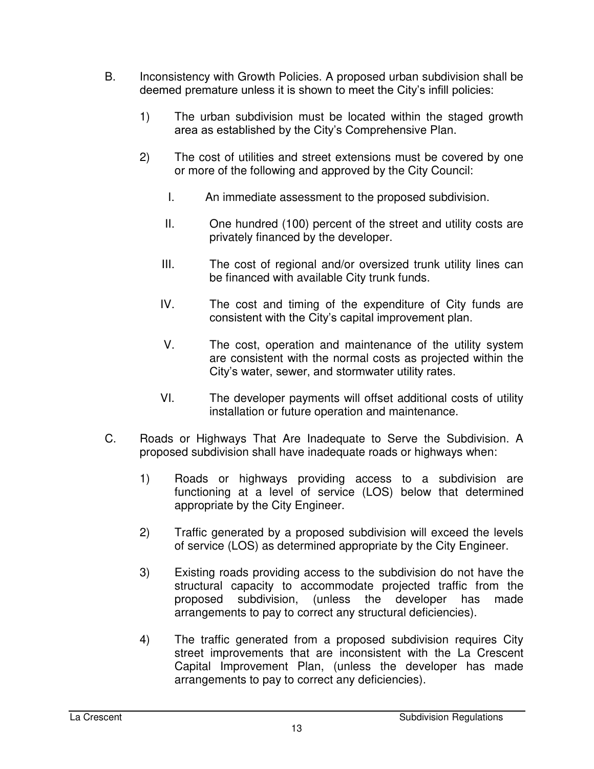- B. Inconsistency with Growth Policies. A proposed urban subdivision shall be deemed premature unless it is shown to meet the City's infill policies:
	- 1) The urban subdivision must be located within the staged growth area as established by the City's Comprehensive Plan.
	- 2) The cost of utilities and street extensions must be covered by one or more of the following and approved by the City Council:
		- I. An immediate assessment to the proposed subdivision.
		- II. One hundred (100) percent of the street and utility costs are privately financed by the developer.
		- III. The cost of regional and/or oversized trunk utility lines can be financed with available City trunk funds.
		- IV. The cost and timing of the expenditure of City funds are consistent with the City's capital improvement plan.
		- V. The cost, operation and maintenance of the utility system are consistent with the normal costs as projected within the City's water, sewer, and stormwater utility rates.
		- VI. The developer payments will offset additional costs of utility installation or future operation and maintenance.
- C. Roads or Highways That Are Inadequate to Serve the Subdivision. A proposed subdivision shall have inadequate roads or highways when:
	- 1) Roads or highways providing access to a subdivision are functioning at a level of service (LOS) below that determined appropriate by the City Engineer.
	- 2) Traffic generated by a proposed subdivision will exceed the levels of service (LOS) as determined appropriate by the City Engineer.
	- 3) Existing roads providing access to the subdivision do not have the structural capacity to accommodate projected traffic from the proposed subdivision, (unless the developer has made arrangements to pay to correct any structural deficiencies).
	- 4) The traffic generated from a proposed subdivision requires City street improvements that are inconsistent with the La Crescent Capital Improvement Plan, (unless the developer has made arrangements to pay to correct any deficiencies).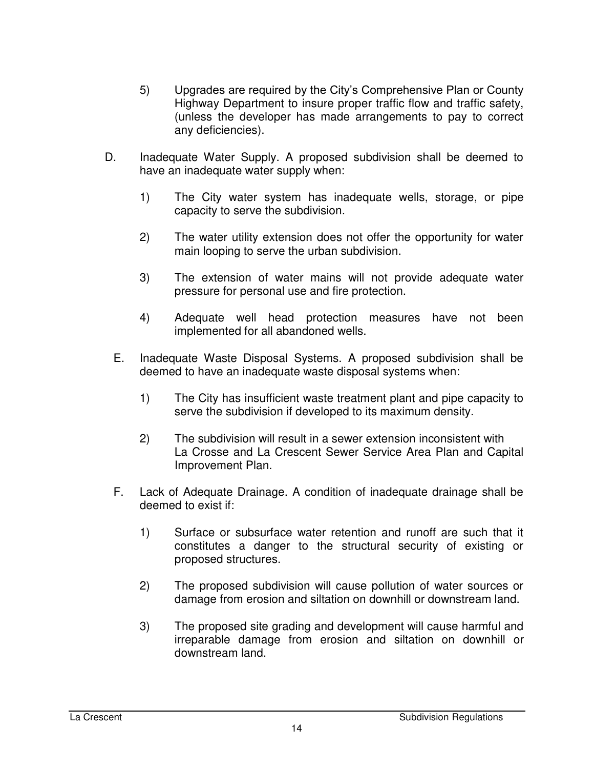- 5) Upgrades are required by the City's Comprehensive Plan or County Highway Department to insure proper traffic flow and traffic safety, (unless the developer has made arrangements to pay to correct any deficiencies).
- D. Inadequate Water Supply. A proposed subdivision shall be deemed to have an inadequate water supply when:
	- 1) The City water system has inadequate wells, storage, or pipe capacity to serve the subdivision.
	- 2) The water utility extension does not offer the opportunity for water main looping to serve the urban subdivision.
	- 3) The extension of water mains will not provide adequate water pressure for personal use and fire protection.
	- 4) Adequate well head protection measures have not been implemented for all abandoned wells.
	- E. Inadequate Waste Disposal Systems. A proposed subdivision shall be deemed to have an inadequate waste disposal systems when:
		- 1) The City has insufficient waste treatment plant and pipe capacity to serve the subdivision if developed to its maximum density.
		- 2) The subdivision will result in a sewer extension inconsistent with La Crosse and La Crescent Sewer Service Area Plan and Capital Improvement Plan.
	- F. Lack of Adequate Drainage. A condition of inadequate drainage shall be deemed to exist if:
		- 1) Surface or subsurface water retention and runoff are such that it constitutes a danger to the structural security of existing or proposed structures.
		- 2) The proposed subdivision will cause pollution of water sources or damage from erosion and siltation on downhill or downstream land.
		- 3) The proposed site grading and development will cause harmful and irreparable damage from erosion and siltation on downhill or downstream land.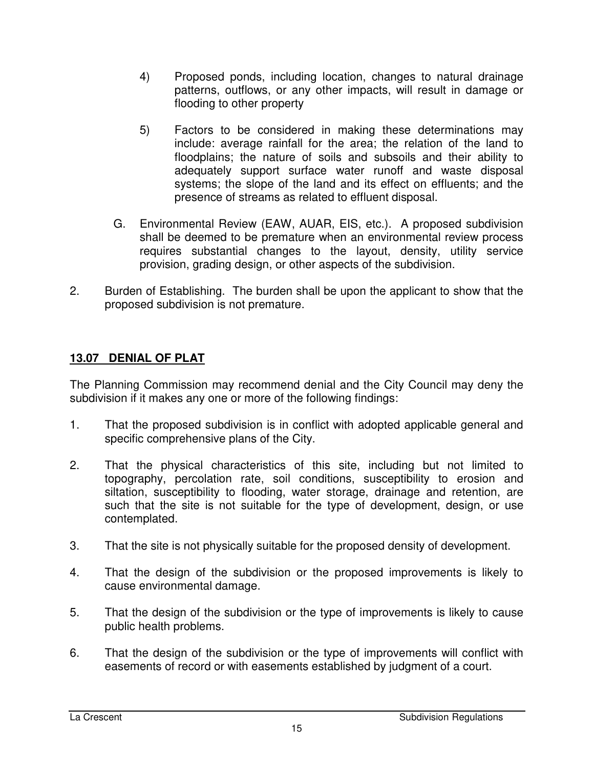- 4) Proposed ponds, including location, changes to natural drainage patterns, outflows, or any other impacts, will result in damage or flooding to other property
- 5) Factors to be considered in making these determinations may include: average rainfall for the area; the relation of the land to floodplains; the nature of soils and subsoils and their ability to adequately support surface water runoff and waste disposal systems; the slope of the land and its effect on effluents; and the presence of streams as related to effluent disposal.
- G. Environmental Review (EAW, AUAR, EIS, etc.). A proposed subdivision shall be deemed to be premature when an environmental review process requires substantial changes to the layout, density, utility service provision, grading design, or other aspects of the subdivision.
- 2. Burden of Establishing. The burden shall be upon the applicant to show that the proposed subdivision is not premature.

### **13.07 DENIAL OF PLAT**

The Planning Commission may recommend denial and the City Council may deny the subdivision if it makes any one or more of the following findings:

- 1. That the proposed subdivision is in conflict with adopted applicable general and specific comprehensive plans of the City.
- 2. That the physical characteristics of this site, including but not limited to topography, percolation rate, soil conditions, susceptibility to erosion and siltation, susceptibility to flooding, water storage, drainage and retention, are such that the site is not suitable for the type of development, design, or use contemplated.
- 3. That the site is not physically suitable for the proposed density of development.
- 4. That the design of the subdivision or the proposed improvements is likely to cause environmental damage.
- 5. That the design of the subdivision or the type of improvements is likely to cause public health problems.
- 6. That the design of the subdivision or the type of improvements will conflict with easements of record or with easements established by judgment of a court.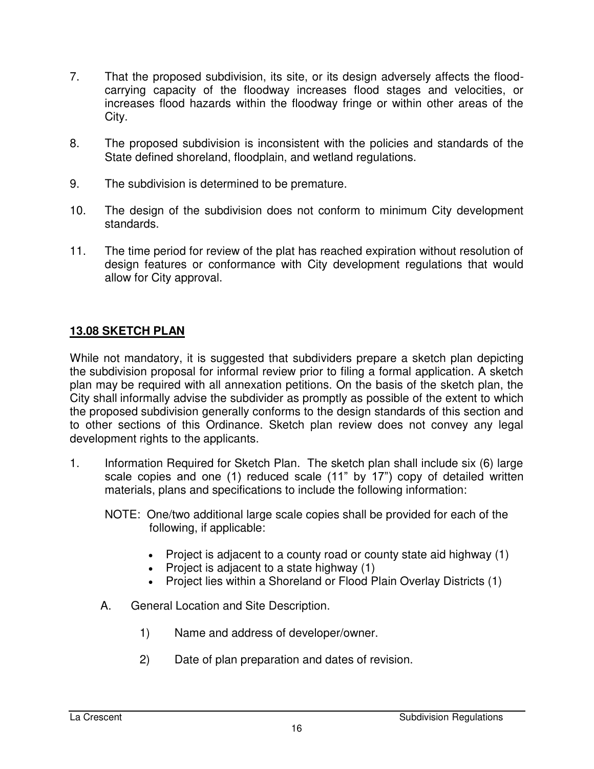- 7. That the proposed subdivision, its site, or its design adversely affects the floodcarrying capacity of the floodway increases flood stages and velocities, or increases flood hazards within the floodway fringe or within other areas of the City.
- 8. The proposed subdivision is inconsistent with the policies and standards of the State defined shoreland, floodplain, and wetland regulations.
- 9. The subdivision is determined to be premature.
- 10. The design of the subdivision does not conform to minimum City development standards.
- 11. The time period for review of the plat has reached expiration without resolution of design features or conformance with City development regulations that would allow for City approval.

### **13.08 SKETCH PLAN**

While not mandatory, it is suggested that subdividers prepare a sketch plan depicting the subdivision proposal for informal review prior to filing a formal application. A sketch plan may be required with all annexation petitions. On the basis of the sketch plan, the City shall informally advise the subdivider as promptly as possible of the extent to which the proposed subdivision generally conforms to the design standards of this section and to other sections of this Ordinance. Sketch plan review does not convey any legal development rights to the applicants.

- 1. Information Required for Sketch Plan. The sketch plan shall include six (6) large scale copies and one (1) reduced scale (11" by 17") copy of detailed written materials, plans and specifications to include the following information:
	- NOTE: One/two additional large scale copies shall be provided for each of the following, if applicable:
		- Project is adjacent to a county road or county state aid highway (1)
		- $\bullet$  Project is adjacent to a state highway (1)
		- Project lies within a Shoreland or Flood Plain Overlay Districts (1)
	- A. General Location and Site Description.
		- 1) Name and address of developer/owner.
		- 2) Date of plan preparation and dates of revision.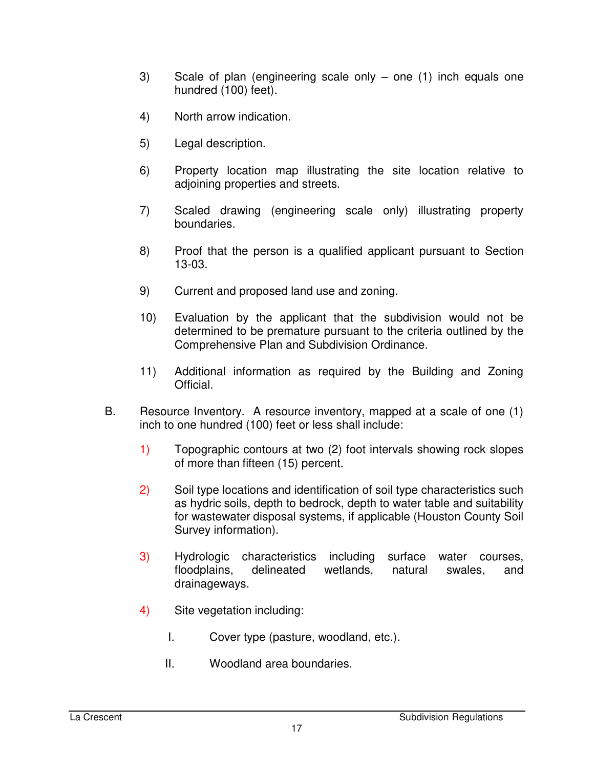- 3) Scale of plan (engineering scale only one (1) inch equals one hundred (100) feet).
- 4) North arrow indication.
- 5) Legal description.
- 6) Property location map illustrating the site location relative to adjoining properties and streets.
- 7) Scaled drawing (engineering scale only) illustrating property boundaries.
- 8) Proof that the person is a qualified applicant pursuant to Section 13-03.
- 9) Current and proposed land use and zoning.
- 10) Evaluation by the applicant that the subdivision would not be determined to be premature pursuant to the criteria outlined by the Comprehensive Plan and Subdivision Ordinance.
- 11) Additional information as required by the Building and Zoning Official.
- B. Resource Inventory. A resource inventory, mapped at a scale of one (1) inch to one hundred (100) feet or less shall include:
	- 1) Topographic contours at two (2) foot intervals showing rock slopes of more than fifteen (15) percent.
	- 2) Soil type locations and identification of soil type characteristics such as hydric soils, depth to bedrock, depth to water table and suitability for wastewater disposal systems, if applicable (Houston County Soil Survey information).
	- 3) Hydrologic characteristics including surface water courses, floodplains, delineated wetlands, natural swales, and drainageways.
	- 4) Site vegetation including:
		- I. Cover type (pasture, woodland, etc.).
		- II. Woodland area boundaries.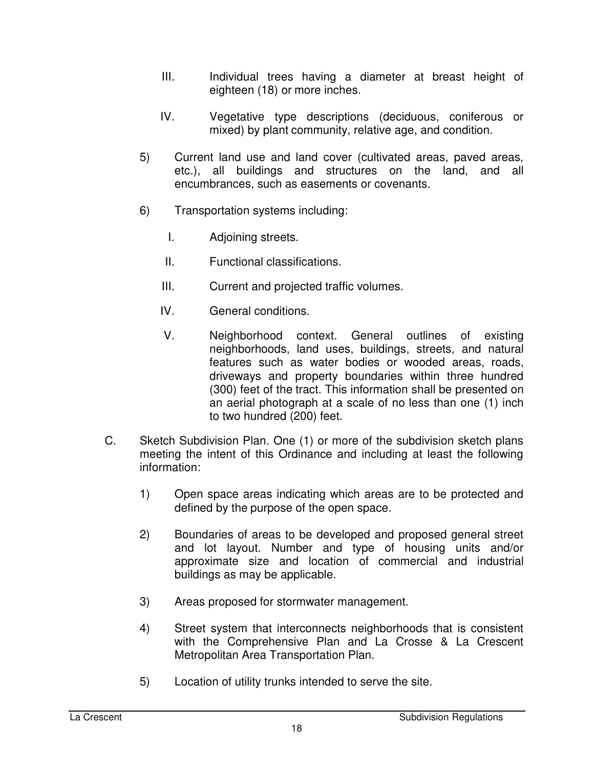- III. Individual trees having a diameter at breast height of eighteen (18) or more inches.
- IV. Vegetative type descriptions (deciduous, coniferous or mixed) by plant community, relative age, and condition.
- 5) Current land use and land cover (cultivated areas, paved areas, etc.), all buildings and structures on the land, and all encumbrances, such as easements or covenants.
- 6) Transportation systems including:
	- I. Adjoining streets.
	- II. Functional classifications.
	- III. Current and projected traffic volumes.
	- IV. General conditions.
	- V. Neighborhood context. General outlines of existing neighborhoods, land uses, buildings, streets, and natural features such as water bodies or wooded areas, roads, driveways and property boundaries within three hundred (300) feet of the tract. This information shall be presented on an aerial photograph at a scale of no less than one (1) inch to two hundred (200) feet.
- C. Sketch Subdivision Plan. One (1) or more of the subdivision sketch plans meeting the intent of this Ordinance and including at least the following information:
	- 1) Open space areas indicating which areas are to be protected and defined by the purpose of the open space.
	- 2) Boundaries of areas to be developed and proposed general street and lot layout. Number and type of housing units and/or approximate size and location of commercial and industrial buildings as may be applicable.
	- 3) Areas proposed for stormwater management.
	- 4) Street system that interconnects neighborhoods that is consistent with the Comprehensive Plan and La Crosse & La Crescent Metropolitan Area Transportation Plan.
	- 5) Location of utility trunks intended to serve the site.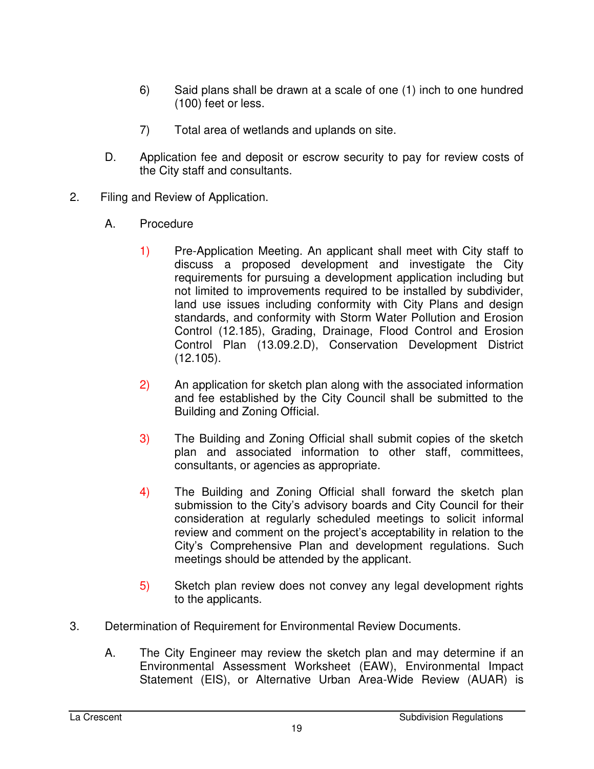- 6) Said plans shall be drawn at a scale of one (1) inch to one hundred (100) feet or less.
- 7) Total area of wetlands and uplands on site.
- D. Application fee and deposit or escrow security to pay for review costs of the City staff and consultants.
- 2. Filing and Review of Application.
	- A. Procedure
		- 1) Pre-Application Meeting. An applicant shall meet with City staff to discuss a proposed development and investigate the City requirements for pursuing a development application including but not limited to improvements required to be installed by subdivider, land use issues including conformity with City Plans and design standards, and conformity with Storm Water Pollution and Erosion Control (12.185), Grading, Drainage, Flood Control and Erosion Control Plan (13.09.2.D), Conservation Development District (12.105).
		- 2) An application for sketch plan along with the associated information and fee established by the City Council shall be submitted to the Building and Zoning Official.
		- 3) The Building and Zoning Official shall submit copies of the sketch plan and associated information to other staff, committees, consultants, or agencies as appropriate.
		- 4) The Building and Zoning Official shall forward the sketch plan submission to the City's advisory boards and City Council for their consideration at regularly scheduled meetings to solicit informal review and comment on the project's acceptability in relation to the City's Comprehensive Plan and development regulations. Such meetings should be attended by the applicant.
		- 5) Sketch plan review does not convey any legal development rights to the applicants.
- 3. Determination of Requirement for Environmental Review Documents.
	- A. The City Engineer may review the sketch plan and may determine if an Environmental Assessment Worksheet (EAW), Environmental Impact Statement (EIS), or Alternative Urban Area-Wide Review (AUAR) is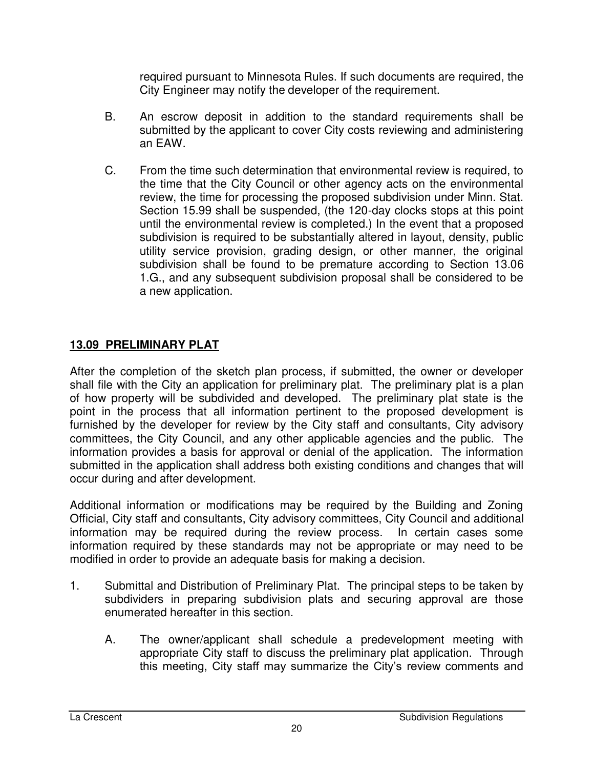required pursuant to Minnesota Rules. If such documents are required, the City Engineer may notify the developer of the requirement.

- B. An escrow deposit in addition to the standard requirements shall be submitted by the applicant to cover City costs reviewing and administering an EAW.
- C. From the time such determination that environmental review is required, to the time that the City Council or other agency acts on the environmental review, the time for processing the proposed subdivision under Minn. Stat. Section 15.99 shall be suspended, (the 120-day clocks stops at this point until the environmental review is completed.) In the event that a proposed subdivision is required to be substantially altered in layout, density, public utility service provision, grading design, or other manner, the original subdivision shall be found to be premature according to Section 13.06 1.G., and any subsequent subdivision proposal shall be considered to be a new application.

## **13.09 PRELIMINARY PLAT**

After the completion of the sketch plan process, if submitted, the owner or developer shall file with the City an application for preliminary plat. The preliminary plat is a plan of how property will be subdivided and developed. The preliminary plat state is the point in the process that all information pertinent to the proposed development is furnished by the developer for review by the City staff and consultants, City advisory committees, the City Council, and any other applicable agencies and the public. The information provides a basis for approval or denial of the application. The information submitted in the application shall address both existing conditions and changes that will occur during and after development.

Additional information or modifications may be required by the Building and Zoning Official, City staff and consultants, City advisory committees, City Council and additional information may be required during the review process. In certain cases some information required by these standards may not be appropriate or may need to be modified in order to provide an adequate basis for making a decision.

- 1. Submittal and Distribution of Preliminary Plat. The principal steps to be taken by subdividers in preparing subdivision plats and securing approval are those enumerated hereafter in this section.
	- A. The owner/applicant shall schedule a predevelopment meeting with appropriate City staff to discuss the preliminary plat application. Through this meeting, City staff may summarize the City's review comments and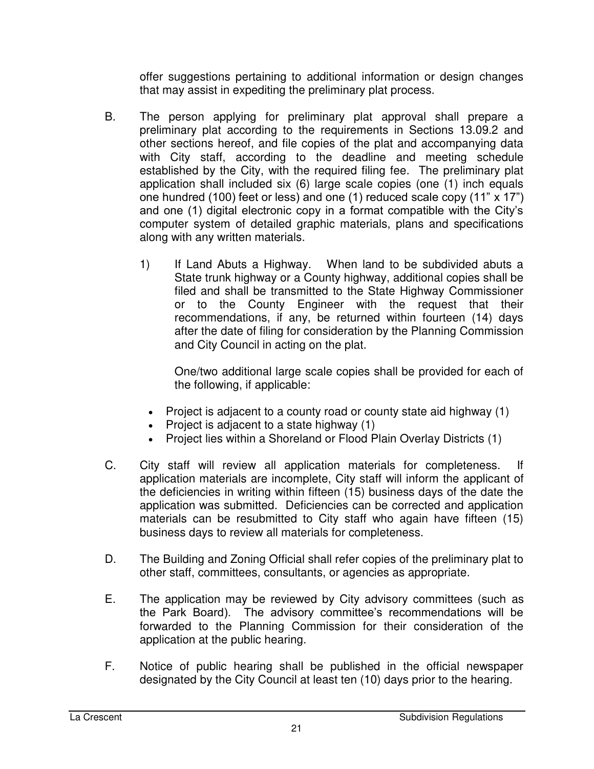offer suggestions pertaining to additional information or design changes that may assist in expediting the preliminary plat process.

- B. The person applying for preliminary plat approval shall prepare a preliminary plat according to the requirements in Sections 13.09.2 and other sections hereof, and file copies of the plat and accompanying data with City staff, according to the deadline and meeting schedule established by the City, with the required filing fee. The preliminary plat application shall included six (6) large scale copies (one (1) inch equals one hundred (100) feet or less) and one (1) reduced scale copy (11" x 17") and one (1) digital electronic copy in a format compatible with the City's computer system of detailed graphic materials, plans and specifications along with any written materials.
	- 1) If Land Abuts a Highway. When land to be subdivided abuts a State trunk highway or a County highway, additional copies shall be filed and shall be transmitted to the State Highway Commissioner or to the County Engineer with the request that their recommendations, if any, be returned within fourteen (14) days after the date of filing for consideration by the Planning Commission and City Council in acting on the plat.

One/two additional large scale copies shall be provided for each of the following, if applicable:

- Project is adjacent to a county road or county state aid highway (1)
- Project is adjacent to a state highway  $(1)$
- Project lies within a Shoreland or Flood Plain Overlay Districts (1)
- C. City staff will review all application materials for completeness. If application materials are incomplete, City staff will inform the applicant of the deficiencies in writing within fifteen (15) business days of the date the application was submitted. Deficiencies can be corrected and application materials can be resubmitted to City staff who again have fifteen (15) business days to review all materials for completeness.
- D. The Building and Zoning Official shall refer copies of the preliminary plat to other staff, committees, consultants, or agencies as appropriate.
- E. The application may be reviewed by City advisory committees (such as the Park Board). The advisory committee's recommendations will be forwarded to the Planning Commission for their consideration of the application at the public hearing.
- F. Notice of public hearing shall be published in the official newspaper designated by the City Council at least ten (10) days prior to the hearing.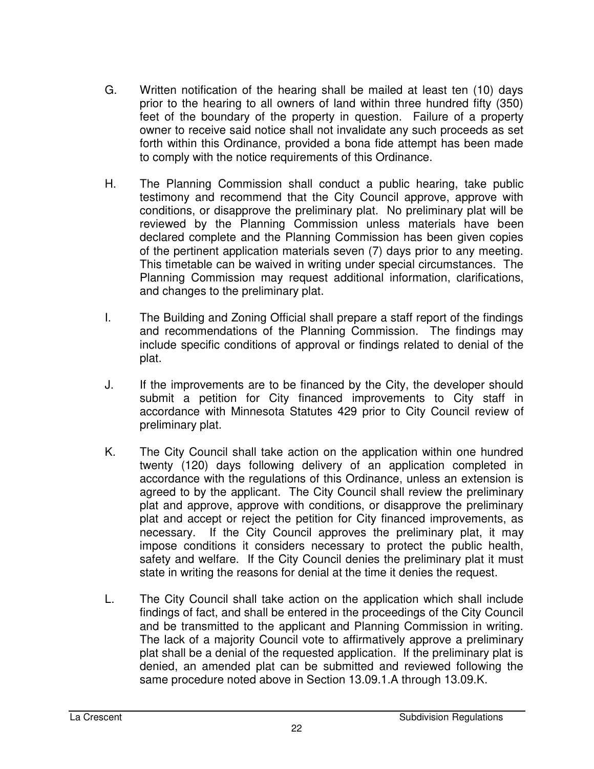- G. Written notification of the hearing shall be mailed at least ten (10) days prior to the hearing to all owners of land within three hundred fifty (350) feet of the boundary of the property in question. Failure of a property owner to receive said notice shall not invalidate any such proceeds as set forth within this Ordinance, provided a bona fide attempt has been made to comply with the notice requirements of this Ordinance.
- H. The Planning Commission shall conduct a public hearing, take public testimony and recommend that the City Council approve, approve with conditions, or disapprove the preliminary plat. No preliminary plat will be reviewed by the Planning Commission unless materials have been declared complete and the Planning Commission has been given copies of the pertinent application materials seven (7) days prior to any meeting. This timetable can be waived in writing under special circumstances. The Planning Commission may request additional information, clarifications, and changes to the preliminary plat.
- I. The Building and Zoning Official shall prepare a staff report of the findings and recommendations of the Planning Commission. The findings may include specific conditions of approval or findings related to denial of the plat.
- J. If the improvements are to be financed by the City, the developer should submit a petition for City financed improvements to City staff in accordance with Minnesota Statutes 429 prior to City Council review of preliminary plat.
- K. The City Council shall take action on the application within one hundred twenty (120) days following delivery of an application completed in accordance with the regulations of this Ordinance, unless an extension is agreed to by the applicant. The City Council shall review the preliminary plat and approve, approve with conditions, or disapprove the preliminary plat and accept or reject the petition for City financed improvements, as necessary. If the City Council approves the preliminary plat, it may impose conditions it considers necessary to protect the public health, safety and welfare. If the City Council denies the preliminary plat it must state in writing the reasons for denial at the time it denies the request.
- L. The City Council shall take action on the application which shall include findings of fact, and shall be entered in the proceedings of the City Council and be transmitted to the applicant and Planning Commission in writing. The lack of a majority Council vote to affirmatively approve a preliminary plat shall be a denial of the requested application. If the preliminary plat is denied, an amended plat can be submitted and reviewed following the same procedure noted above in Section 13.09.1.A through 13.09.K.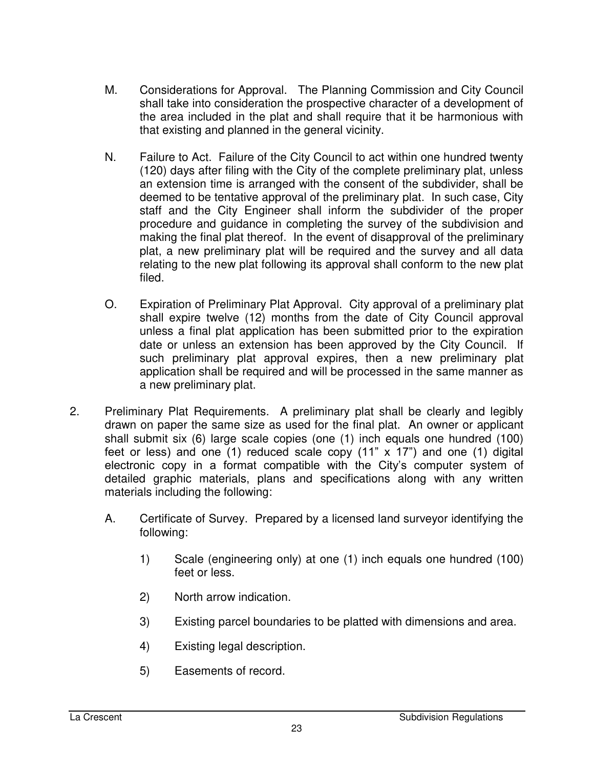- M. Considerations for Approval. The Planning Commission and City Council shall take into consideration the prospective character of a development of the area included in the plat and shall require that it be harmonious with that existing and planned in the general vicinity.
- N. Failure to Act. Failure of the City Council to act within one hundred twenty (120) days after filing with the City of the complete preliminary plat, unless an extension time is arranged with the consent of the subdivider, shall be deemed to be tentative approval of the preliminary plat. In such case, City staff and the City Engineer shall inform the subdivider of the proper procedure and guidance in completing the survey of the subdivision and making the final plat thereof. In the event of disapproval of the preliminary plat, a new preliminary plat will be required and the survey and all data relating to the new plat following its approval shall conform to the new plat filed.
- O. Expiration of Preliminary Plat Approval. City approval of a preliminary plat shall expire twelve (12) months from the date of City Council approval unless a final plat application has been submitted prior to the expiration date or unless an extension has been approved by the City Council. If such preliminary plat approval expires, then a new preliminary plat application shall be required and will be processed in the same manner as a new preliminary plat.
- 2. Preliminary Plat Requirements. A preliminary plat shall be clearly and legibly drawn on paper the same size as used for the final plat. An owner or applicant shall submit six (6) large scale copies (one (1) inch equals one hundred (100) feet or less) and one (1) reduced scale copy (11" x 17") and one (1) digital electronic copy in a format compatible with the City's computer system of detailed graphic materials, plans and specifications along with any written materials including the following:
	- A. Certificate of Survey. Prepared by a licensed land surveyor identifying the following:
		- 1) Scale (engineering only) at one (1) inch equals one hundred (100) feet or less.
		- 2) North arrow indication.
		- 3) Existing parcel boundaries to be platted with dimensions and area.
		- 4) Existing legal description.
		- 5) Easements of record.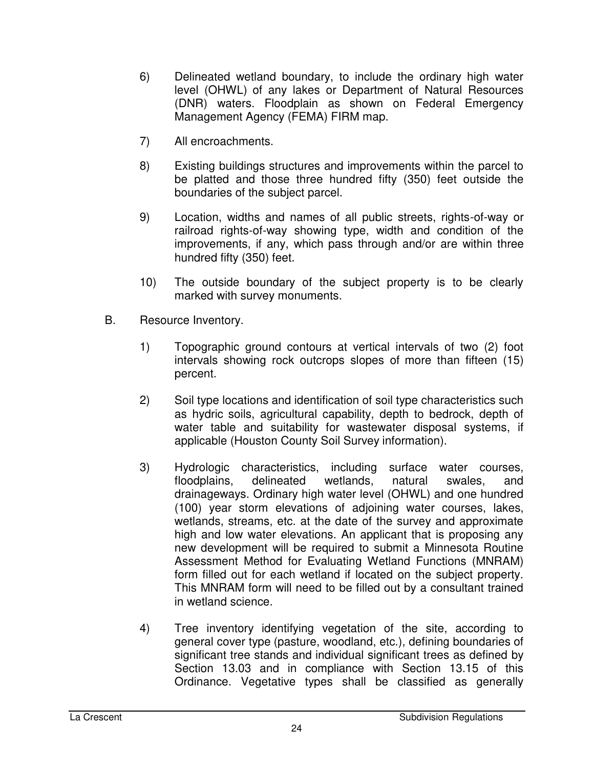- 6) Delineated wetland boundary, to include the ordinary high water level (OHWL) of any lakes or Department of Natural Resources (DNR) waters. Floodplain as shown on Federal Emergency Management Agency (FEMA) FIRM map.
- 7) All encroachments.
- 8) Existing buildings structures and improvements within the parcel to be platted and those three hundred fifty (350) feet outside the boundaries of the subject parcel.
- 9) Location, widths and names of all public streets, rights-of-way or railroad rights-of-way showing type, width and condition of the improvements, if any, which pass through and/or are within three hundred fifty (350) feet.
- 10) The outside boundary of the subject property is to be clearly marked with survey monuments.
- B. Resource Inventory.
	- 1) Topographic ground contours at vertical intervals of two (2) foot intervals showing rock outcrops slopes of more than fifteen (15) percent.
	- 2) Soil type locations and identification of soil type characteristics such as hydric soils, agricultural capability, depth to bedrock, depth of water table and suitability for wastewater disposal systems, if applicable (Houston County Soil Survey information).
	- 3) Hydrologic characteristics, including surface water courses, floodplains, delineated wetlands, natural swales, and drainageways. Ordinary high water level (OHWL) and one hundred (100) year storm elevations of adjoining water courses, lakes, wetlands, streams, etc. at the date of the survey and approximate high and low water elevations. An applicant that is proposing any new development will be required to submit a Minnesota Routine Assessment Method for Evaluating Wetland Functions (MNRAM) form filled out for each wetland if located on the subject property. This MNRAM form will need to be filled out by a consultant trained in wetland science.
	- 4) Tree inventory identifying vegetation of the site, according to general cover type (pasture, woodland, etc.), defining boundaries of significant tree stands and individual significant trees as defined by Section 13.03 and in compliance with Section 13.15 of this Ordinance. Vegetative types shall be classified as generally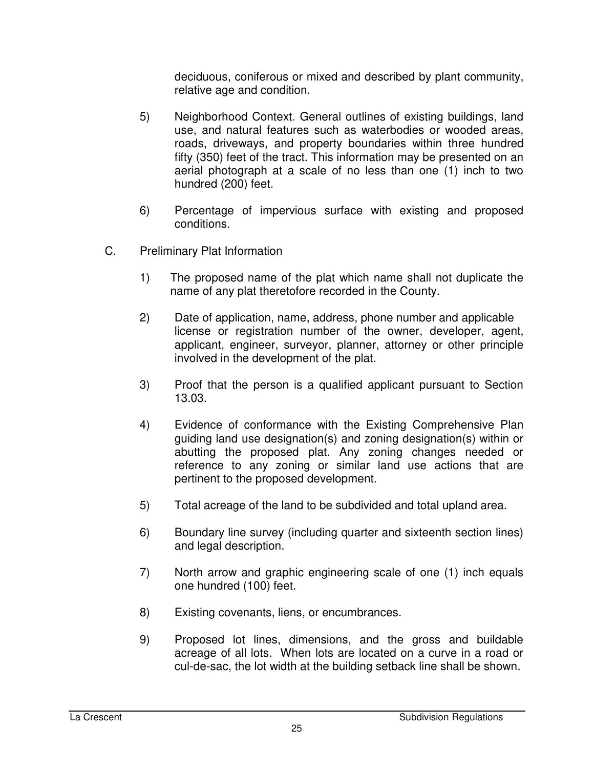deciduous, coniferous or mixed and described by plant community, relative age and condition.

- 5) Neighborhood Context. General outlines of existing buildings, land use, and natural features such as waterbodies or wooded areas, roads, driveways, and property boundaries within three hundred fifty (350) feet of the tract. This information may be presented on an aerial photograph at a scale of no less than one (1) inch to two hundred (200) feet.
- 6) Percentage of impervious surface with existing and proposed conditions.
- C. Preliminary Plat Information
	- 1) The proposed name of the plat which name shall not duplicate the name of any plat theretofore recorded in the County.
	- 2) Date of application, name, address, phone number and applicable license or registration number of the owner, developer, agent, applicant, engineer, surveyor, planner, attorney or other principle involved in the development of the plat.
	- 3) Proof that the person is a qualified applicant pursuant to Section 13.03.
	- 4) Evidence of conformance with the Existing Comprehensive Plan guiding land use designation(s) and zoning designation(s) within or abutting the proposed plat. Any zoning changes needed or reference to any zoning or similar land use actions that are pertinent to the proposed development.
	- 5) Total acreage of the land to be subdivided and total upland area.
	- 6) Boundary line survey (including quarter and sixteenth section lines) and legal description.
	- 7) North arrow and graphic engineering scale of one (1) inch equals one hundred (100) feet.
	- 8) Existing covenants, liens, or encumbrances.
	- 9) Proposed lot lines, dimensions, and the gross and buildable acreage of all lots. When lots are located on a curve in a road or cul-de-sac, the lot width at the building setback line shall be shown.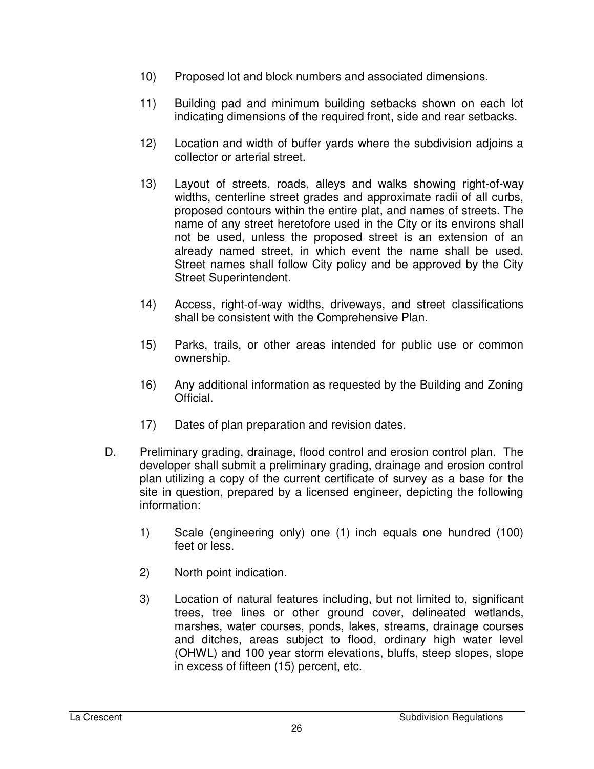- 10) Proposed lot and block numbers and associated dimensions.
- 11) Building pad and minimum building setbacks shown on each lot indicating dimensions of the required front, side and rear setbacks.
- 12) Location and width of buffer yards where the subdivision adjoins a collector or arterial street.
- 13) Layout of streets, roads, alleys and walks showing right-of-way widths, centerline street grades and approximate radii of all curbs, proposed contours within the entire plat, and names of streets. The name of any street heretofore used in the City or its environs shall not be used, unless the proposed street is an extension of an already named street, in which event the name shall be used. Street names shall follow City policy and be approved by the City Street Superintendent.
- 14) Access, right-of-way widths, driveways, and street classifications shall be consistent with the Comprehensive Plan.
- 15) Parks, trails, or other areas intended for public use or common ownership.
- 16) Any additional information as requested by the Building and Zoning Official.
- 17) Dates of plan preparation and revision dates.
- D. Preliminary grading, drainage, flood control and erosion control plan. The developer shall submit a preliminary grading, drainage and erosion control plan utilizing a copy of the current certificate of survey as a base for the site in question, prepared by a licensed engineer, depicting the following information:
	- 1) Scale (engineering only) one (1) inch equals one hundred (100) feet or less.
	- 2) North point indication.
	- 3) Location of natural features including, but not limited to, significant trees, tree lines or other ground cover, delineated wetlands, marshes, water courses, ponds, lakes, streams, drainage courses and ditches, areas subject to flood, ordinary high water level (OHWL) and 100 year storm elevations, bluffs, steep slopes, slope in excess of fifteen (15) percent, etc.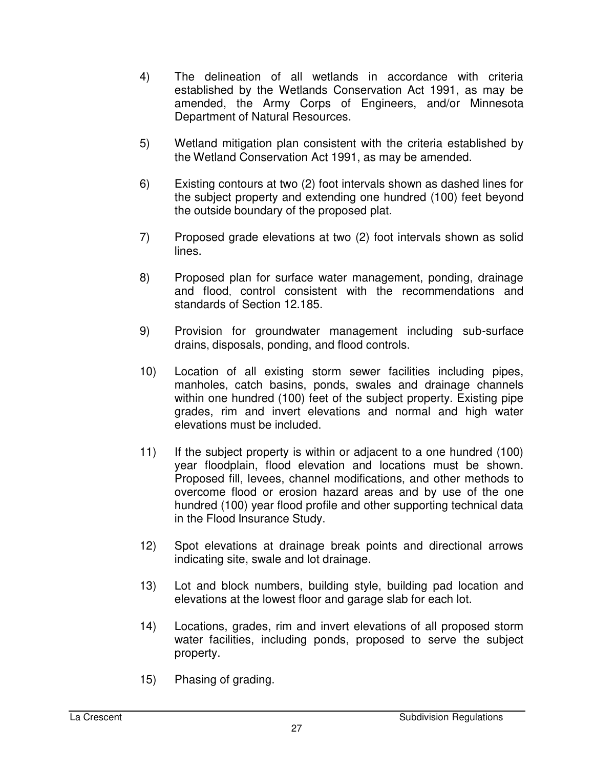- 4) The delineation of all wetlands in accordance with criteria established by the Wetlands Conservation Act 1991, as may be amended, the Army Corps of Engineers, and/or Minnesota Department of Natural Resources.
- 5) Wetland mitigation plan consistent with the criteria established by the Wetland Conservation Act 1991, as may be amended.
- 6) Existing contours at two (2) foot intervals shown as dashed lines for the subject property and extending one hundred (100) feet beyond the outside boundary of the proposed plat.
- 7) Proposed grade elevations at two (2) foot intervals shown as solid lines.
- 8) Proposed plan for surface water management, ponding, drainage and flood, control consistent with the recommendations and standards of Section 12.185.
- 9) Provision for groundwater management including sub-surface drains, disposals, ponding, and flood controls.
- 10) Location of all existing storm sewer facilities including pipes, manholes, catch basins, ponds, swales and drainage channels within one hundred (100) feet of the subject property. Existing pipe grades, rim and invert elevations and normal and high water elevations must be included.
- 11) If the subject property is within or adjacent to a one hundred (100) year floodplain, flood elevation and locations must be shown. Proposed fill, levees, channel modifications, and other methods to overcome flood or erosion hazard areas and by use of the one hundred (100) year flood profile and other supporting technical data in the Flood Insurance Study.
- 12) Spot elevations at drainage break points and directional arrows indicating site, swale and lot drainage.
- 13) Lot and block numbers, building style, building pad location and elevations at the lowest floor and garage slab for each lot.
- 14) Locations, grades, rim and invert elevations of all proposed storm water facilities, including ponds, proposed to serve the subject property.
- 15) Phasing of grading.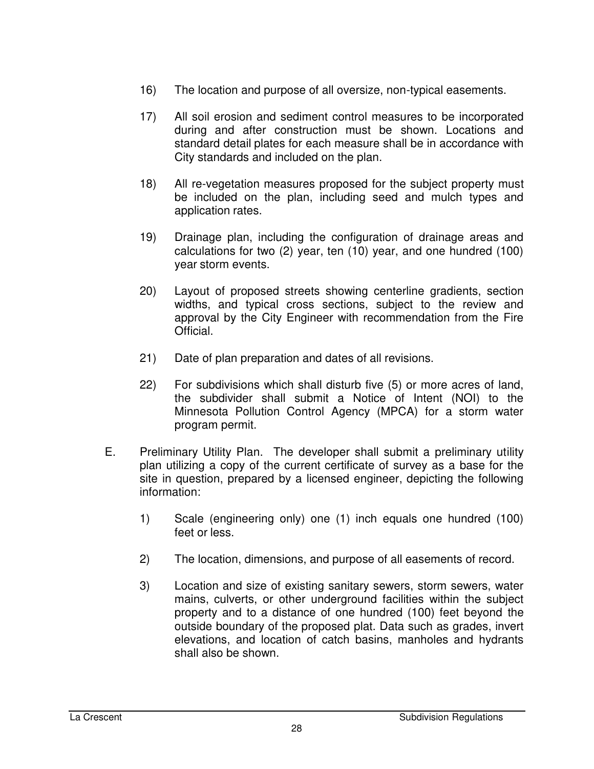- 16) The location and purpose of all oversize, non-typical easements.
- 17) All soil erosion and sediment control measures to be incorporated during and after construction must be shown. Locations and standard detail plates for each measure shall be in accordance with City standards and included on the plan.
- 18) All re-vegetation measures proposed for the subject property must be included on the plan, including seed and mulch types and application rates.
- 19) Drainage plan, including the configuration of drainage areas and calculations for two (2) year, ten (10) year, and one hundred (100) year storm events.
- 20) Layout of proposed streets showing centerline gradients, section widths, and typical cross sections, subject to the review and approval by the City Engineer with recommendation from the Fire Official.
- 21) Date of plan preparation and dates of all revisions.
- 22) For subdivisions which shall disturb five (5) or more acres of land, the subdivider shall submit a Notice of Intent (NOI) to the Minnesota Pollution Control Agency (MPCA) for a storm water program permit.
- E. Preliminary Utility Plan. The developer shall submit a preliminary utility plan utilizing a copy of the current certificate of survey as a base for the site in question, prepared by a licensed engineer, depicting the following information:
	- 1) Scale (engineering only) one (1) inch equals one hundred (100) feet or less.
	- 2) The location, dimensions, and purpose of all easements of record.
	- 3) Location and size of existing sanitary sewers, storm sewers, water mains, culverts, or other underground facilities within the subject property and to a distance of one hundred (100) feet beyond the outside boundary of the proposed plat. Data such as grades, invert elevations, and location of catch basins, manholes and hydrants shall also be shown.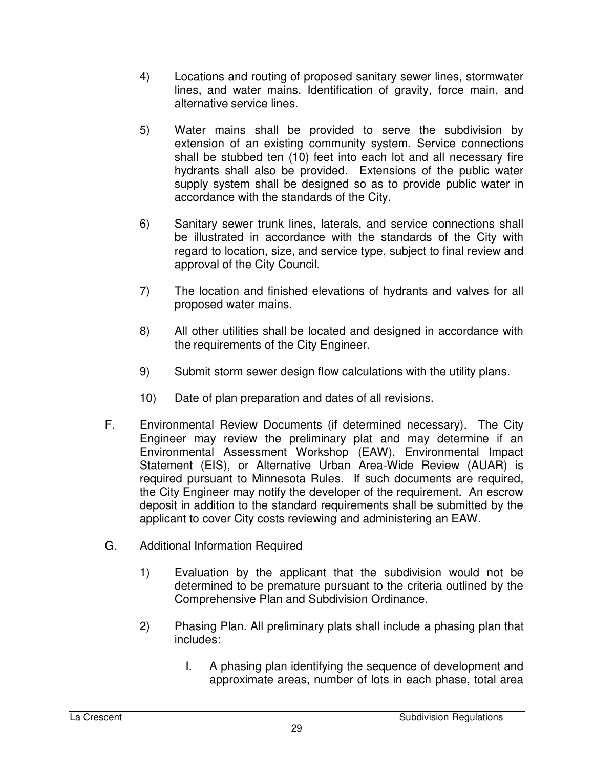- 4) Locations and routing of proposed sanitary sewer lines, stormwater lines, and water mains. Identification of gravity, force main, and alternative service lines.
- 5) Water mains shall be provided to serve the subdivision by extension of an existing community system. Service connections shall be stubbed ten (10) feet into each lot and all necessary fire hydrants shall also be provided. Extensions of the public water supply system shall be designed so as to provide public water in accordance with the standards of the City.
- 6) Sanitary sewer trunk lines, laterals, and service connections shall be illustrated in accordance with the standards of the City with regard to location, size, and service type, subject to final review and approval of the City Council.
- 7) The location and finished elevations of hydrants and valves for all proposed water mains.
- 8) All other utilities shall be located and designed in accordance with the requirements of the City Engineer.
- 9) Submit storm sewer design flow calculations with the utility plans.
- 10) Date of plan preparation and dates of all revisions.
- F. Environmental Review Documents (if determined necessary). The City Engineer may review the preliminary plat and may determine if an Environmental Assessment Workshop (EAW), Environmental Impact Statement (EIS), or Alternative Urban Area-Wide Review (AUAR) is required pursuant to Minnesota Rules. If such documents are required, the City Engineer may notify the developer of the requirement. An escrow deposit in addition to the standard requirements shall be submitted by the applicant to cover City costs reviewing and administering an EAW.
- G. Additional Information Required
	- 1) Evaluation by the applicant that the subdivision would not be determined to be premature pursuant to the criteria outlined by the Comprehensive Plan and Subdivision Ordinance.
	- 2) Phasing Plan. All preliminary plats shall include a phasing plan that includes:
		- I. A phasing plan identifying the sequence of development and approximate areas, number of lots in each phase, total area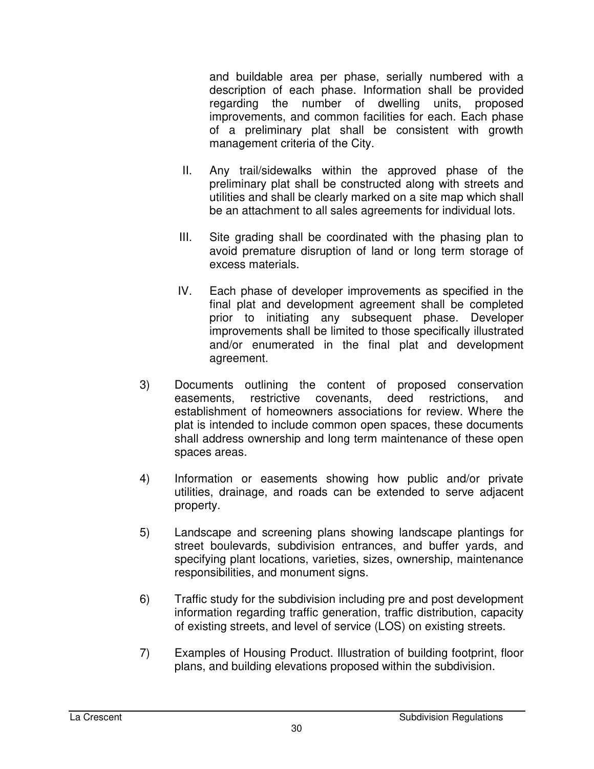and buildable area per phase, serially numbered with a description of each phase. Information shall be provided regarding the number of dwelling units, proposed improvements, and common facilities for each. Each phase of a preliminary plat shall be consistent with growth management criteria of the City.

- II. Any trail/sidewalks within the approved phase of the preliminary plat shall be constructed along with streets and utilities and shall be clearly marked on a site map which shall be an attachment to all sales agreements for individual lots.
- III. Site grading shall be coordinated with the phasing plan to avoid premature disruption of land or long term storage of excess materials.
- IV. Each phase of developer improvements as specified in the final plat and development agreement shall be completed prior to initiating any subsequent phase. Developer improvements shall be limited to those specifically illustrated and/or enumerated in the final plat and development agreement.
- 3) Documents outlining the content of proposed conservation easements, restrictive covenants, deed restrictions, and establishment of homeowners associations for review. Where the plat is intended to include common open spaces, these documents shall address ownership and long term maintenance of these open spaces areas.
- 4) Information or easements showing how public and/or private utilities, drainage, and roads can be extended to serve adjacent property.
- 5) Landscape and screening plans showing landscape plantings for street boulevards, subdivision entrances, and buffer yards, and specifying plant locations, varieties, sizes, ownership, maintenance responsibilities, and monument signs.
- 6) Traffic study for the subdivision including pre and post development information regarding traffic generation, traffic distribution, capacity of existing streets, and level of service (LOS) on existing streets.
- 7) Examples of Housing Product. Illustration of building footprint, floor plans, and building elevations proposed within the subdivision.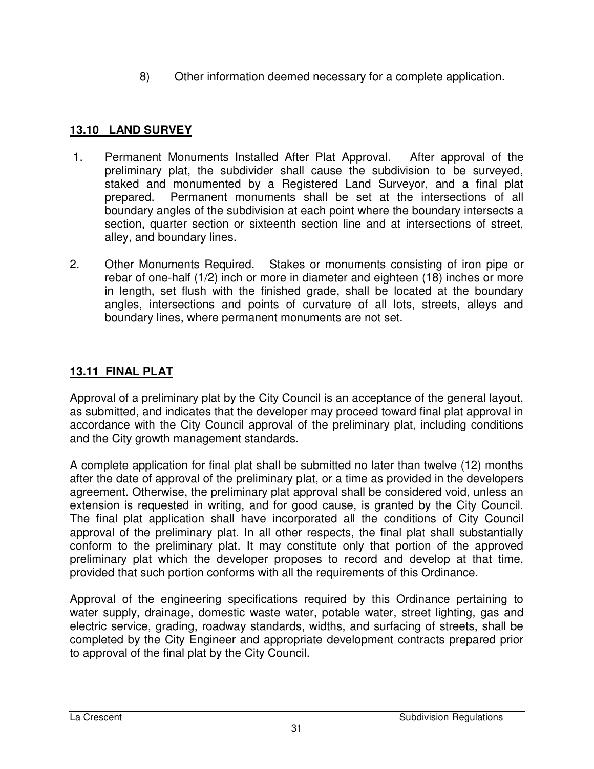8) Other information deemed necessary for a complete application.

## **13.10 LAND SURVEY**

- 1. Permanent Monuments Installed After Plat Approval. After approval of the preliminary plat, the subdivider shall cause the subdivision to be surveyed, staked and monumented by a Registered Land Surveyor, and a final plat prepared. Permanent monuments shall be set at the intersections of all boundary angles of the subdivision at each point where the boundary intersects a section, quarter section or sixteenth section line and at intersections of street, alley, and boundary lines.
- 2. Other Monuments Required. Stakes or monuments consisting of iron pipe or rebar of one-half (1/2) inch or more in diameter and eighteen (18) inches or more in length, set flush with the finished grade, shall be located at the boundary angles, intersections and points of curvature of all lots, streets, alleys and boundary lines, where permanent monuments are not set.

## **13.11 FINAL PLAT**

Approval of a preliminary plat by the City Council is an acceptance of the general layout, as submitted, and indicates that the developer may proceed toward final plat approval in accordance with the City Council approval of the preliminary plat, including conditions and the City growth management standards.

A complete application for final plat shall be submitted no later than twelve (12) months after the date of approval of the preliminary plat, or a time as provided in the developers agreement. Otherwise, the preliminary plat approval shall be considered void, unless an extension is requested in writing, and for good cause, is granted by the City Council. The final plat application shall have incorporated all the conditions of City Council approval of the preliminary plat. In all other respects, the final plat shall substantially conform to the preliminary plat. It may constitute only that portion of the approved preliminary plat which the developer proposes to record and develop at that time, provided that such portion conforms with all the requirements of this Ordinance.

Approval of the engineering specifications required by this Ordinance pertaining to water supply, drainage, domestic waste water, potable water, street lighting, gas and electric service, grading, roadway standards, widths, and surfacing of streets, shall be completed by the City Engineer and appropriate development contracts prepared prior to approval of the final plat by the City Council.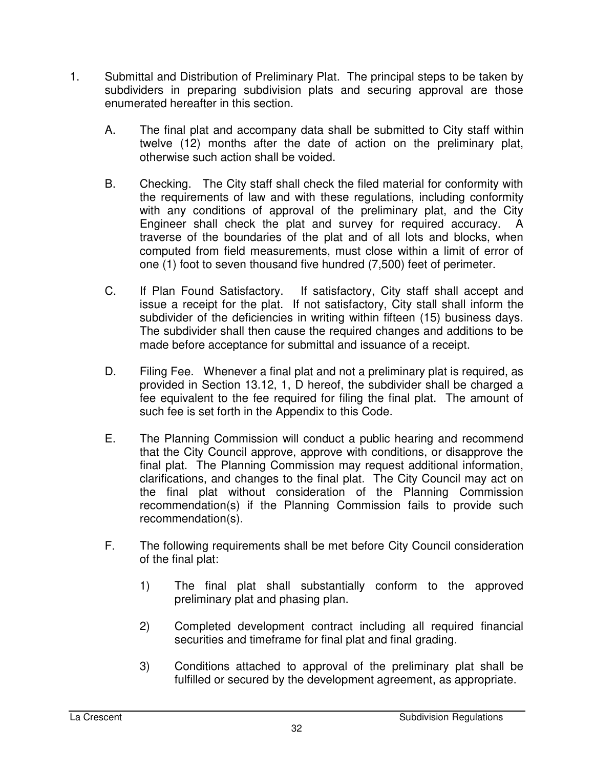- 1. Submittal and Distribution of Preliminary Plat. The principal steps to be taken by subdividers in preparing subdivision plats and securing approval are those enumerated hereafter in this section.
	- A. The final plat and accompany data shall be submitted to City staff within twelve (12) months after the date of action on the preliminary plat, otherwise such action shall be voided.
	- B. Checking. The City staff shall check the filed material for conformity with the requirements of law and with these regulations, including conformity with any conditions of approval of the preliminary plat, and the City Engineer shall check the plat and survey for required accuracy. A traverse of the boundaries of the plat and of all lots and blocks, when computed from field measurements, must close within a limit of error of one (1) foot to seven thousand five hundred (7,500) feet of perimeter.
	- C. If Plan Found Satisfactory. If satisfactory, City staff shall accept and issue a receipt for the plat. If not satisfactory, City stall shall inform the subdivider of the deficiencies in writing within fifteen (15) business days. The subdivider shall then cause the required changes and additions to be made before acceptance for submittal and issuance of a receipt.
	- D. Filing Fee. Whenever a final plat and not a preliminary plat is required, as provided in Section 13.12, 1, D hereof, the subdivider shall be charged a fee equivalent to the fee required for filing the final plat. The amount of such fee is set forth in the Appendix to this Code.
	- E. The Planning Commission will conduct a public hearing and recommend that the City Council approve, approve with conditions, or disapprove the final plat. The Planning Commission may request additional information, clarifications, and changes to the final plat. The City Council may act on the final plat without consideration of the Planning Commission recommendation(s) if the Planning Commission fails to provide such recommendation(s).
	- F. The following requirements shall be met before City Council consideration of the final plat:
		- 1) The final plat shall substantially conform to the approved preliminary plat and phasing plan.
		- 2) Completed development contract including all required financial securities and timeframe for final plat and final grading.
		- 3) Conditions attached to approval of the preliminary plat shall be fulfilled or secured by the development agreement, as appropriate.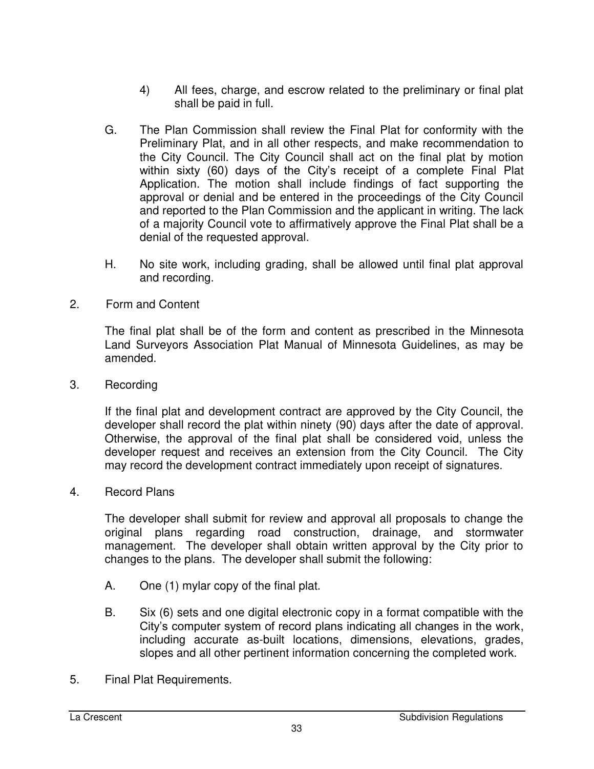- 4) All fees, charge, and escrow related to the preliminary or final plat shall be paid in full.
- G. The Plan Commission shall review the Final Plat for conformity with the Preliminary Plat, and in all other respects, and make recommendation to the City Council. The City Council shall act on the final plat by motion within sixty (60) days of the City's receipt of a complete Final Plat Application. The motion shall include findings of fact supporting the approval or denial and be entered in the proceedings of the City Council and reported to the Plan Commission and the applicant in writing. The lack of a majority Council vote to affirmatively approve the Final Plat shall be a denial of the requested approval.
- H. No site work, including grading, shall be allowed until final plat approval and recording.
- 2. Form and Content

The final plat shall be of the form and content as prescribed in the Minnesota Land Surveyors Association Plat Manual of Minnesota Guidelines, as may be amended.

3. Recording

If the final plat and development contract are approved by the City Council, the developer shall record the plat within ninety (90) days after the date of approval. Otherwise, the approval of the final plat shall be considered void, unless the developer request and receives an extension from the City Council. The City may record the development contract immediately upon receipt of signatures.

4. Record Plans

The developer shall submit for review and approval all proposals to change the original plans regarding road construction, drainage, and stormwater management. The developer shall obtain written approval by the City prior to changes to the plans. The developer shall submit the following:

- A. One (1) mylar copy of the final plat.
- B. Six (6) sets and one digital electronic copy in a format compatible with the City's computer system of record plans indicating all changes in the work, including accurate as-built locations, dimensions, elevations, grades, slopes and all other pertinent information concerning the completed work.
- 5. Final Plat Requirements.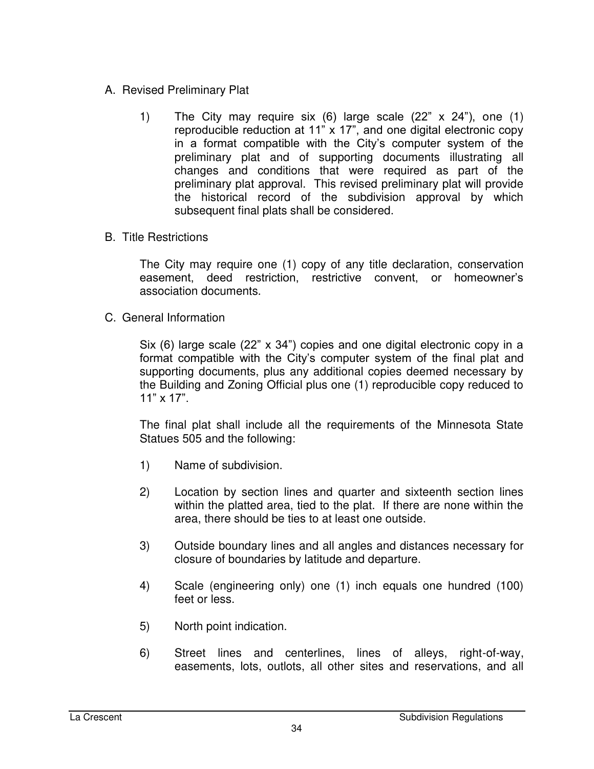- A. Revised Preliminary Plat
	- 1) The City may require six (6) large scale (22" x 24"), one (1) reproducible reduction at 11" x 17", and one digital electronic copy in a format compatible with the City's computer system of the preliminary plat and of supporting documents illustrating all changes and conditions that were required as part of the preliminary plat approval. This revised preliminary plat will provide the historical record of the subdivision approval by which subsequent final plats shall be considered.
- B. Title Restrictions

The City may require one (1) copy of any title declaration, conservation easement, deed restriction, restrictive convent, or homeowner's association documents.

C. General Information

Six (6) large scale (22" x 34") copies and one digital electronic copy in a format compatible with the City's computer system of the final plat and supporting documents, plus any additional copies deemed necessary by the Building and Zoning Official plus one (1) reproducible copy reduced to 11" x 17".

The final plat shall include all the requirements of the Minnesota State Statues 505 and the following:

- 1) Name of subdivision.
- 2) Location by section lines and quarter and sixteenth section lines within the platted area, tied to the plat. If there are none within the area, there should be ties to at least one outside.
- 3) Outside boundary lines and all angles and distances necessary for closure of boundaries by latitude and departure.
- 4) Scale (engineering only) one (1) inch equals one hundred (100) feet or less.
- 5) North point indication.
- 6) Street lines and centerlines, lines of alleys, right-of-way, easements, lots, outlots, all other sites and reservations, and all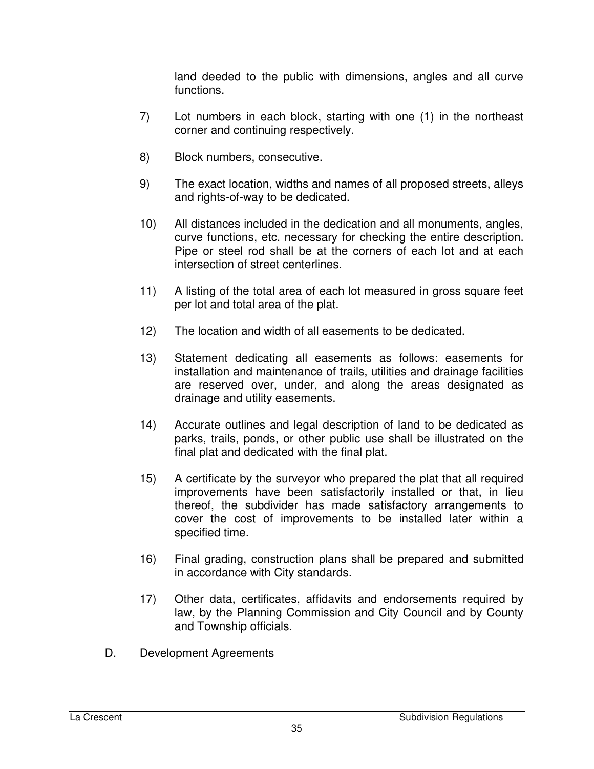land deeded to the public with dimensions, angles and all curve functions.

- 7) Lot numbers in each block, starting with one (1) in the northeast corner and continuing respectively.
- 8) Block numbers, consecutive.
- 9) The exact location, widths and names of all proposed streets, alleys and rights-of-way to be dedicated.
- 10) All distances included in the dedication and all monuments, angles, curve functions, etc. necessary for checking the entire description. Pipe or steel rod shall be at the corners of each lot and at each intersection of street centerlines.
- 11) A listing of the total area of each lot measured in gross square feet per lot and total area of the plat.
- 12) The location and width of all easements to be dedicated.
- 13) Statement dedicating all easements as follows: easements for installation and maintenance of trails, utilities and drainage facilities are reserved over, under, and along the areas designated as drainage and utility easements.
- 14) Accurate outlines and legal description of land to be dedicated as parks, trails, ponds, or other public use shall be illustrated on the final plat and dedicated with the final plat.
- 15) A certificate by the surveyor who prepared the plat that all required improvements have been satisfactorily installed or that, in lieu thereof, the subdivider has made satisfactory arrangements to cover the cost of improvements to be installed later within a specified time.
- 16) Final grading, construction plans shall be prepared and submitted in accordance with City standards.
- 17) Other data, certificates, affidavits and endorsements required by law, by the Planning Commission and City Council and by County and Township officials.
- D. Development Agreements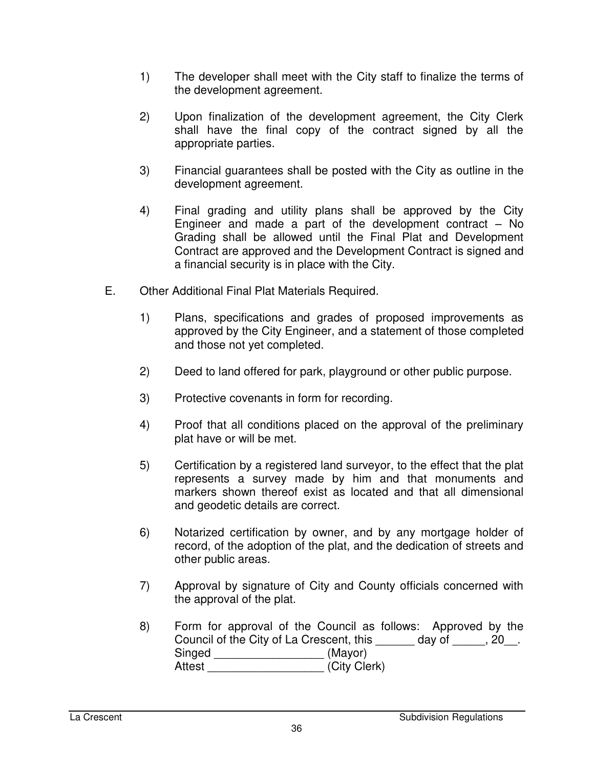- 1) The developer shall meet with the City staff to finalize the terms of the development agreement.
- 2) Upon finalization of the development agreement, the City Clerk shall have the final copy of the contract signed by all the appropriate parties.
- 3) Financial guarantees shall be posted with the City as outline in the development agreement.
- 4) Final grading and utility plans shall be approved by the City Engineer and made a part of the development contract – No Grading shall be allowed until the Final Plat and Development Contract are approved and the Development Contract is signed and a financial security is in place with the City.
- E. Other Additional Final Plat Materials Required.
	- 1) Plans, specifications and grades of proposed improvements as approved by the City Engineer, and a statement of those completed and those not yet completed.
	- 2) Deed to land offered for park, playground or other public purpose.
	- 3) Protective covenants in form for recording.
	- 4) Proof that all conditions placed on the approval of the preliminary plat have or will be met.
	- 5) Certification by a registered land surveyor, to the effect that the plat represents a survey made by him and that monuments and markers shown thereof exist as located and that all dimensional and geodetic details are correct.
	- 6) Notarized certification by owner, and by any mortgage holder of record, of the adoption of the plat, and the dedication of streets and other public areas.
	- 7) Approval by signature of City and County officials concerned with the approval of the plat.
	- 8) Form for approval of the Council as follows: Approved by the Council of the City of La Crescent, this \_\_\_\_\_\_ day of \_\_\_\_\_, 20\_\_. Singed \_\_\_\_\_\_\_\_\_\_\_\_\_\_\_\_\_\_\_\_\_\_\_\_ (Mayor) Attest **Attest** (City Clerk)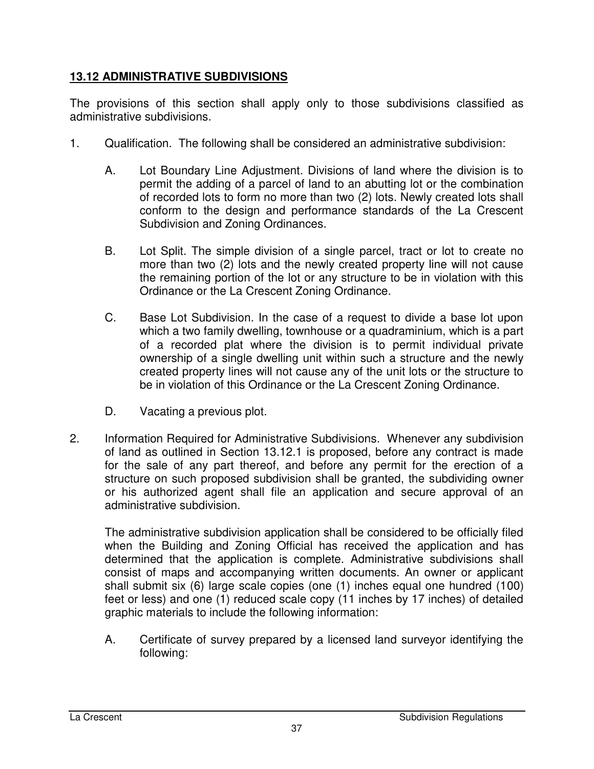### **13.12 ADMINISTRATIVE SUBDIVISIONS**

The provisions of this section shall apply only to those subdivisions classified as administrative subdivisions.

- 1. Qualification. The following shall be considered an administrative subdivision:
	- A. Lot Boundary Line Adjustment. Divisions of land where the division is to permit the adding of a parcel of land to an abutting lot or the combination of recorded lots to form no more than two (2) lots. Newly created lots shall conform to the design and performance standards of the La Crescent Subdivision and Zoning Ordinances.
	- B. Lot Split. The simple division of a single parcel, tract or lot to create no more than two (2) lots and the newly created property line will not cause the remaining portion of the lot or any structure to be in violation with this Ordinance or the La Crescent Zoning Ordinance.
	- C. Base Lot Subdivision. In the case of a request to divide a base lot upon which a two family dwelling, townhouse or a quadraminium, which is a part of a recorded plat where the division is to permit individual private ownership of a single dwelling unit within such a structure and the newly created property lines will not cause any of the unit lots or the structure to be in violation of this Ordinance or the La Crescent Zoning Ordinance.
	- D. Vacating a previous plot.
- 2. Information Required for Administrative Subdivisions. Whenever any subdivision of land as outlined in Section 13.12.1 is proposed, before any contract is made for the sale of any part thereof, and before any permit for the erection of a structure on such proposed subdivision shall be granted, the subdividing owner or his authorized agent shall file an application and secure approval of an administrative subdivision.

The administrative subdivision application shall be considered to be officially filed when the Building and Zoning Official has received the application and has determined that the application is complete. Administrative subdivisions shall consist of maps and accompanying written documents. An owner or applicant shall submit six (6) large scale copies (one (1) inches equal one hundred (100) feet or less) and one (1) reduced scale copy (11 inches by 17 inches) of detailed graphic materials to include the following information:

A. Certificate of survey prepared by a licensed land surveyor identifying the following: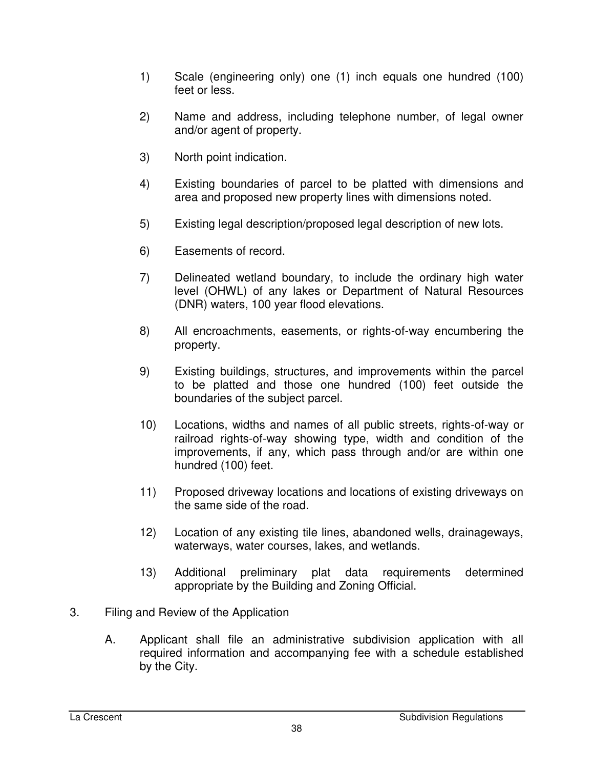- 1) Scale (engineering only) one (1) inch equals one hundred (100) feet or less.
- 2) Name and address, including telephone number, of legal owner and/or agent of property.
- 3) North point indication.
- 4) Existing boundaries of parcel to be platted with dimensions and area and proposed new property lines with dimensions noted.
- 5) Existing legal description/proposed legal description of new lots.
- 6) Easements of record.
- 7) Delineated wetland boundary, to include the ordinary high water level (OHWL) of any lakes or Department of Natural Resources (DNR) waters, 100 year flood elevations.
- 8) All encroachments, easements, or rights-of-way encumbering the property.
- 9) Existing buildings, structures, and improvements within the parcel to be platted and those one hundred (100) feet outside the boundaries of the subject parcel.
- 10) Locations, widths and names of all public streets, rights-of-way or railroad rights-of-way showing type, width and condition of the improvements, if any, which pass through and/or are within one hundred (100) feet.
- 11) Proposed driveway locations and locations of existing driveways on the same side of the road.
- 12) Location of any existing tile lines, abandoned wells, drainageways, waterways, water courses, lakes, and wetlands.
- 13) Additional preliminary plat data requirements determined appropriate by the Building and Zoning Official.
- 3. Filing and Review of the Application
	- A. Applicant shall file an administrative subdivision application with all required information and accompanying fee with a schedule established by the City.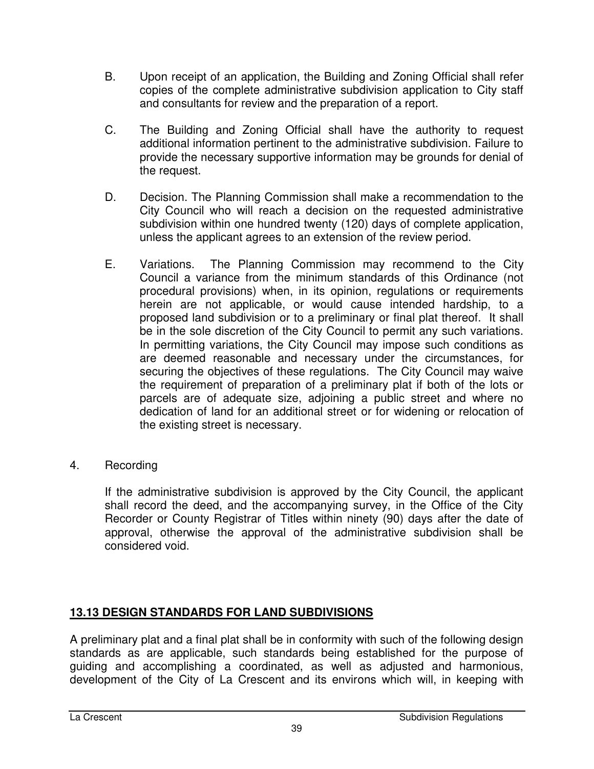- B. Upon receipt of an application, the Building and Zoning Official shall refer copies of the complete administrative subdivision application to City staff and consultants for review and the preparation of a report.
- C. The Building and Zoning Official shall have the authority to request additional information pertinent to the administrative subdivision. Failure to provide the necessary supportive information may be grounds for denial of the request.
- D. Decision. The Planning Commission shall make a recommendation to the City Council who will reach a decision on the requested administrative subdivision within one hundred twenty (120) days of complete application, unless the applicant agrees to an extension of the review period.
- E. Variations. The Planning Commission may recommend to the City Council a variance from the minimum standards of this Ordinance (not procedural provisions) when, in its opinion, regulations or requirements herein are not applicable, or would cause intended hardship, to a proposed land subdivision or to a preliminary or final plat thereof. It shall be in the sole discretion of the City Council to permit any such variations. In permitting variations, the City Council may impose such conditions as are deemed reasonable and necessary under the circumstances, for securing the objectives of these regulations. The City Council may waive the requirement of preparation of a preliminary plat if both of the lots or parcels are of adequate size, adjoining a public street and where no dedication of land for an additional street or for widening or relocation of the existing street is necessary.
- 4. Recording

If the administrative subdivision is approved by the City Council, the applicant shall record the deed, and the accompanying survey, in the Office of the City Recorder or County Registrar of Titles within ninety (90) days after the date of approval, otherwise the approval of the administrative subdivision shall be considered void.

# **13.13 DESIGN STANDARDS FOR LAND SUBDIVISIONS**

A preliminary plat and a final plat shall be in conformity with such of the following design standards as are applicable, such standards being established for the purpose of guiding and accomplishing a coordinated, as well as adjusted and harmonious, development of the City of La Crescent and its environs which will, in keeping with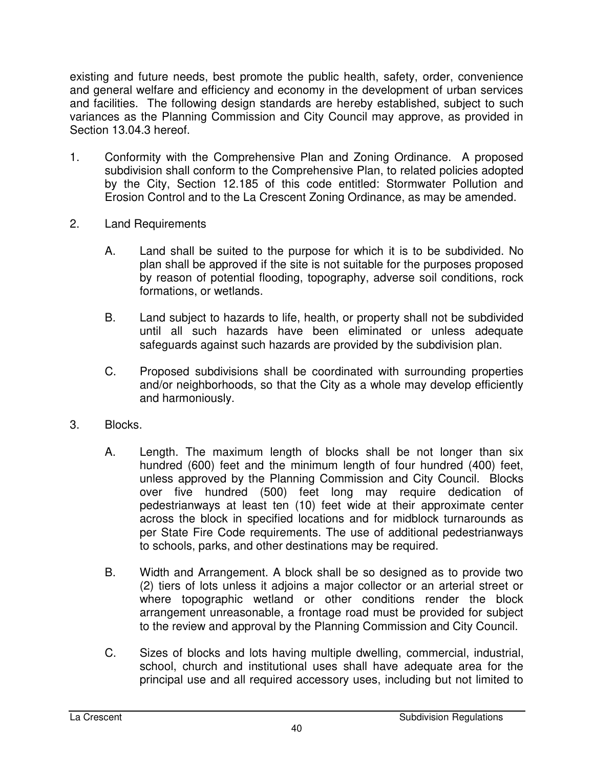existing and future needs, best promote the public health, safety, order, convenience and general welfare and efficiency and economy in the development of urban services and facilities. The following design standards are hereby established, subject to such variances as the Planning Commission and City Council may approve, as provided in Section 13.04.3 hereof.

- 1. Conformity with the Comprehensive Plan and Zoning Ordinance. A proposed subdivision shall conform to the Comprehensive Plan, to related policies adopted by the City, Section 12.185 of this code entitled: Stormwater Pollution and Erosion Control and to the La Crescent Zoning Ordinance, as may be amended.
- 2. Land Requirements
	- A. Land shall be suited to the purpose for which it is to be subdivided. No plan shall be approved if the site is not suitable for the purposes proposed by reason of potential flooding, topography, adverse soil conditions, rock formations, or wetlands.
	- B. Land subject to hazards to life, health, or property shall not be subdivided until all such hazards have been eliminated or unless adequate safeguards against such hazards are provided by the subdivision plan.
	- C. Proposed subdivisions shall be coordinated with surrounding properties and/or neighborhoods, so that the City as a whole may develop efficiently and harmoniously.
- 3. Blocks.
	- A. Length. The maximum length of blocks shall be not longer than six hundred (600) feet and the minimum length of four hundred (400) feet, unless approved by the Planning Commission and City Council. Blocks over five hundred (500) feet long may require dedication of pedestrianways at least ten (10) feet wide at their approximate center across the block in specified locations and for midblock turnarounds as per State Fire Code requirements. The use of additional pedestrianways to schools, parks, and other destinations may be required.
	- B. Width and Arrangement. A block shall be so designed as to provide two (2) tiers of lots unless it adjoins a major collector or an arterial street or where topographic wetland or other conditions render the block arrangement unreasonable, a frontage road must be provided for subject to the review and approval by the Planning Commission and City Council.
	- C. Sizes of blocks and lots having multiple dwelling, commercial, industrial, school, church and institutional uses shall have adequate area for the principal use and all required accessory uses, including but not limited to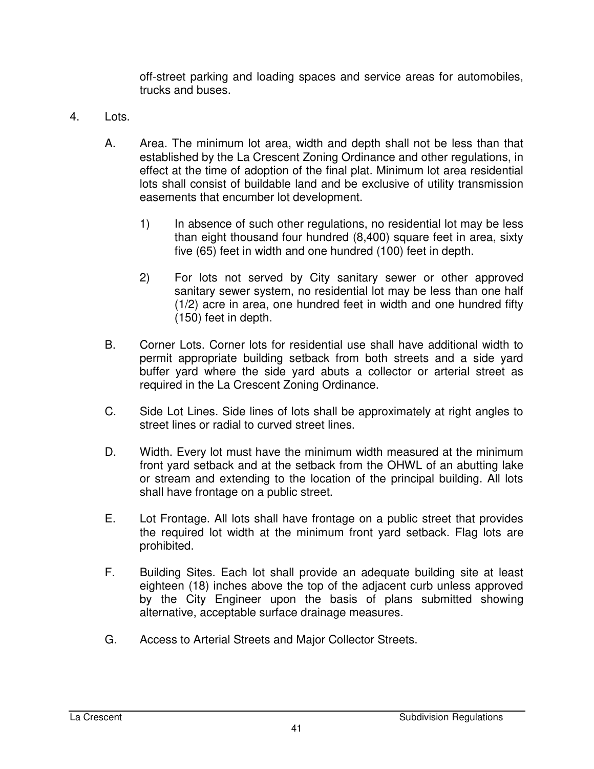off-street parking and loading spaces and service areas for automobiles, trucks and buses.

- 4. Lots.
	- A. Area. The minimum lot area, width and depth shall not be less than that established by the La Crescent Zoning Ordinance and other regulations, in effect at the time of adoption of the final plat. Minimum lot area residential lots shall consist of buildable land and be exclusive of utility transmission easements that encumber lot development.
		- 1) In absence of such other regulations, no residential lot may be less than eight thousand four hundred (8,400) square feet in area, sixty five (65) feet in width and one hundred (100) feet in depth.
		- 2) For lots not served by City sanitary sewer or other approved sanitary sewer system, no residential lot may be less than one half (1/2) acre in area, one hundred feet in width and one hundred fifty (150) feet in depth.
	- B. Corner Lots. Corner lots for residential use shall have additional width to permit appropriate building setback from both streets and a side yard buffer yard where the side yard abuts a collector or arterial street as required in the La Crescent Zoning Ordinance.
	- C. Side Lot Lines. Side lines of lots shall be approximately at right angles to street lines or radial to curved street lines.
	- D. Width. Every lot must have the minimum width measured at the minimum front yard setback and at the setback from the OHWL of an abutting lake or stream and extending to the location of the principal building. All lots shall have frontage on a public street.
	- E. Lot Frontage. All lots shall have frontage on a public street that provides the required lot width at the minimum front yard setback. Flag lots are prohibited.
	- F. Building Sites. Each lot shall provide an adequate building site at least eighteen (18) inches above the top of the adjacent curb unless approved by the City Engineer upon the basis of plans submitted showing alternative, acceptable surface drainage measures.
	- G. Access to Arterial Streets and Major Collector Streets.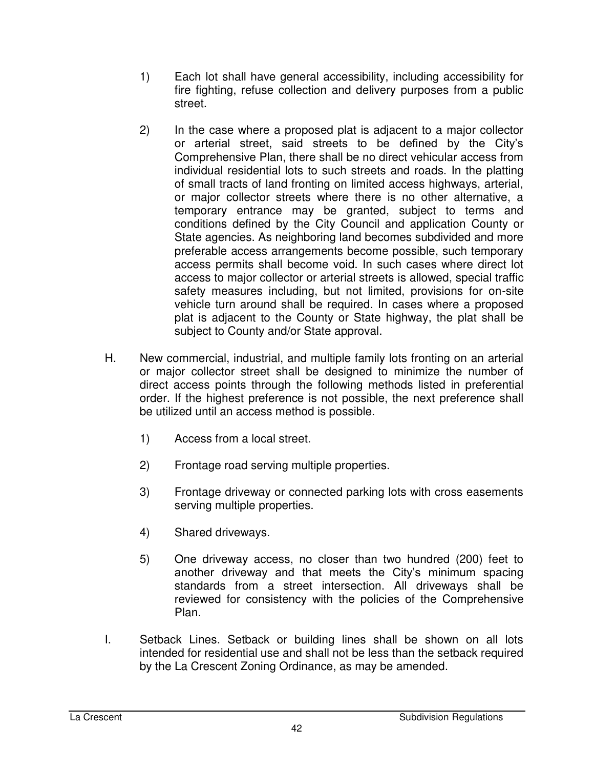- 1) Each lot shall have general accessibility, including accessibility for fire fighting, refuse collection and delivery purposes from a public street.
- 2) In the case where a proposed plat is adjacent to a major collector or arterial street, said streets to be defined by the City's Comprehensive Plan, there shall be no direct vehicular access from individual residential lots to such streets and roads. In the platting of small tracts of land fronting on limited access highways, arterial, or major collector streets where there is no other alternative, a temporary entrance may be granted, subject to terms and conditions defined by the City Council and application County or State agencies. As neighboring land becomes subdivided and more preferable access arrangements become possible, such temporary access permits shall become void. In such cases where direct lot access to major collector or arterial streets is allowed, special traffic safety measures including, but not limited, provisions for on-site vehicle turn around shall be required. In cases where a proposed plat is adjacent to the County or State highway, the plat shall be subject to County and/or State approval.
- H. New commercial, industrial, and multiple family lots fronting on an arterial or major collector street shall be designed to minimize the number of direct access points through the following methods listed in preferential order. If the highest preference is not possible, the next preference shall be utilized until an access method is possible.
	- 1) Access from a local street.
	- 2) Frontage road serving multiple properties.
	- 3) Frontage driveway or connected parking lots with cross easements serving multiple properties.
	- 4) Shared driveways.
	- 5) One driveway access, no closer than two hundred (200) feet to another driveway and that meets the City's minimum spacing standards from a street intersection. All driveways shall be reviewed for consistency with the policies of the Comprehensive Plan.
- I. Setback Lines. Setback or building lines shall be shown on all lots intended for residential use and shall not be less than the setback required by the La Crescent Zoning Ordinance, as may be amended.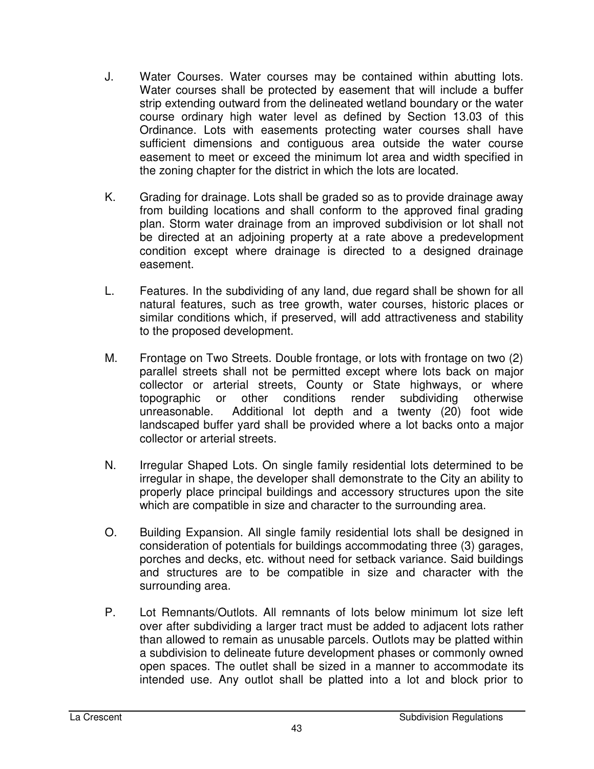- J. Water Courses. Water courses may be contained within abutting lots. Water courses shall be protected by easement that will include a buffer strip extending outward from the delineated wetland boundary or the water course ordinary high water level as defined by Section 13.03 of this Ordinance. Lots with easements protecting water courses shall have sufficient dimensions and contiguous area outside the water course easement to meet or exceed the minimum lot area and width specified in the zoning chapter for the district in which the lots are located.
- K. Grading for drainage. Lots shall be graded so as to provide drainage away from building locations and shall conform to the approved final grading plan. Storm water drainage from an improved subdivision or lot shall not be directed at an adjoining property at a rate above a predevelopment condition except where drainage is directed to a designed drainage easement.
- L. Features. In the subdividing of any land, due regard shall be shown for all natural features, such as tree growth, water courses, historic places or similar conditions which, if preserved, will add attractiveness and stability to the proposed development.
- M. Frontage on Two Streets. Double frontage, or lots with frontage on two (2) parallel streets shall not be permitted except where lots back on major collector or arterial streets, County or State highways, or where topographic or other conditions render subdividing otherwise unreasonable. Additional lot depth and a twenty (20) foot wide landscaped buffer yard shall be provided where a lot backs onto a major collector or arterial streets.
- N. Irregular Shaped Lots. On single family residential lots determined to be irregular in shape, the developer shall demonstrate to the City an ability to properly place principal buildings and accessory structures upon the site which are compatible in size and character to the surrounding area.
- O. Building Expansion. All single family residential lots shall be designed in consideration of potentials for buildings accommodating three (3) garages, porches and decks, etc. without need for setback variance. Said buildings and structures are to be compatible in size and character with the surrounding area.
- P. Lot Remnants/Outlots. All remnants of lots below minimum lot size left over after subdividing a larger tract must be added to adjacent lots rather than allowed to remain as unusable parcels. Outlots may be platted within a subdivision to delineate future development phases or commonly owned open spaces. The outlet shall be sized in a manner to accommodate its intended use. Any outlot shall be platted into a lot and block prior to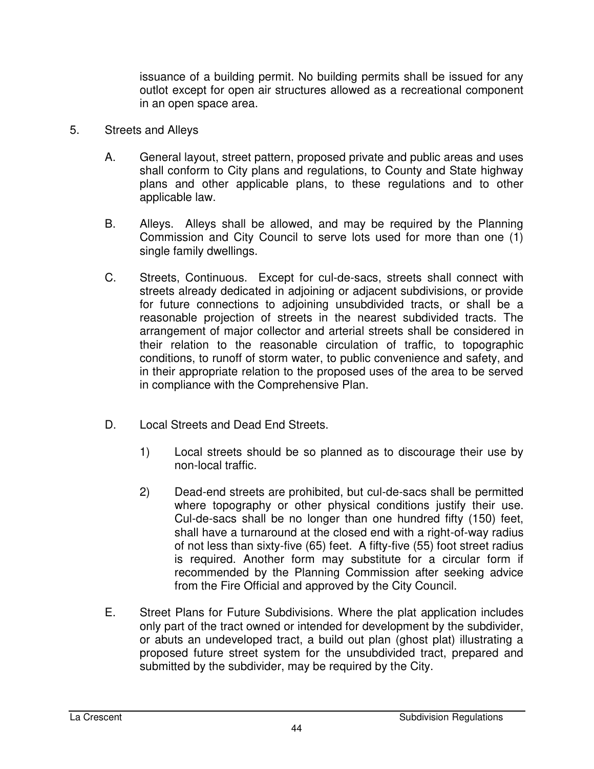issuance of a building permit. No building permits shall be issued for any outlot except for open air structures allowed as a recreational component in an open space area.

- 5. Streets and Alleys
	- A. General layout, street pattern, proposed private and public areas and uses shall conform to City plans and regulations, to County and State highway plans and other applicable plans, to these regulations and to other applicable law.
	- B. Alleys. Alleys shall be allowed, and may be required by the Planning Commission and City Council to serve lots used for more than one (1) single family dwellings.
	- C. Streets, Continuous. Except for cul-de-sacs, streets shall connect with streets already dedicated in adjoining or adjacent subdivisions, or provide for future connections to adjoining unsubdivided tracts, or shall be a reasonable projection of streets in the nearest subdivided tracts. The arrangement of major collector and arterial streets shall be considered in their relation to the reasonable circulation of traffic, to topographic conditions, to runoff of storm water, to public convenience and safety, and in their appropriate relation to the proposed uses of the area to be served in compliance with the Comprehensive Plan.
	- D. Local Streets and Dead End Streets.
		- 1) Local streets should be so planned as to discourage their use by non-local traffic.
		- 2) Dead-end streets are prohibited, but cul-de-sacs shall be permitted where topography or other physical conditions justify their use. Cul-de-sacs shall be no longer than one hundred fifty (150) feet, shall have a turnaround at the closed end with a right-of-way radius of not less than sixty-five (65) feet. A fifty-five (55) foot street radius is required. Another form may substitute for a circular form if recommended by the Planning Commission after seeking advice from the Fire Official and approved by the City Council.
	- E. Street Plans for Future Subdivisions. Where the plat application includes only part of the tract owned or intended for development by the subdivider, or abuts an undeveloped tract, a build out plan (ghost plat) illustrating a proposed future street system for the unsubdivided tract, prepared and submitted by the subdivider, may be required by the City.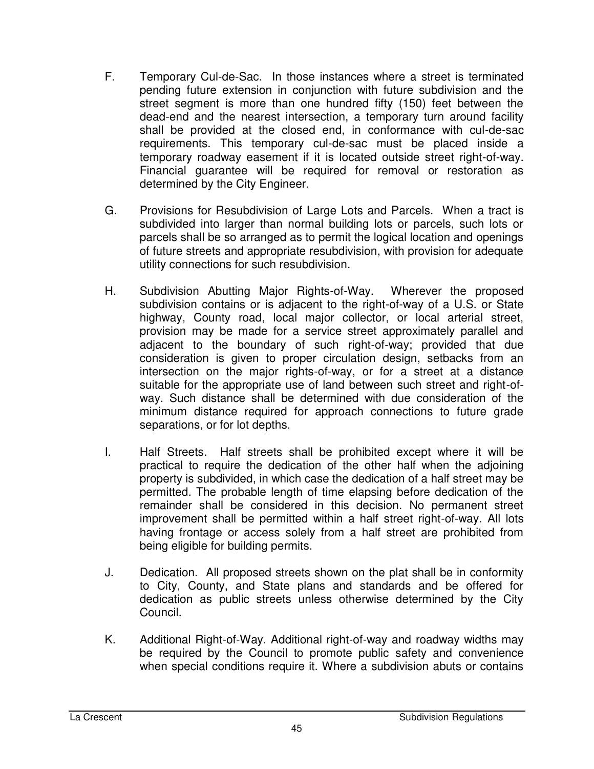- F. Temporary Cul-de-Sac. In those instances where a street is terminated pending future extension in conjunction with future subdivision and the street segment is more than one hundred fifty (150) feet between the dead-end and the nearest intersection, a temporary turn around facility shall be provided at the closed end, in conformance with cul-de-sac requirements. This temporary cul-de-sac must be placed inside a temporary roadway easement if it is located outside street right-of-way. Financial guarantee will be required for removal or restoration as determined by the City Engineer.
- G. Provisions for Resubdivision of Large Lots and Parcels. When a tract is subdivided into larger than normal building lots or parcels, such lots or parcels shall be so arranged as to permit the logical location and openings of future streets and appropriate resubdivision, with provision for adequate utility connections for such resubdivision.
- H. Subdivision Abutting Major Rights-of-Way. Wherever the proposed subdivision contains or is adjacent to the right-of-way of a U.S. or State highway, County road, local major collector, or local arterial street, provision may be made for a service street approximately parallel and adjacent to the boundary of such right-of-way; provided that due consideration is given to proper circulation design, setbacks from an intersection on the major rights-of-way, or for a street at a distance suitable for the appropriate use of land between such street and right-ofway. Such distance shall be determined with due consideration of the minimum distance required for approach connections to future grade separations, or for lot depths.
- I. Half Streets. Half streets shall be prohibited except where it will be practical to require the dedication of the other half when the adjoining property is subdivided, in which case the dedication of a half street may be permitted. The probable length of time elapsing before dedication of the remainder shall be considered in this decision. No permanent street improvement shall be permitted within a half street right-of-way. All lots having frontage or access solely from a half street are prohibited from being eligible for building permits.
- J. Dedication. All proposed streets shown on the plat shall be in conformity to City, County, and State plans and standards and be offered for dedication as public streets unless otherwise determined by the City Council.
- K. Additional Right-of-Way. Additional right-of-way and roadway widths may be required by the Council to promote public safety and convenience when special conditions require it. Where a subdivision abuts or contains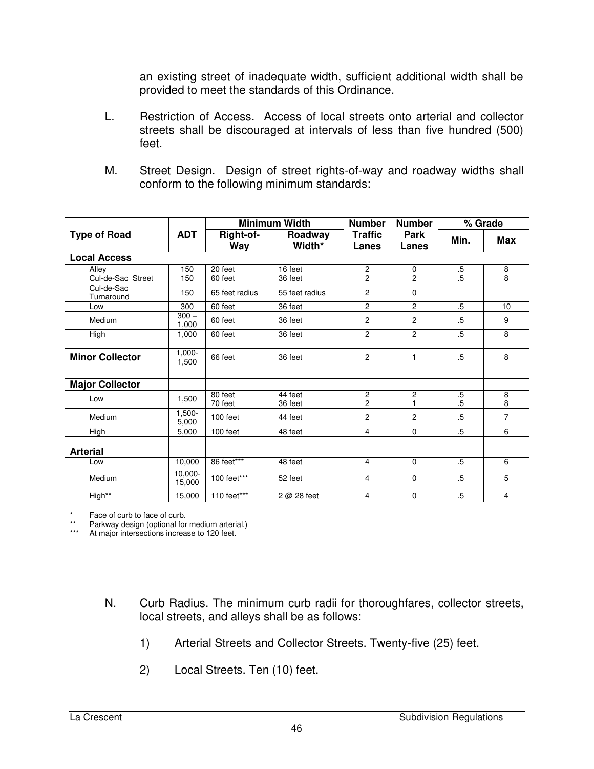an existing street of inadequate width, sufficient additional width shall be provided to meet the standards of this Ordinance.

- L. Restriction of Access. Access of local streets onto arterial and collector streets shall be discouraged at intervals of less than five hundred (500) feet.
- M. Street Design. Design of street rights-of-way and roadway widths shall conform to the following minimum standards:

|                          | <b>ADT</b>           | <b>Minimum Width</b> |                    | <b>Number</b>                    | <b>Number</b>        | % Grade          |                |
|--------------------------|----------------------|----------------------|--------------------|----------------------------------|----------------------|------------------|----------------|
| <b>Type of Road</b>      |                      | Right-of-<br>Way     | Roadway<br>Width*  | <b>Traffic</b><br>Lanes          | <b>Park</b><br>Lanes | Min.             | <b>Max</b>     |
| <b>Local Access</b>      |                      |                      |                    |                                  |                      |                  |                |
| Allev                    | 150                  | 20 feet              | 16 feet            | $\overline{2}$                   | $\mathbf 0$          | $.5\,$           | 8              |
| Cul-de-Sac Street        | 150                  | 60 feet              | 36 feet            | $\overline{2}$                   | $\overline{2}$       | $\overline{.5}$  | $\overline{8}$ |
| Cul-de-Sac<br>Turnaround | 150                  | 65 feet radius       | 55 feet radius     | 2                                | 0                    |                  |                |
| Low                      | 300                  | 60 feet              | 36 feet            | 2                                | 2                    | $.5\,$           | 10             |
| Medium                   | $300 -$<br>1,000     | 60 feet              | 36 feet            | 2                                | 2                    | .5               | 9              |
| High                     | 1.000                | 60 feet              | 36 feet            | $\overline{2}$                   | $\overline{2}$       | $.5\,$           | 8              |
|                          |                      |                      |                    |                                  |                      |                  |                |
| <b>Minor Collector</b>   | $1,000 -$<br>1.500   | 66 feet              | 36 feet            | $\overline{c}$                   | 1                    | $.5\,$           | 8              |
|                          |                      |                      |                    |                                  |                      |                  |                |
| <b>Major Collector</b>   |                      |                      |                    |                                  |                      |                  |                |
| Low                      | 1,500                | 80 feet<br>70 feet   | 44 feet<br>36 feet | $\overline{c}$<br>$\overline{2}$ | $\overline{c}$<br>1  | $.5\,$<br>$.5\,$ | 8<br>8         |
| Medium                   | $1,500-$<br>5,000    | 100 feet             | 44 feet            | $\overline{c}$                   | $\overline{2}$       | .5               | $\overline{7}$ |
| High                     | 5.000                | 100 feet             | 48 feet            | $\overline{4}$                   | $\Omega$             | $.5\,$           | 6              |
|                          |                      |                      |                    |                                  |                      |                  |                |
| <b>Arterial</b>          |                      |                      |                    |                                  |                      |                  |                |
| Low                      | 10,000               | 86 feet***           | 48 feet            | $\overline{4}$                   | $\Omega$             | $.5\,$           | 6              |
| Medium                   | $10.000 -$<br>15,000 | 100 feet***          | 52 feet            | $\overline{4}$                   | 0                    | $.5\,$           | 5              |
| High**                   | 15,000               | 110 feet***          | $2@28$ feet        | $\overline{4}$                   | 0                    | $.5\,$           | 4              |

Face of curb to face of curb.

\*\* Parkway design (optional for medium arterial.)

At major intersections increase to 120 feet.

- N. Curb Radius. The minimum curb radii for thoroughfares, collector streets, local streets, and alleys shall be as follows:
	- 1) Arterial Streets and Collector Streets. Twenty-five (25) feet.
	- 2) Local Streets. Ten (10) feet.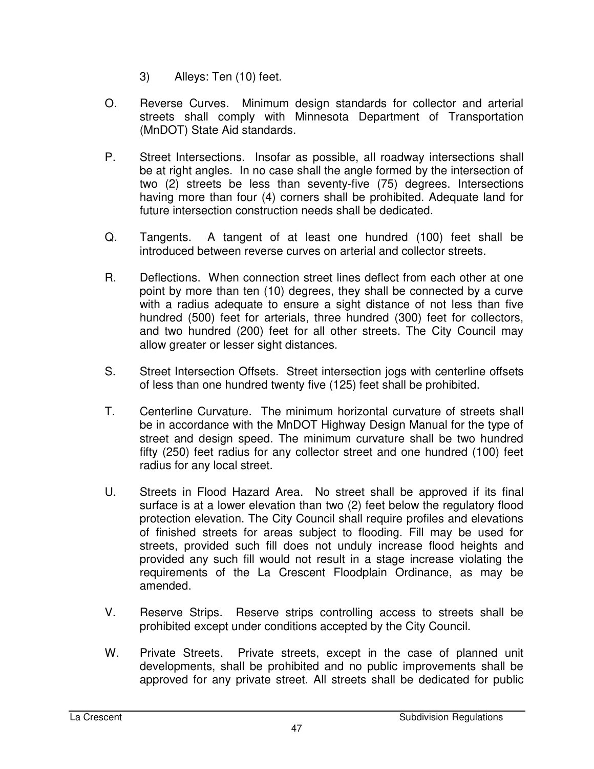- 3) Alleys: Ten (10) feet.
- O. Reverse Curves. Minimum design standards for collector and arterial streets shall comply with Minnesota Department of Transportation (MnDOT) State Aid standards.
- P. Street Intersections. Insofar as possible, all roadway intersections shall be at right angles. In no case shall the angle formed by the intersection of two (2) streets be less than seventy-five (75) degrees. Intersections having more than four (4) corners shall be prohibited. Adequate land for future intersection construction needs shall be dedicated.
- Q. Tangents. A tangent of at least one hundred (100) feet shall be introduced between reverse curves on arterial and collector streets.
- R. Deflections. When connection street lines deflect from each other at one point by more than ten (10) degrees, they shall be connected by a curve with a radius adequate to ensure a sight distance of not less than five hundred (500) feet for arterials, three hundred (300) feet for collectors, and two hundred (200) feet for all other streets. The City Council may allow greater or lesser sight distances.
- S. Street Intersection Offsets. Street intersection jogs with centerline offsets of less than one hundred twenty five (125) feet shall be prohibited.
- T. Centerline Curvature. The minimum horizontal curvature of streets shall be in accordance with the MnDOT Highway Design Manual for the type of street and design speed. The minimum curvature shall be two hundred fifty (250) feet radius for any collector street and one hundred (100) feet radius for any local street.
- U. Streets in Flood Hazard Area. No street shall be approved if its final surface is at a lower elevation than two (2) feet below the regulatory flood protection elevation. The City Council shall require profiles and elevations of finished streets for areas subject to flooding. Fill may be used for streets, provided such fill does not unduly increase flood heights and provided any such fill would not result in a stage increase violating the requirements of the La Crescent Floodplain Ordinance, as may be amended.
- V. Reserve Strips. Reserve strips controlling access to streets shall be prohibited except under conditions accepted by the City Council.
- W. Private Streets. Private streets, except in the case of planned unit developments, shall be prohibited and no public improvements shall be approved for any private street. All streets shall be dedicated for public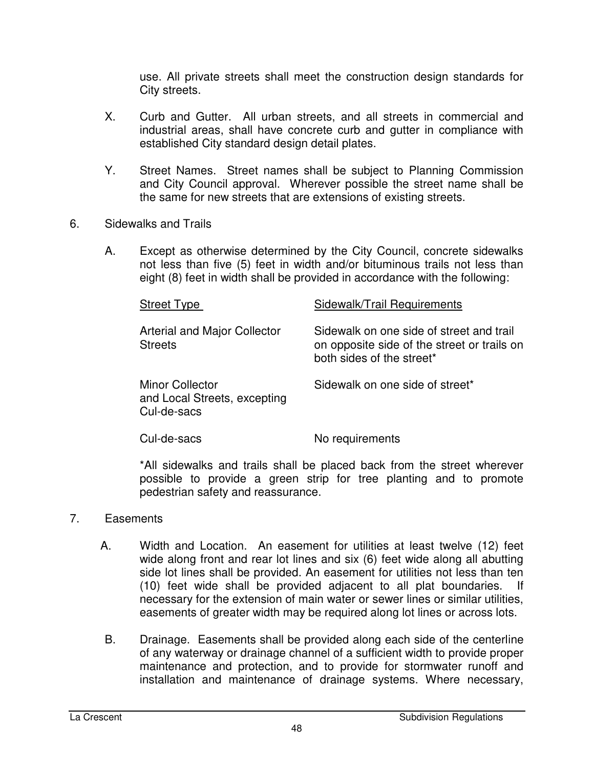use. All private streets shall meet the construction design standards for City streets.

- X. Curb and Gutter. All urban streets, and all streets in commercial and industrial areas, shall have concrete curb and gutter in compliance with established City standard design detail plates.
- Y. Street Names. Street names shall be subject to Planning Commission and City Council approval. Wherever possible the street name shall be the same for new streets that are extensions of existing streets.
- 6. Sidewalks and Trails
	- A. Except as otherwise determined by the City Council, concrete sidewalks not less than five (5) feet in width and/or bituminous trails not less than eight (8) feet in width shall be provided in accordance with the following:

| <b>Street Type</b>                                                    | Sidewalk/Trail Requirements                                                                                          |
|-----------------------------------------------------------------------|----------------------------------------------------------------------------------------------------------------------|
| <b>Arterial and Major Collector</b><br><b>Streets</b>                 | Sidewalk on one side of street and trail<br>on opposite side of the street or trails on<br>both sides of the street* |
| <b>Minor Collector</b><br>and Local Streets, excepting<br>Cul-de-sacs | Sidewalk on one side of street*                                                                                      |
| Cul-de-sacs                                                           | No requirements                                                                                                      |

\*All sidewalks and trails shall be placed back from the street wherever possible to provide a green strip for tree planting and to promote pedestrian safety and reassurance.

#### 7. Easements

- A. Width and Location. An easement for utilities at least twelve (12) feet wide along front and rear lot lines and six (6) feet wide along all abutting side lot lines shall be provided. An easement for utilities not less than ten (10) feet wide shall be provided adjacent to all plat boundaries. If necessary for the extension of main water or sewer lines or similar utilities, easements of greater width may be required along lot lines or across lots.
- B. Drainage. Easements shall be provided along each side of the centerline of any waterway or drainage channel of a sufficient width to provide proper maintenance and protection, and to provide for stormwater runoff and installation and maintenance of drainage systems. Where necessary,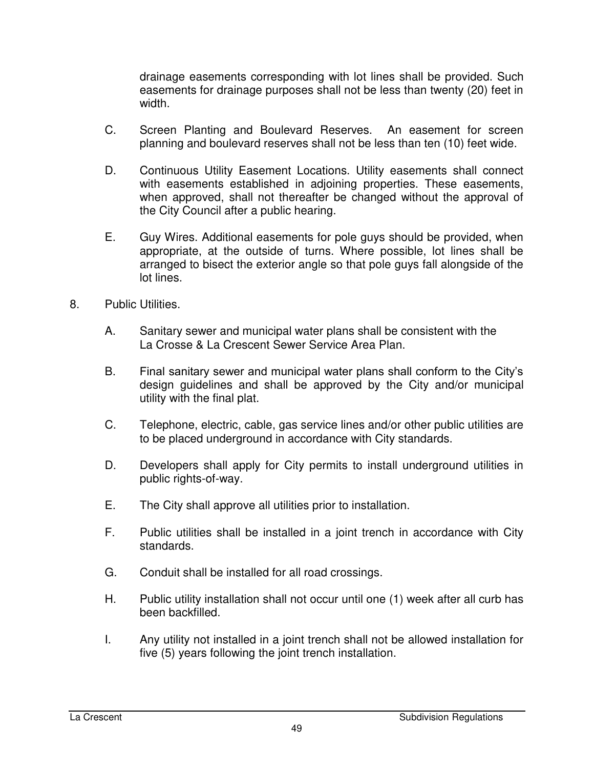drainage easements corresponding with lot lines shall be provided. Such easements for drainage purposes shall not be less than twenty (20) feet in width.

- C. Screen Planting and Boulevard Reserves. An easement for screen planning and boulevard reserves shall not be less than ten (10) feet wide.
- D. Continuous Utility Easement Locations. Utility easements shall connect with easements established in adjoining properties. These easements, when approved, shall not thereafter be changed without the approval of the City Council after a public hearing.
- E. Guy Wires. Additional easements for pole guys should be provided, when appropriate, at the outside of turns. Where possible, lot lines shall be arranged to bisect the exterior angle so that pole guys fall alongside of the lot lines.
- 8. Public Utilities.
	- A. Sanitary sewer and municipal water plans shall be consistent with the La Crosse & La Crescent Sewer Service Area Plan.
	- B. Final sanitary sewer and municipal water plans shall conform to the City's design guidelines and shall be approved by the City and/or municipal utility with the final plat.
	- C. Telephone, electric, cable, gas service lines and/or other public utilities are to be placed underground in accordance with City standards.
	- D. Developers shall apply for City permits to install underground utilities in public rights-of-way.
	- E. The City shall approve all utilities prior to installation.
	- F. Public utilities shall be installed in a joint trench in accordance with City standards.
	- G. Conduit shall be installed for all road crossings.
	- H. Public utility installation shall not occur until one (1) week after all curb has been backfilled.
	- I. Any utility not installed in a joint trench shall not be allowed installation for five (5) years following the joint trench installation.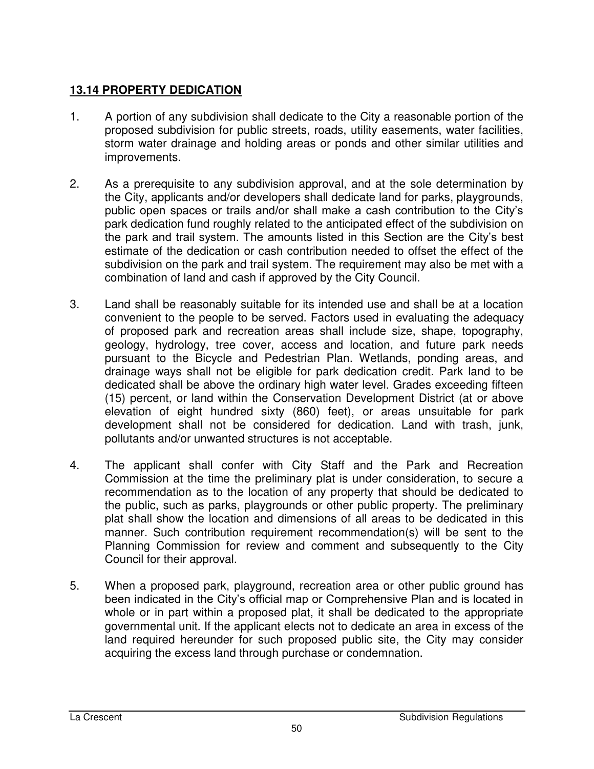### **13.14 PROPERTY DEDICATION**

- 1. A portion of any subdivision shall dedicate to the City a reasonable portion of the proposed subdivision for public streets, roads, utility easements, water facilities, storm water drainage and holding areas or ponds and other similar utilities and improvements.
- 2. As a prerequisite to any subdivision approval, and at the sole determination by the City, applicants and/or developers shall dedicate land for parks, playgrounds, public open spaces or trails and/or shall make a cash contribution to the City's park dedication fund roughly related to the anticipated effect of the subdivision on the park and trail system. The amounts listed in this Section are the City's best estimate of the dedication or cash contribution needed to offset the effect of the subdivision on the park and trail system. The requirement may also be met with a combination of land and cash if approved by the City Council.
- 3. Land shall be reasonably suitable for its intended use and shall be at a location convenient to the people to be served. Factors used in evaluating the adequacy of proposed park and recreation areas shall include size, shape, topography, geology, hydrology, tree cover, access and location, and future park needs pursuant to the Bicycle and Pedestrian Plan. Wetlands, ponding areas, and drainage ways shall not be eligible for park dedication credit. Park land to be dedicated shall be above the ordinary high water level. Grades exceeding fifteen (15) percent, or land within the Conservation Development District (at or above elevation of eight hundred sixty (860) feet), or areas unsuitable for park development shall not be considered for dedication. Land with trash, junk, pollutants and/or unwanted structures is not acceptable.
- 4. The applicant shall confer with City Staff and the Park and Recreation Commission at the time the preliminary plat is under consideration, to secure a recommendation as to the location of any property that should be dedicated to the public, such as parks, playgrounds or other public property. The preliminary plat shall show the location and dimensions of all areas to be dedicated in this manner. Such contribution requirement recommendation(s) will be sent to the Planning Commission for review and comment and subsequently to the City Council for their approval.
- 5. When a proposed park, playground, recreation area or other public ground has been indicated in the City's official map or Comprehensive Plan and is located in whole or in part within a proposed plat, it shall be dedicated to the appropriate governmental unit. If the applicant elects not to dedicate an area in excess of the land required hereunder for such proposed public site, the City may consider acquiring the excess land through purchase or condemnation.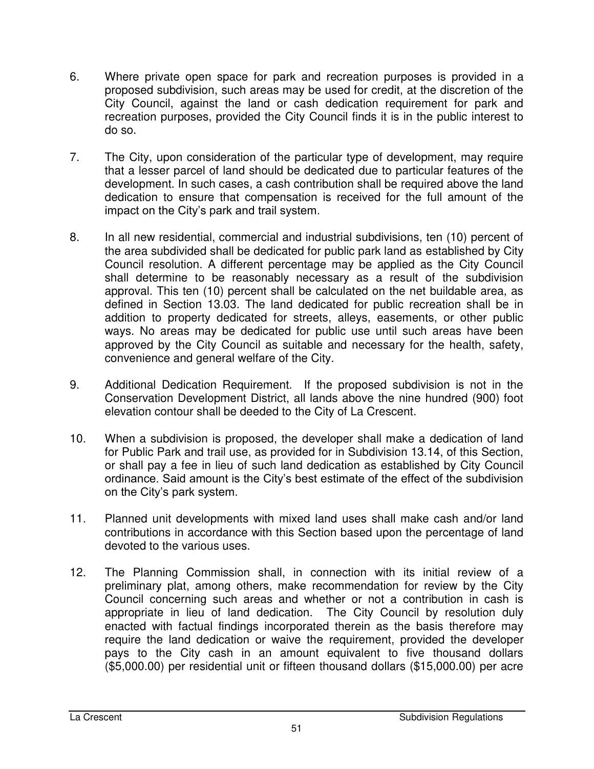- 6. Where private open space for park and recreation purposes is provided in a proposed subdivision, such areas may be used for credit, at the discretion of the City Council, against the land or cash dedication requirement for park and recreation purposes, provided the City Council finds it is in the public interest to do so.
- 7. The City, upon consideration of the particular type of development, may require that a lesser parcel of land should be dedicated due to particular features of the development. In such cases, a cash contribution shall be required above the land dedication to ensure that compensation is received for the full amount of the impact on the City's park and trail system.
- 8. In all new residential, commercial and industrial subdivisions, ten (10) percent of the area subdivided shall be dedicated for public park land as established by City Council resolution. A different percentage may be applied as the City Council shall determine to be reasonably necessary as a result of the subdivision approval. This ten (10) percent shall be calculated on the net buildable area, as defined in Section 13.03. The land dedicated for public recreation shall be in addition to property dedicated for streets, alleys, easements, or other public ways. No areas may be dedicated for public use until such areas have been approved by the City Council as suitable and necessary for the health, safety, convenience and general welfare of the City.
- 9. Additional Dedication Requirement. If the proposed subdivision is not in the Conservation Development District, all lands above the nine hundred (900) foot elevation contour shall be deeded to the City of La Crescent.
- 10. When a subdivision is proposed, the developer shall make a dedication of land for Public Park and trail use, as provided for in Subdivision 13.14, of this Section, or shall pay a fee in lieu of such land dedication as established by City Council ordinance. Said amount is the City's best estimate of the effect of the subdivision on the City's park system.
- 11. Planned unit developments with mixed land uses shall make cash and/or land contributions in accordance with this Section based upon the percentage of land devoted to the various uses.
- 12. The Planning Commission shall, in connection with its initial review of a preliminary plat, among others, make recommendation for review by the City Council concerning such areas and whether or not a contribution in cash is appropriate in lieu of land dedication. The City Council by resolution duly enacted with factual findings incorporated therein as the basis therefore may require the land dedication or waive the requirement, provided the developer pays to the City cash in an amount equivalent to five thousand dollars (\$5,000.00) per residential unit or fifteen thousand dollars (\$15,000.00) per acre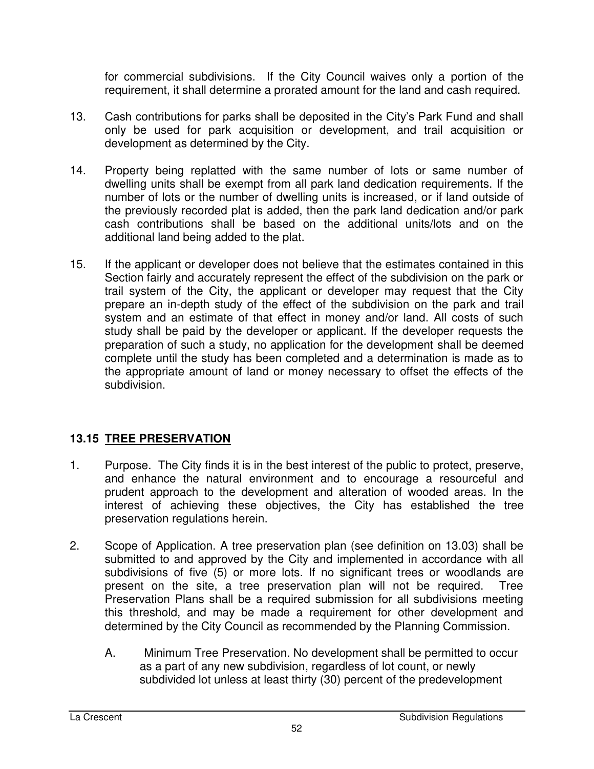for commercial subdivisions. If the City Council waives only a portion of the requirement, it shall determine a prorated amount for the land and cash required.

- 13. Cash contributions for parks shall be deposited in the City's Park Fund and shall only be used for park acquisition or development, and trail acquisition or development as determined by the City.
- 14. Property being replatted with the same number of lots or same number of dwelling units shall be exempt from all park land dedication requirements. If the number of lots or the number of dwelling units is increased, or if land outside of the previously recorded plat is added, then the park land dedication and/or park cash contributions shall be based on the additional units/lots and on the additional land being added to the plat.
- 15. If the applicant or developer does not believe that the estimates contained in this Section fairly and accurately represent the effect of the subdivision on the park or trail system of the City, the applicant or developer may request that the City prepare an in-depth study of the effect of the subdivision on the park and trail system and an estimate of that effect in money and/or land. All costs of such study shall be paid by the developer or applicant. If the developer requests the preparation of such a study, no application for the development shall be deemed complete until the study has been completed and a determination is made as to the appropriate amount of land or money necessary to offset the effects of the subdivision.

### **13.15 TREE PRESERVATION**

- 1. Purpose. The City finds it is in the best interest of the public to protect, preserve, and enhance the natural environment and to encourage a resourceful and prudent approach to the development and alteration of wooded areas. In the interest of achieving these objectives, the City has established the tree preservation regulations herein.
- 2. Scope of Application. A tree preservation plan (see definition on 13.03) shall be submitted to and approved by the City and implemented in accordance with all subdivisions of five (5) or more lots. If no significant trees or woodlands are present on the site, a tree preservation plan will not be required. Tree Preservation Plans shall be a required submission for all subdivisions meeting this threshold, and may be made a requirement for other development and determined by the City Council as recommended by the Planning Commission.
	- A. Minimum Tree Preservation. No development shall be permitted to occur as a part of any new subdivision, regardless of lot count, or newly subdivided lot unless at least thirty (30) percent of the predevelopment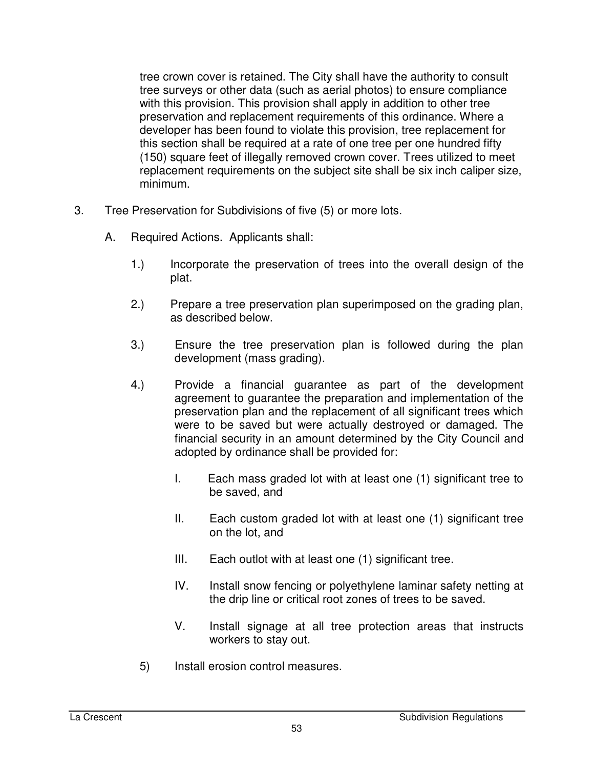tree crown cover is retained. The City shall have the authority to consult tree surveys or other data (such as aerial photos) to ensure compliance with this provision. This provision shall apply in addition to other tree preservation and replacement requirements of this ordinance. Where a developer has been found to violate this provision, tree replacement for this section shall be required at a rate of one tree per one hundred fifty (150) square feet of illegally removed crown cover. Trees utilized to meet replacement requirements on the subject site shall be six inch caliper size, minimum.

- 3. Tree Preservation for Subdivisions of five (5) or more lots.
	- A. Required Actions. Applicants shall:
		- 1.) Incorporate the preservation of trees into the overall design of the plat.
		- 2.) Prepare a tree preservation plan superimposed on the grading plan, as described below.
		- 3.) Ensure the tree preservation plan is followed during the plan development (mass grading).
		- 4.) Provide a financial guarantee as part of the development agreement to guarantee the preparation and implementation of the preservation plan and the replacement of all significant trees which were to be saved but were actually destroyed or damaged. The financial security in an amount determined by the City Council and adopted by ordinance shall be provided for:
			- I. Each mass graded lot with at least one (1) significant tree to be saved, and
			- II. Each custom graded lot with at least one (1) significant tree on the lot, and
			- III. Each outlot with at least one (1) significant tree.
			- IV. Install snow fencing or polyethylene laminar safety netting at the drip line or critical root zones of trees to be saved.
			- V. Install signage at all tree protection areas that instructs workers to stay out.
			- 5) Install erosion control measures.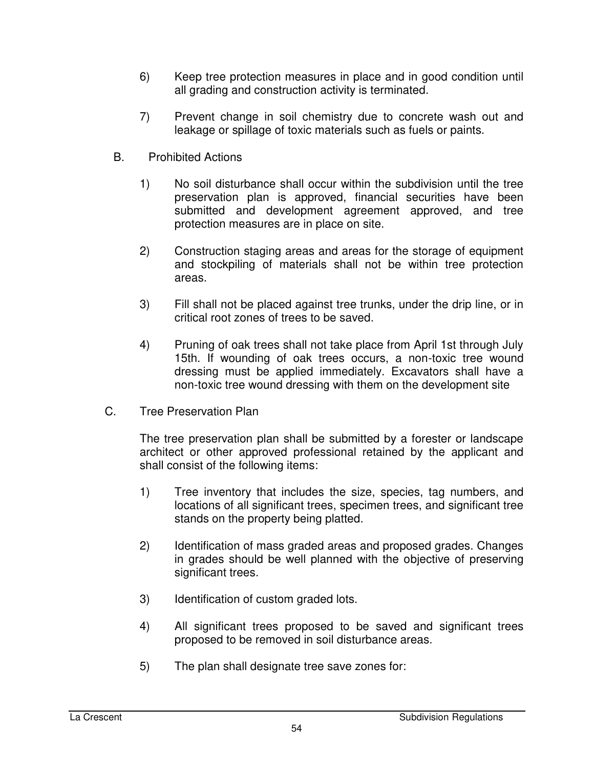- 6) Keep tree protection measures in place and in good condition until all grading and construction activity is terminated.
- 7) Prevent change in soil chemistry due to concrete wash out and leakage or spillage of toxic materials such as fuels or paints.
- B. Prohibited Actions
	- 1) No soil disturbance shall occur within the subdivision until the tree preservation plan is approved, financial securities have been submitted and development agreement approved, and tree protection measures are in place on site.
	- 2) Construction staging areas and areas for the storage of equipment and stockpiling of materials shall not be within tree protection areas.
	- 3) Fill shall not be placed against tree trunks, under the drip line, or in critical root zones of trees to be saved.
	- 4) Pruning of oak trees shall not take place from April 1st through July 15th. If wounding of oak trees occurs, a non-toxic tree wound dressing must be applied immediately. Excavators shall have a non-toxic tree wound dressing with them on the development site
- C. Tree Preservation Plan

The tree preservation plan shall be submitted by a forester or landscape architect or other approved professional retained by the applicant and shall consist of the following items:

- 1) Tree inventory that includes the size, species, tag numbers, and locations of all significant trees, specimen trees, and significant tree stands on the property being platted.
- 2) Identification of mass graded areas and proposed grades. Changes in grades should be well planned with the objective of preserving significant trees.
- 3) Identification of custom graded lots.
- 4) All significant trees proposed to be saved and significant trees proposed to be removed in soil disturbance areas.
- 5) The plan shall designate tree save zones for: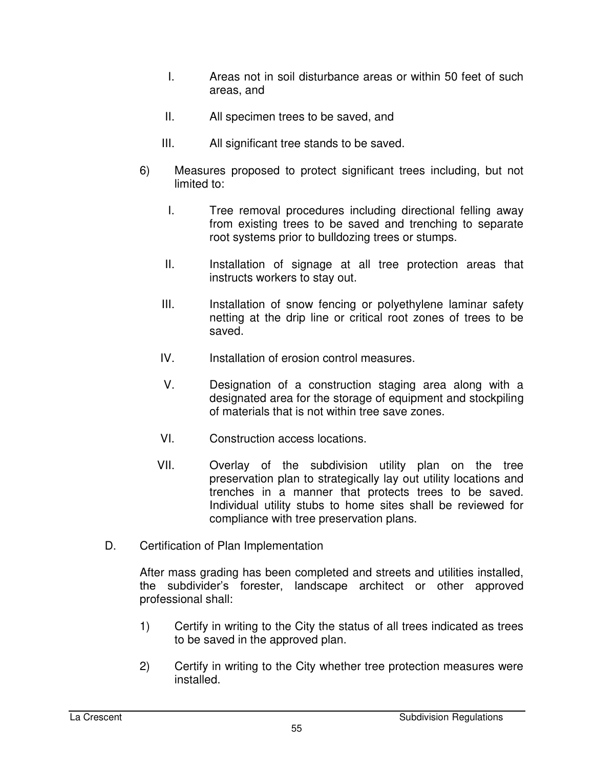- I. Areas not in soil disturbance areas or within 50 feet of such areas, and
- II. All specimen trees to be saved, and
- III. All significant tree stands to be saved.
- 6) Measures proposed to protect significant trees including, but not limited to:
	- I. Tree removal procedures including directional felling away from existing trees to be saved and trenching to separate root systems prior to bulldozing trees or stumps.
	- II. Installation of signage at all tree protection areas that instructs workers to stay out.
	- III. Installation of snow fencing or polyethylene laminar safety netting at the drip line or critical root zones of trees to be saved.
	- IV. Installation of erosion control measures.
	- V. Designation of a construction staging area along with a designated area for the storage of equipment and stockpiling of materials that is not within tree save zones.
	- VI. Construction access locations.
	- VII. Overlay of the subdivision utility plan on the tree preservation plan to strategically lay out utility locations and trenches in a manner that protects trees to be saved. Individual utility stubs to home sites shall be reviewed for compliance with tree preservation plans.
- D. Certification of Plan Implementation

After mass grading has been completed and streets and utilities installed, the subdivider's forester, landscape architect or other approved professional shall:

- 1) Certify in writing to the City the status of all trees indicated as trees to be saved in the approved plan.
- 2) Certify in writing to the City whether tree protection measures were installed.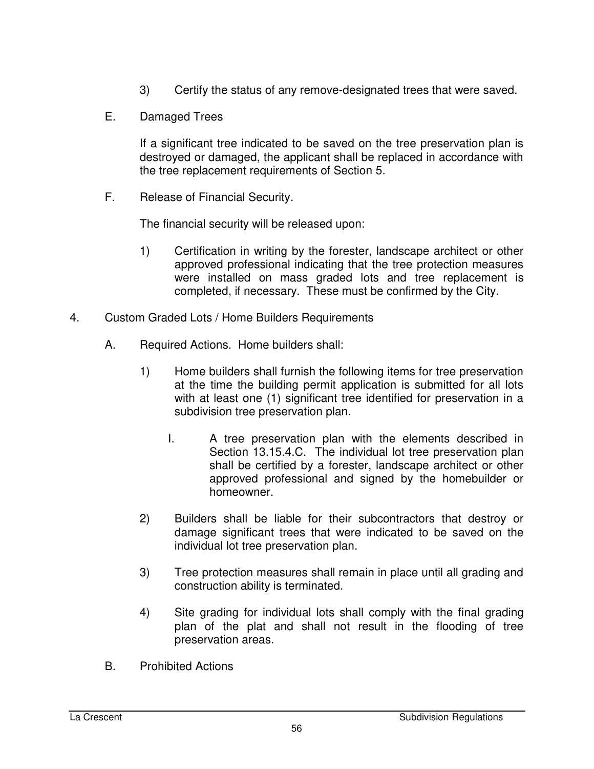- 3) Certify the status of any remove-designated trees that were saved.
- E. Damaged Trees

If a significant tree indicated to be saved on the tree preservation plan is destroyed or damaged, the applicant shall be replaced in accordance with the tree replacement requirements of Section 5.

F. Release of Financial Security.

The financial security will be released upon:

- 1) Certification in writing by the forester, landscape architect or other approved professional indicating that the tree protection measures were installed on mass graded lots and tree replacement is completed, if necessary. These must be confirmed by the City.
- 4. Custom Graded Lots / Home Builders Requirements
	- A. Required Actions. Home builders shall:
		- 1) Home builders shall furnish the following items for tree preservation at the time the building permit application is submitted for all lots with at least one (1) significant tree identified for preservation in a subdivision tree preservation plan.
			- I. A tree preservation plan with the elements described in Section 13.15.4.C. The individual lot tree preservation plan shall be certified by a forester, landscape architect or other approved professional and signed by the homebuilder or homeowner.
		- 2) Builders shall be liable for their subcontractors that destroy or damage significant trees that were indicated to be saved on the individual lot tree preservation plan.
		- 3) Tree protection measures shall remain in place until all grading and construction ability is terminated.
		- 4) Site grading for individual lots shall comply with the final grading plan of the plat and shall not result in the flooding of tree preservation areas.
	- B. Prohibited Actions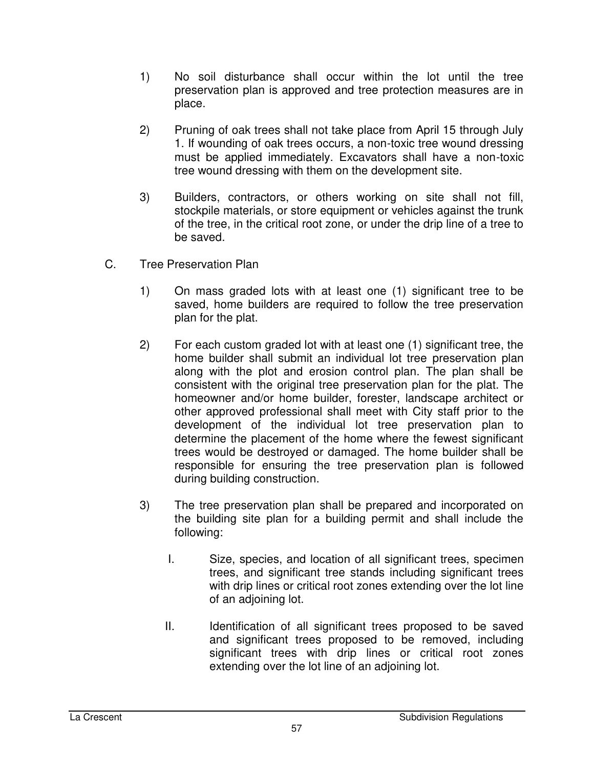- 1) No soil disturbance shall occur within the lot until the tree preservation plan is approved and tree protection measures are in place.
- 2) Pruning of oak trees shall not take place from April 15 through July 1. If wounding of oak trees occurs, a non-toxic tree wound dressing must be applied immediately. Excavators shall have a non-toxic tree wound dressing with them on the development site.
- 3) Builders, contractors, or others working on site shall not fill, stockpile materials, or store equipment or vehicles against the trunk of the tree, in the critical root zone, or under the drip line of a tree to be saved.
- C. Tree Preservation Plan
	- 1) On mass graded lots with at least one (1) significant tree to be saved, home builders are required to follow the tree preservation plan for the plat.
	- 2) For each custom graded lot with at least one (1) significant tree, the home builder shall submit an individual lot tree preservation plan along with the plot and erosion control plan. The plan shall be consistent with the original tree preservation plan for the plat. The homeowner and/or home builder, forester, landscape architect or other approved professional shall meet with City staff prior to the development of the individual lot tree preservation plan to determine the placement of the home where the fewest significant trees would be destroyed or damaged. The home builder shall be responsible for ensuring the tree preservation plan is followed during building construction.
	- 3) The tree preservation plan shall be prepared and incorporated on the building site plan for a building permit and shall include the following:
		- I. Size, species, and location of all significant trees, specimen trees, and significant tree stands including significant trees with drip lines or critical root zones extending over the lot line of an adjoining lot.
		- II. Identification of all significant trees proposed to be saved and significant trees proposed to be removed, including significant trees with drip lines or critical root zones extending over the lot line of an adjoining lot.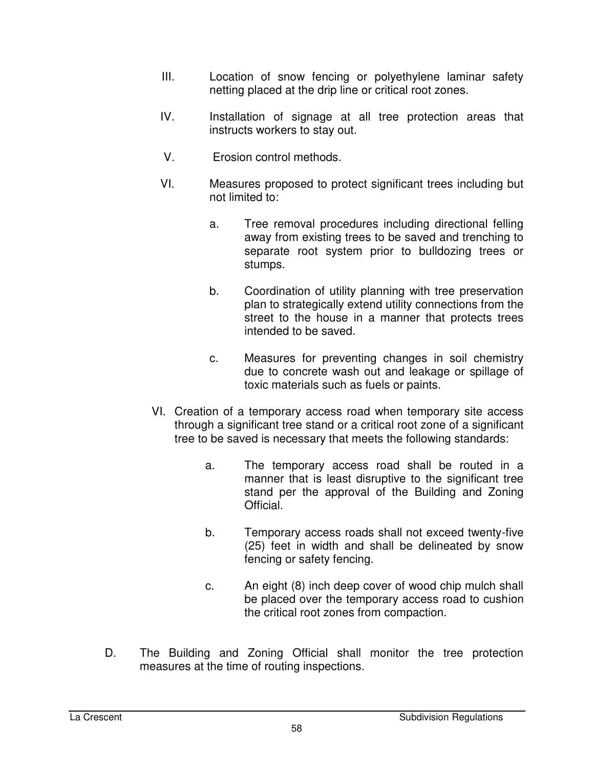- III. Location of snow fencing or polyethylene laminar safety netting placed at the drip line or critical root zones.
- IV. Installation of signage at all tree protection areas that instructs workers to stay out.
- V. Erosion control methods.
- VI. Measures proposed to protect significant trees including but not limited to:
	- a. Tree removal procedures including directional felling away from existing trees to be saved and trenching to separate root system prior to bulldozing trees or stumps.
	- b. Coordination of utility planning with tree preservation plan to strategically extend utility connections from the street to the house in a manner that protects trees intended to be saved.
	- c. Measures for preventing changes in soil chemistry due to concrete wash out and leakage or spillage of toxic materials such as fuels or paints.
- VI. Creation of a temporary access road when temporary site access through a significant tree stand or a critical root zone of a significant tree to be saved is necessary that meets the following standards:
	- a. The temporary access road shall be routed in a manner that is least disruptive to the significant tree stand per the approval of the Building and Zoning Official.
	- b. Temporary access roads shall not exceed twenty-five (25) feet in width and shall be delineated by snow fencing or safety fencing.
	- c. An eight (8) inch deep cover of wood chip mulch shall be placed over the temporary access road to cushion the critical root zones from compaction.
- D. The Building and Zoning Official shall monitor the tree protection measures at the time of routing inspections.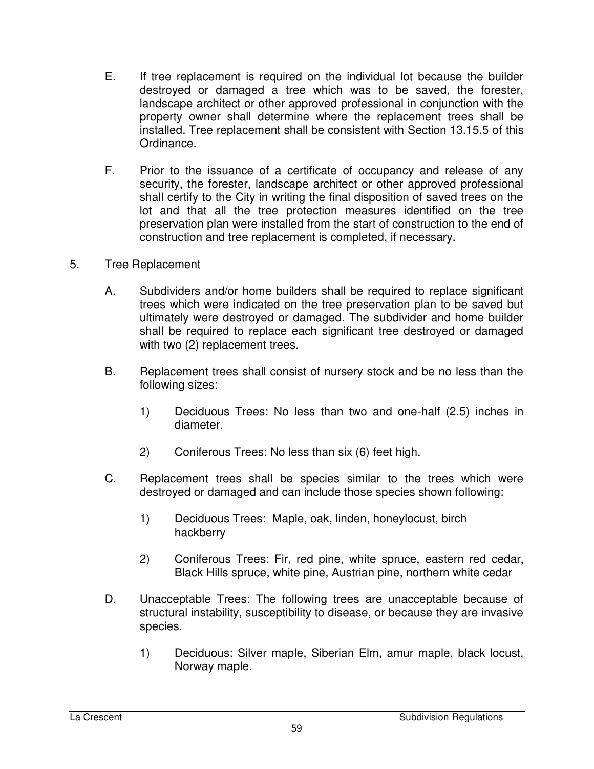- E. If tree replacement is required on the individual lot because the builder destroyed or damaged a tree which was to be saved, the forester, landscape architect or other approved professional in conjunction with the property owner shall determine where the replacement trees shall be installed. Tree replacement shall be consistent with Section 13.15.5 of this Ordinance.
- F. Prior to the issuance of a certificate of occupancy and release of any security, the forester, landscape architect or other approved professional shall certify to the City in writing the final disposition of saved trees on the lot and that all the tree protection measures identified on the tree preservation plan were installed from the start of construction to the end of construction and tree replacement is completed, if necessary.
- 5. Tree Replacement
	- A. Subdividers and/or home builders shall be required to replace significant trees which were indicated on the tree preservation plan to be saved but ultimately were destroyed or damaged. The subdivider and home builder shall be required to replace each significant tree destroyed or damaged with two  $(2)$  replacement trees.
	- B. Replacement trees shall consist of nursery stock and be no less than the following sizes:
		- 1) Deciduous Trees: No less than two and one-half (2.5) inches in diameter.
		- 2) Coniferous Trees: No less than six (6) feet high.
	- C. Replacement trees shall be species similar to the trees which were destroyed or damaged and can include those species shown following:
		- 1) Deciduous Trees: Maple, oak, linden, honeylocust, birch hackberry
		- 2) Coniferous Trees: Fir, red pine, white spruce, eastern red cedar, Black Hills spruce, white pine, Austrian pine, northern white cedar
	- D. Unacceptable Trees: The following trees are unacceptable because of structural instability, susceptibility to disease, or because they are invasive species.
		- 1) Deciduous: Silver maple, Siberian Elm, amur maple, black locust, Norway maple.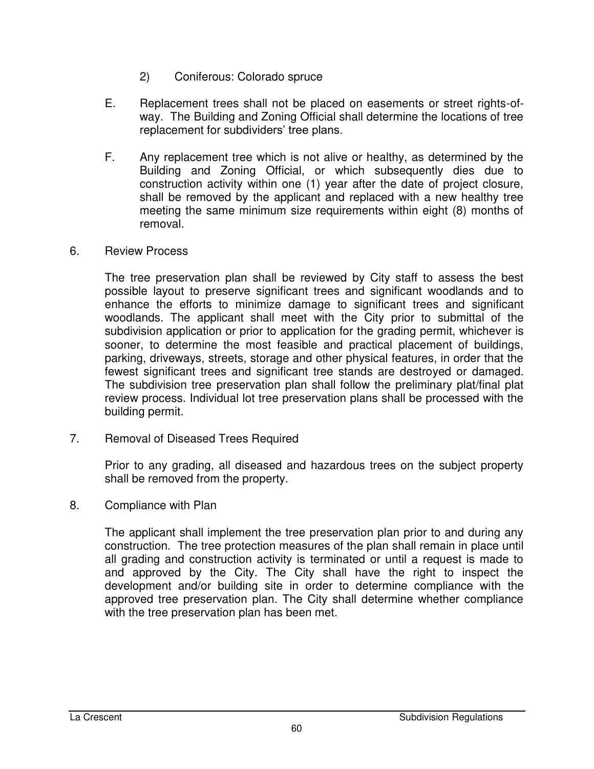- 2) Coniferous: Colorado spruce
- E. Replacement trees shall not be placed on easements or street rights-ofway. The Building and Zoning Official shall determine the locations of tree replacement for subdividers' tree plans.
- F. Any replacement tree which is not alive or healthy, as determined by the Building and Zoning Official, or which subsequently dies due to construction activity within one (1) year after the date of project closure, shall be removed by the applicant and replaced with a new healthy tree meeting the same minimum size requirements within eight (8) months of removal.
- 6. Review Process

The tree preservation plan shall be reviewed by City staff to assess the best possible layout to preserve significant trees and significant woodlands and to enhance the efforts to minimize damage to significant trees and significant woodlands. The applicant shall meet with the City prior to submittal of the subdivision application or prior to application for the grading permit, whichever is sooner, to determine the most feasible and practical placement of buildings, parking, driveways, streets, storage and other physical features, in order that the fewest significant trees and significant tree stands are destroyed or damaged. The subdivision tree preservation plan shall follow the preliminary plat/final plat review process. Individual lot tree preservation plans shall be processed with the building permit.

7. Removal of Diseased Trees Required

Prior to any grading, all diseased and hazardous trees on the subject property shall be removed from the property.

8. Compliance with Plan

The applicant shall implement the tree preservation plan prior to and during any construction. The tree protection measures of the plan shall remain in place until all grading and construction activity is terminated or until a request is made to and approved by the City. The City shall have the right to inspect the development and/or building site in order to determine compliance with the approved tree preservation plan. The City shall determine whether compliance with the tree preservation plan has been met.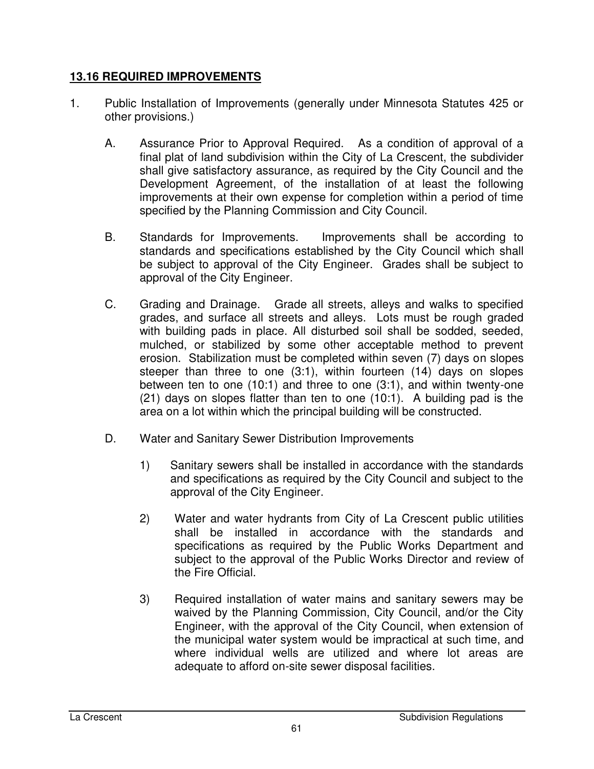#### **13.16 REQUIRED IMPROVEMENTS**

- 1. Public Installation of Improvements (generally under Minnesota Statutes 425 or other provisions.)
	- A. Assurance Prior to Approval Required. As a condition of approval of a final plat of land subdivision within the City of La Crescent, the subdivider shall give satisfactory assurance, as required by the City Council and the Development Agreement, of the installation of at least the following improvements at their own expense for completion within a period of time specified by the Planning Commission and City Council.
	- B. Standards for Improvements. Improvements shall be according to standards and specifications established by the City Council which shall be subject to approval of the City Engineer. Grades shall be subject to approval of the City Engineer.
	- C. Grading and Drainage. Grade all streets, alleys and walks to specified grades, and surface all streets and alleys. Lots must be rough graded with building pads in place. All disturbed soil shall be sodded, seeded, mulched, or stabilized by some other acceptable method to prevent erosion. Stabilization must be completed within seven (7) days on slopes steeper than three to one (3:1), within fourteen (14) days on slopes between ten to one (10:1) and three to one (3:1), and within twenty-one (21) days on slopes flatter than ten to one (10:1). A building pad is the area on a lot within which the principal building will be constructed.
	- D. Water and Sanitary Sewer Distribution Improvements
		- 1) Sanitary sewers shall be installed in accordance with the standards and specifications as required by the City Council and subject to the approval of the City Engineer.
		- 2) Water and water hydrants from City of La Crescent public utilities shall be installed in accordance with the standards and specifications as required by the Public Works Department and subject to the approval of the Public Works Director and review of the Fire Official.
		- 3) Required installation of water mains and sanitary sewers may be waived by the Planning Commission, City Council, and/or the City Engineer, with the approval of the City Council, when extension of the municipal water system would be impractical at such time, and where individual wells are utilized and where lot areas are adequate to afford on-site sewer disposal facilities.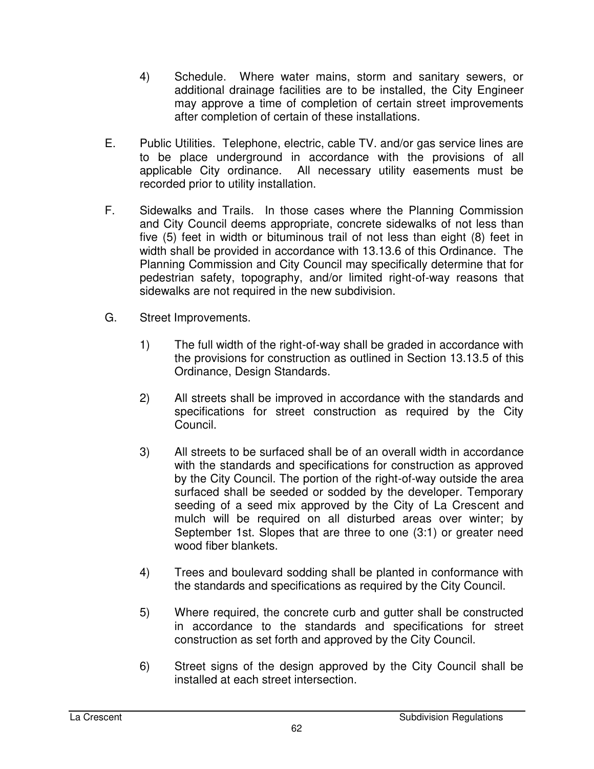- 4) Schedule. Where water mains, storm and sanitary sewers, or additional drainage facilities are to be installed, the City Engineer may approve a time of completion of certain street improvements after completion of certain of these installations.
- E. Public Utilities. Telephone, electric, cable TV. and/or gas service lines are to be place underground in accordance with the provisions of all applicable City ordinance. All necessary utility easements must be recorded prior to utility installation.
- F. Sidewalks and Trails. In those cases where the Planning Commission and City Council deems appropriate, concrete sidewalks of not less than five (5) feet in width or bituminous trail of not less than eight (8) feet in width shall be provided in accordance with 13.13.6 of this Ordinance. The Planning Commission and City Council may specifically determine that for pedestrian safety, topography, and/or limited right-of-way reasons that sidewalks are not required in the new subdivision.
- G. Street Improvements.
	- 1) The full width of the right-of-way shall be graded in accordance with the provisions for construction as outlined in Section 13.13.5 of this Ordinance, Design Standards.
	- 2) All streets shall be improved in accordance with the standards and specifications for street construction as required by the City Council.
	- 3) All streets to be surfaced shall be of an overall width in accordance with the standards and specifications for construction as approved by the City Council. The portion of the right-of-way outside the area surfaced shall be seeded or sodded by the developer. Temporary seeding of a seed mix approved by the City of La Crescent and mulch will be required on all disturbed areas over winter; by September 1st. Slopes that are three to one (3:1) or greater need wood fiber blankets.
	- 4) Trees and boulevard sodding shall be planted in conformance with the standards and specifications as required by the City Council.
	- 5) Where required, the concrete curb and gutter shall be constructed in accordance to the standards and specifications for street construction as set forth and approved by the City Council.
	- 6) Street signs of the design approved by the City Council shall be installed at each street intersection.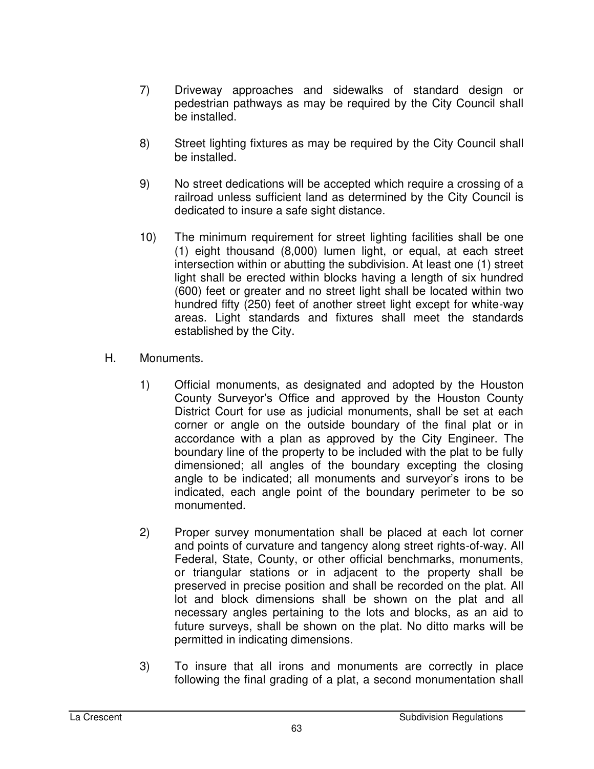- 7) Driveway approaches and sidewalks of standard design or pedestrian pathways as may be required by the City Council shall be installed.
- 8) Street lighting fixtures as may be required by the City Council shall be installed.
- 9) No street dedications will be accepted which require a crossing of a railroad unless sufficient land as determined by the City Council is dedicated to insure a safe sight distance.
- 10) The minimum requirement for street lighting facilities shall be one (1) eight thousand (8,000) lumen light, or equal, at each street intersection within or abutting the subdivision. At least one (1) street light shall be erected within blocks having a length of six hundred (600) feet or greater and no street light shall be located within two hundred fifty (250) feet of another street light except for white-way areas. Light standards and fixtures shall meet the standards established by the City.
- H. Monuments.
	- 1) Official monuments, as designated and adopted by the Houston County Surveyor's Office and approved by the Houston County District Court for use as judicial monuments, shall be set at each corner or angle on the outside boundary of the final plat or in accordance with a plan as approved by the City Engineer. The boundary line of the property to be included with the plat to be fully dimensioned; all angles of the boundary excepting the closing angle to be indicated; all monuments and surveyor's irons to be indicated, each angle point of the boundary perimeter to be so monumented.
	- 2) Proper survey monumentation shall be placed at each lot corner and points of curvature and tangency along street rights-of-way. All Federal, State, County, or other official benchmarks, monuments, or triangular stations or in adjacent to the property shall be preserved in precise position and shall be recorded on the plat. All lot and block dimensions shall be shown on the plat and all necessary angles pertaining to the lots and blocks, as an aid to future surveys, shall be shown on the plat. No ditto marks will be permitted in indicating dimensions.
	- 3) To insure that all irons and monuments are correctly in place following the final grading of a plat, a second monumentation shall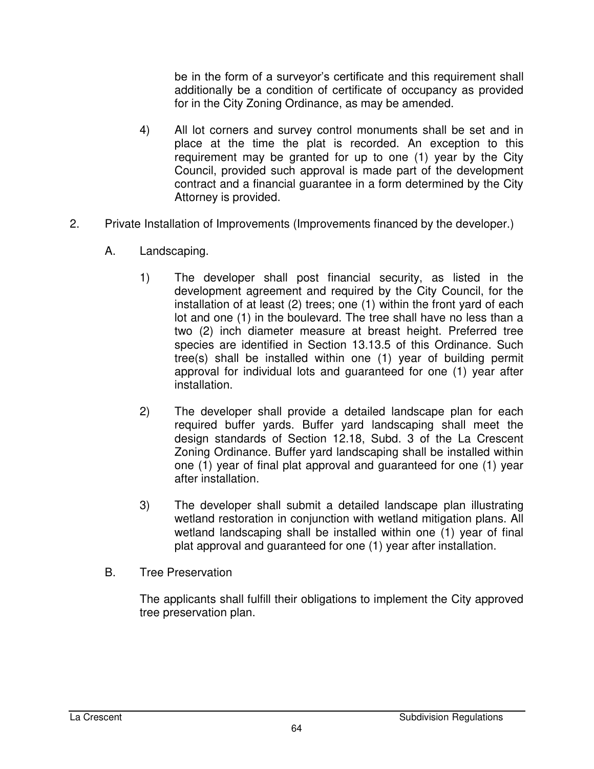be in the form of a surveyor's certificate and this requirement shall additionally be a condition of certificate of occupancy as provided for in the City Zoning Ordinance, as may be amended.

- 4) All lot corners and survey control monuments shall be set and in place at the time the plat is recorded. An exception to this requirement may be granted for up to one (1) year by the City Council, provided such approval is made part of the development contract and a financial guarantee in a form determined by the City Attorney is provided.
- 2. Private Installation of Improvements (Improvements financed by the developer.)
	- A. Landscaping.
		- 1) The developer shall post financial security, as listed in the development agreement and required by the City Council, for the installation of at least (2) trees; one (1) within the front yard of each lot and one (1) in the boulevard. The tree shall have no less than a two (2) inch diameter measure at breast height. Preferred tree species are identified in Section 13.13.5 of this Ordinance. Such tree(s) shall be installed within one (1) year of building permit approval for individual lots and guaranteed for one (1) year after installation.
		- 2) The developer shall provide a detailed landscape plan for each required buffer yards. Buffer yard landscaping shall meet the design standards of Section 12.18, Subd. 3 of the La Crescent Zoning Ordinance. Buffer yard landscaping shall be installed within one (1) year of final plat approval and guaranteed for one (1) year after installation.
		- 3) The developer shall submit a detailed landscape plan illustrating wetland restoration in conjunction with wetland mitigation plans. All wetland landscaping shall be installed within one (1) year of final plat approval and guaranteed for one (1) year after installation.
	- B. Tree Preservation

The applicants shall fulfill their obligations to implement the City approved tree preservation plan.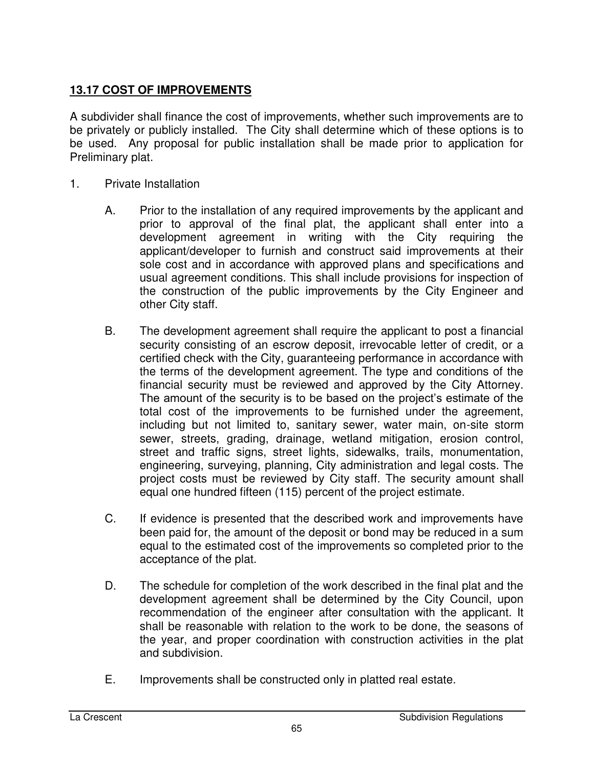## **13.17 COST OF IMPROVEMENTS**

A subdivider shall finance the cost of improvements, whether such improvements are to be privately or publicly installed. The City shall determine which of these options is to be used. Any proposal for public installation shall be made prior to application for Preliminary plat.

- 1. Private Installation
	- A. Prior to the installation of any required improvements by the applicant and prior to approval of the final plat, the applicant shall enter into a development agreement in writing with the City requiring the applicant/developer to furnish and construct said improvements at their sole cost and in accordance with approved plans and specifications and usual agreement conditions. This shall include provisions for inspection of the construction of the public improvements by the City Engineer and other City staff.
	- B. The development agreement shall require the applicant to post a financial security consisting of an escrow deposit, irrevocable letter of credit, or a certified check with the City, guaranteeing performance in accordance with the terms of the development agreement. The type and conditions of the financial security must be reviewed and approved by the City Attorney. The amount of the security is to be based on the project's estimate of the total cost of the improvements to be furnished under the agreement, including but not limited to, sanitary sewer, water main, on-site storm sewer, streets, grading, drainage, wetland mitigation, erosion control, street and traffic signs, street lights, sidewalks, trails, monumentation, engineering, surveying, planning, City administration and legal costs. The project costs must be reviewed by City staff. The security amount shall equal one hundred fifteen (115) percent of the project estimate.
	- C. If evidence is presented that the described work and improvements have been paid for, the amount of the deposit or bond may be reduced in a sum equal to the estimated cost of the improvements so completed prior to the acceptance of the plat.
	- D. The schedule for completion of the work described in the final plat and the development agreement shall be determined by the City Council, upon recommendation of the engineer after consultation with the applicant. It shall be reasonable with relation to the work to be done, the seasons of the year, and proper coordination with construction activities in the plat and subdivision.
	- E. Improvements shall be constructed only in platted real estate.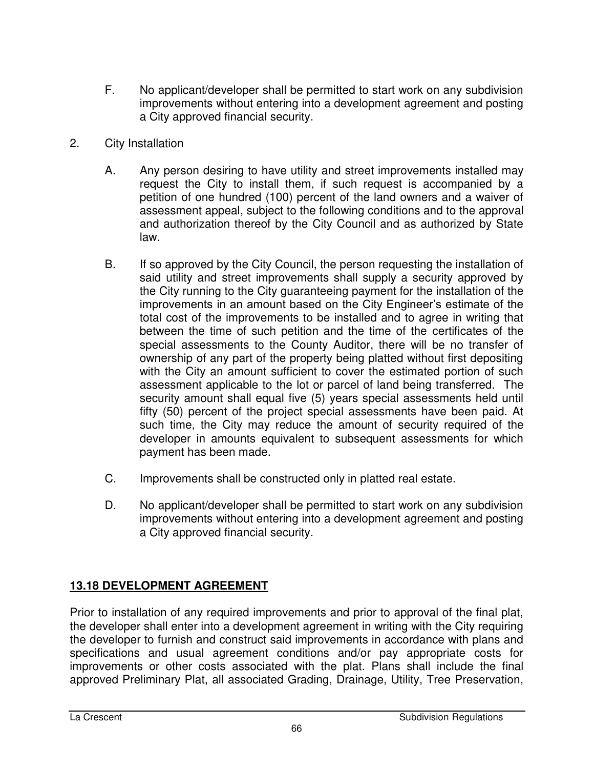- F. No applicant/developer shall be permitted to start work on any subdivision improvements without entering into a development agreement and posting a City approved financial security.
- 2. City Installation
	- A. Any person desiring to have utility and street improvements installed may request the City to install them, if such request is accompanied by a petition of one hundred (100) percent of the land owners and a waiver of assessment appeal, subject to the following conditions and to the approval and authorization thereof by the City Council and as authorized by State law.
	- B. If so approved by the City Council, the person requesting the installation of said utility and street improvements shall supply a security approved by the City running to the City guaranteeing payment for the installation of the improvements in an amount based on the City Engineer's estimate of the total cost of the improvements to be installed and to agree in writing that between the time of such petition and the time of the certificates of the special assessments to the County Auditor, there will be no transfer of ownership of any part of the property being platted without first depositing with the City an amount sufficient to cover the estimated portion of such assessment applicable to the lot or parcel of land being transferred. The security amount shall equal five (5) years special assessments held until fifty (50) percent of the project special assessments have been paid. At such time, the City may reduce the amount of security required of the developer in amounts equivalent to subsequent assessments for which payment has been made.
	- C. Improvements shall be constructed only in platted real estate.
	- D. No applicant/developer shall be permitted to start work on any subdivision improvements without entering into a development agreement and posting a City approved financial security.

# **13.18 DEVELOPMENT AGREEMENT**

Prior to installation of any required improvements and prior to approval of the final plat, the developer shall enter into a development agreement in writing with the City requiring the developer to furnish and construct said improvements in accordance with plans and specifications and usual agreement conditions and/or pay appropriate costs for improvements or other costs associated with the plat. Plans shall include the final approved Preliminary Plat, all associated Grading, Drainage, Utility, Tree Preservation,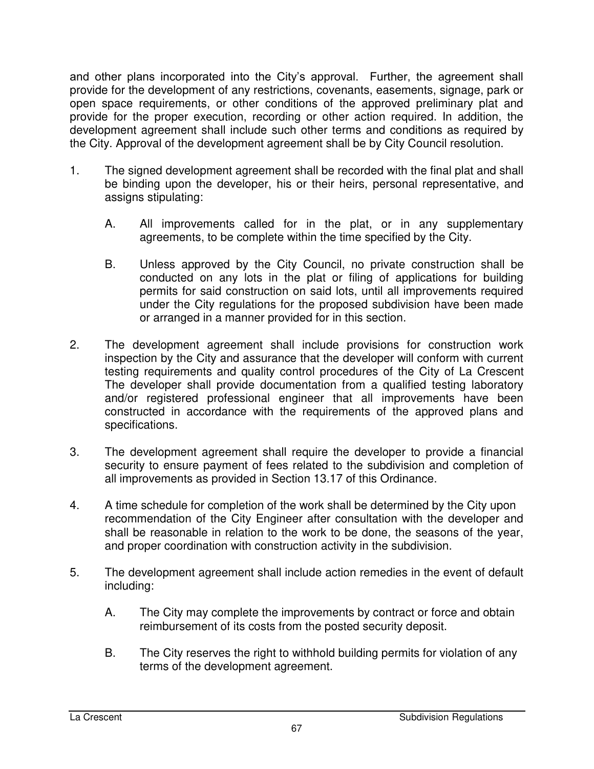and other plans incorporated into the City's approval. Further, the agreement shall provide for the development of any restrictions, covenants, easements, signage, park or open space requirements, or other conditions of the approved preliminary plat and provide for the proper execution, recording or other action required. In addition, the development agreement shall include such other terms and conditions as required by the City. Approval of the development agreement shall be by City Council resolution.

- 1. The signed development agreement shall be recorded with the final plat and shall be binding upon the developer, his or their heirs, personal representative, and assigns stipulating:
	- A. All improvements called for in the plat, or in any supplementary agreements, to be complete within the time specified by the City.
	- B. Unless approved by the City Council, no private construction shall be conducted on any lots in the plat or filing of applications for building permits for said construction on said lots, until all improvements required under the City regulations for the proposed subdivision have been made or arranged in a manner provided for in this section.
- 2. The development agreement shall include provisions for construction work inspection by the City and assurance that the developer will conform with current testing requirements and quality control procedures of the City of La Crescent The developer shall provide documentation from a qualified testing laboratory and/or registered professional engineer that all improvements have been constructed in accordance with the requirements of the approved plans and specifications.
- 3. The development agreement shall require the developer to provide a financial security to ensure payment of fees related to the subdivision and completion of all improvements as provided in Section 13.17 of this Ordinance.
- 4. A time schedule for completion of the work shall be determined by the City upon recommendation of the City Engineer after consultation with the developer and shall be reasonable in relation to the work to be done, the seasons of the year, and proper coordination with construction activity in the subdivision.
- 5. The development agreement shall include action remedies in the event of default including:
	- A. The City may complete the improvements by contract or force and obtain reimbursement of its costs from the posted security deposit.
	- B. The City reserves the right to withhold building permits for violation of any terms of the development agreement.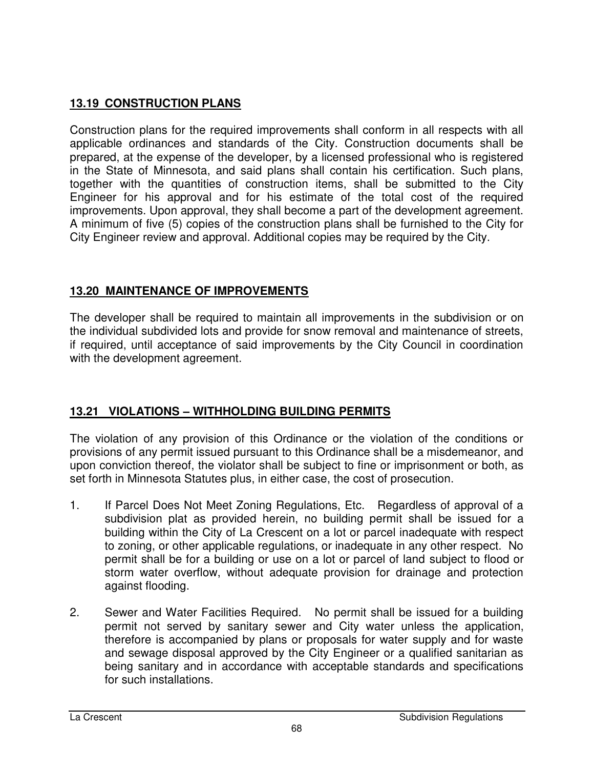## **13.19 CONSTRUCTION PLANS**

Construction plans for the required improvements shall conform in all respects with all applicable ordinances and standards of the City. Construction documents shall be prepared, at the expense of the developer, by a licensed professional who is registered in the State of Minnesota, and said plans shall contain his certification. Such plans, together with the quantities of construction items, shall be submitted to the City Engineer for his approval and for his estimate of the total cost of the required improvements. Upon approval, they shall become a part of the development agreement. A minimum of five (5) copies of the construction plans shall be furnished to the City for City Engineer review and approval. Additional copies may be required by the City.

### **13.20 MAINTENANCE OF IMPROVEMENTS**

The developer shall be required to maintain all improvements in the subdivision or on the individual subdivided lots and provide for snow removal and maintenance of streets, if required, until acceptance of said improvements by the City Council in coordination with the development agreement.

# **13.21 VIOLATIONS – WITHHOLDING BUILDING PERMITS**

The violation of any provision of this Ordinance or the violation of the conditions or provisions of any permit issued pursuant to this Ordinance shall be a misdemeanor, and upon conviction thereof, the violator shall be subject to fine or imprisonment or both, as set forth in Minnesota Statutes plus, in either case, the cost of prosecution.

- 1. If Parcel Does Not Meet Zoning Regulations, Etc. Regardless of approval of a subdivision plat as provided herein, no building permit shall be issued for a building within the City of La Crescent on a lot or parcel inadequate with respect to zoning, or other applicable regulations, or inadequate in any other respect. No permit shall be for a building or use on a lot or parcel of land subject to flood or storm water overflow, without adequate provision for drainage and protection against flooding.
- 2. Sewer and Water Facilities Required. No permit shall be issued for a building permit not served by sanitary sewer and City water unless the application, therefore is accompanied by plans or proposals for water supply and for waste and sewage disposal approved by the City Engineer or a qualified sanitarian as being sanitary and in accordance with acceptable standards and specifications for such installations.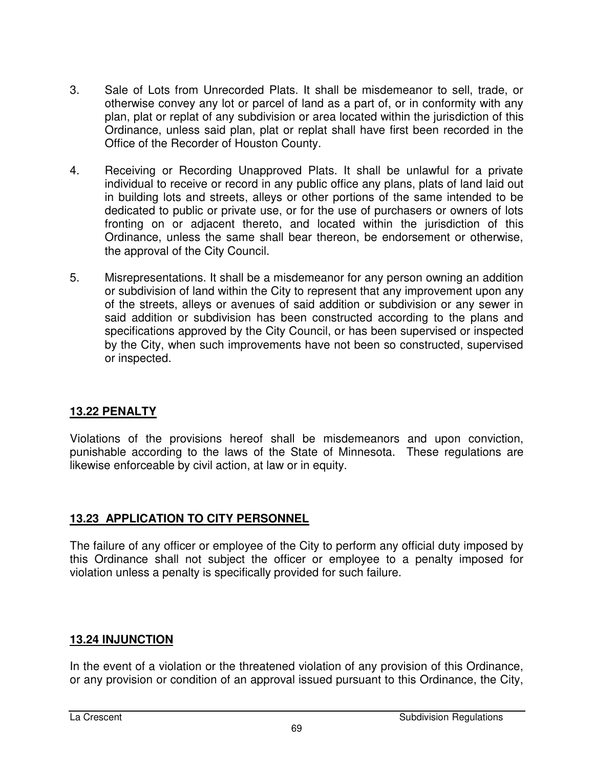- 3. Sale of Lots from Unrecorded Plats. It shall be misdemeanor to sell, trade, or otherwise convey any lot or parcel of land as a part of, or in conformity with any plan, plat or replat of any subdivision or area located within the jurisdiction of this Ordinance, unless said plan, plat or replat shall have first been recorded in the Office of the Recorder of Houston County.
- 4. Receiving or Recording Unapproved Plats. It shall be unlawful for a private individual to receive or record in any public office any plans, plats of land laid out in building lots and streets, alleys or other portions of the same intended to be dedicated to public or private use, or for the use of purchasers or owners of lots fronting on or adjacent thereto, and located within the jurisdiction of this Ordinance, unless the same shall bear thereon, be endorsement or otherwise, the approval of the City Council.
- 5. Misrepresentations. It shall be a misdemeanor for any person owning an addition or subdivision of land within the City to represent that any improvement upon any of the streets, alleys or avenues of said addition or subdivision or any sewer in said addition or subdivision has been constructed according to the plans and specifications approved by the City Council, or has been supervised or inspected by the City, when such improvements have not been so constructed, supervised or inspected.

#### **13.22 PENALTY**

Violations of the provisions hereof shall be misdemeanors and upon conviction, punishable according to the laws of the State of Minnesota. These regulations are likewise enforceable by civil action, at law or in equity.

### **13.23 APPLICATION TO CITY PERSONNEL**

The failure of any officer or employee of the City to perform any official duty imposed by this Ordinance shall not subject the officer or employee to a penalty imposed for violation unless a penalty is specifically provided for such failure.

### **13.24 INJUNCTION**

In the event of a violation or the threatened violation of any provision of this Ordinance, or any provision or condition of an approval issued pursuant to this Ordinance, the City,